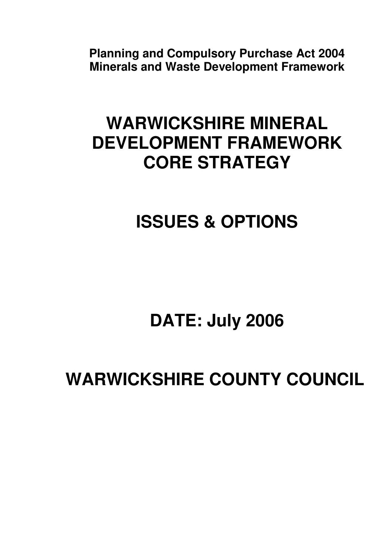**Planning and Compulsory Purchase Act 2004 Minerals and Waste Development Framework** 

# **WARWICKSHIRE MINERAL DEVELOPMENT FRAMEWORK CORE STRATEGY**

# **ISSUES & OPTIONS**

# **DATE: July 2006**

# **WARWICKSHIRE COUNTY COUNCIL**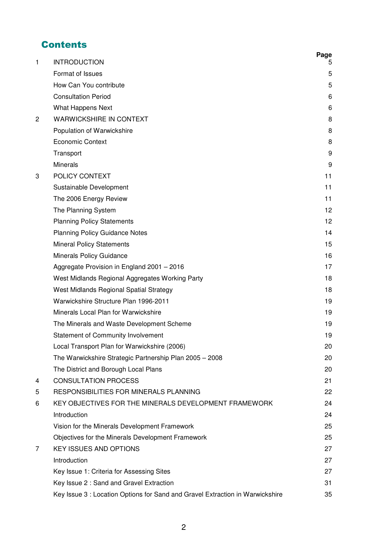# **Contents**

| 1 | <b>INTRODUCTION</b>                                                           | Page<br>ხ |
|---|-------------------------------------------------------------------------------|-----------|
|   | Format of Issues                                                              | 5         |
|   | How Can You contribute                                                        | 5         |
|   | <b>Consultation Period</b>                                                    | 6         |
|   | What Happens Next                                                             | 6         |
| 2 | <b>WARWICKSHIRE IN CONTEXT</b>                                                | 8         |
|   | Population of Warwickshire                                                    | 8         |
|   | <b>Economic Context</b>                                                       | 8         |
|   | Transport                                                                     | 9         |
|   | <b>Minerals</b>                                                               | 9         |
| 3 | POLICY CONTEXT                                                                | 11        |
|   | Sustainable Development                                                       | 11        |
|   | The 2006 Energy Review                                                        | 11        |
|   | The Planning System                                                           | 12        |
|   | <b>Planning Policy Statements</b>                                             | 12        |
|   | <b>Planning Policy Guidance Notes</b>                                         | 14        |
|   | <b>Mineral Policy Statements</b>                                              | 15        |
|   | Minerals Policy Guidance                                                      | 16        |
|   | Aggregate Provision in England 2001 - 2016                                    | 17        |
|   | West Midlands Regional Aggregates Working Party                               | 18        |
|   | West Midlands Regional Spatial Strategy                                       | 18        |
|   | Warwickshire Structure Plan 1996-2011                                         | 19        |
|   | Minerals Local Plan for Warwickshire                                          | 19        |
|   | The Minerals and Waste Development Scheme                                     | 19        |
|   | <b>Statement of Community Involvement</b>                                     | 19        |
|   | Local Transport Plan for Warwickshire (2006)                                  | 20        |
|   | The Warwickshire Strategic Partnership Plan 2005 - 2008                       | 20        |
|   | The District and Borough Local Plans                                          | 20        |
| 4 | <b>CONSULTATION PROCESS</b>                                                   | 21        |
| 5 | RESPONSIBILITIES FOR MINERALS PLANNING                                        | 22        |
| 6 | KEY OBJECTIVES FOR THE MINERALS DEVELOPMENT FRAMEWORK                         | 24        |
|   | Introduction                                                                  | 24        |
|   | Vision for the Minerals Development Framework                                 | 25        |
|   | Objectives for the Minerals Development Framework                             | 25        |
| 7 | <b>KEY ISSUES AND OPTIONS</b>                                                 | 27        |
|   | Introduction                                                                  | 27        |
|   | Key Issue 1: Criteria for Assessing Sites                                     | 27        |
|   | Key Issue 2: Sand and Gravel Extraction                                       | 31        |
|   | Key Issue 3 : Location Options for Sand and Gravel Extraction in Warwickshire | 35        |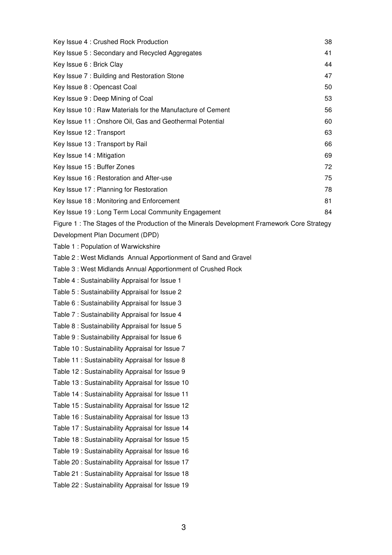| Key Issue 4: Crushed Rock Production                                                       | 38 |
|--------------------------------------------------------------------------------------------|----|
| Key Issue 5: Secondary and Recycled Aggregates                                             | 41 |
| Key Issue 6 : Brick Clay                                                                   | 44 |
| Key Issue 7 : Building and Restoration Stone                                               | 47 |
| Key Issue 8 : Opencast Coal                                                                | 50 |
| Key Issue 9 : Deep Mining of Coal                                                          | 53 |
| Key Issue 10 : Raw Materials for the Manufacture of Cement                                 | 56 |
| Key Issue 11: Onshore Oil, Gas and Geothermal Potential                                    | 60 |
| Key Issue 12 : Transport                                                                   | 63 |
| Key Issue 13 : Transport by Rail                                                           | 66 |
| Key Issue 14 : Mitigation                                                                  | 69 |
| Key Issue 15 : Buffer Zones                                                                | 72 |
| Key Issue 16 : Restoration and After-use                                                   | 75 |
| Key Issue 17: Planning for Restoration                                                     | 78 |
| Key Issue 18 : Monitoring and Enforcement                                                  | 81 |
| Key Issue 19: Long Term Local Community Engagement                                         | 84 |
| Figure 1: The Stages of the Production of the Minerals Development Framework Core Strategy |    |
| Development Plan Document (DPD)                                                            |    |
| Table 1: Population of Warwickshire                                                        |    |
| Table 2: West Midlands Annual Apportionment of Sand and Gravel                             |    |
| Table 3: West Midlands Annual Apportionment of Crushed Rock                                |    |
| Table 4: Sustainability Appraisal for Issue 1                                              |    |
| Table 5: Sustainability Appraisal for Issue 2                                              |    |
| Table 6: Sustainability Appraisal for Issue 3                                              |    |
| Table 7: Sustainability Appraisal for Issue 4                                              |    |
| Table 8: Sustainability Appraisal for Issue 5                                              |    |
| Table 9: Sustainability Appraisal for Issue 6                                              |    |
| Table 10: Sustainability Appraisal for Issue 7                                             |    |
| Table 11: Sustainability Appraisal for Issue 8                                             |    |
| Table 12: Sustainability Appraisal for Issue 9                                             |    |
| Table 13 : Sustainability Appraisal for Issue 10                                           |    |
| Table 14 : Sustainability Appraisal for Issue 11                                           |    |
| Table 15: Sustainability Appraisal for Issue 12                                            |    |
| Table 16 : Sustainability Appraisal for Issue 13                                           |    |
| Table 17: Sustainability Appraisal for Issue 14                                            |    |
| Table 18 : Sustainability Appraisal for Issue 15                                           |    |
| Table 19: Sustainability Appraisal for Issue 16                                            |    |
| Table 20: Sustainability Appraisal for Issue 17                                            |    |
| Table 21: Sustainability Appraisal for Issue 18                                            |    |
| Table 22 : Sustainability Appraisal for Issue 19                                           |    |
|                                                                                            |    |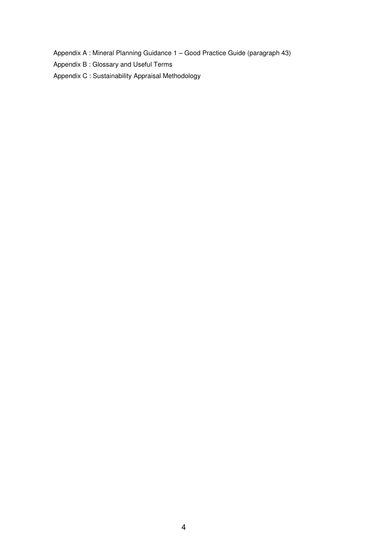Appendix A : Mineral Planning Guidance 1 – Good Practice Guide (paragraph 43)

Appendix B : Glossary and Useful Terms

Appendix C : Sustainability Appraisal Methodology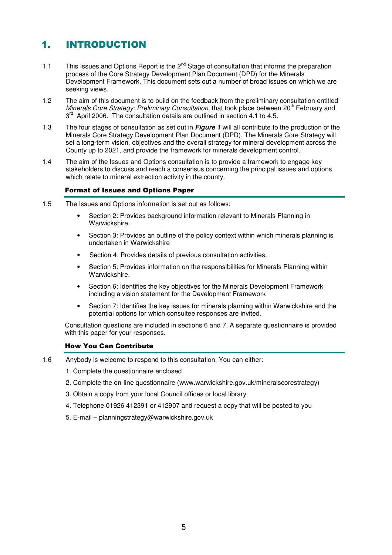# 1. INTRODUCTION

- 1.1 This Issues and Options Report is the  $2^{nd}$  Stage of consultation that informs the preparation process of the Core Strategy Development Plan Document (DPD) for the Minerals Development Framework. This document sets out a number of broad issues on which we are seeking views.
- 1.2 The aim of this document is to build on the feedback from the preliminary consultation entitled Minerals Core Strategy: Preliminary Consultation, that took place between 20<sup>th</sup> February and 3<sup>rd</sup> April 2006. The consultation details are outlined in section 4.1 to 4.5.
- 1.3 The four stages of consultation as set out in **Figure 1** will all contribute to the production of the Minerals Core Strategy Development Plan Document (DPD). The Minerals Core Strategy will set a long-term vision, objectives and the overall strategy for mineral development across the County up to 2021, and provide the framework for minerals development control.
- 1.4 The aim of the Issues and Options consultation is to provide a framework to engage key stakeholders to discuss and reach a consensus concerning the principal issues and options which relate to mineral extraction activity in the county.

### Format of Issues and Options Paper

- 1.5 The Issues and Options information is set out as follows:
	- Section 2: Provides background information relevant to Minerals Planning in Warwickshire.
	- Section 3: Provides an outline of the policy context within which minerals planning is undertaken in Warwickshire
	- Section 4: Provides details of previous consultation activities.
	- Section 5: Provides information on the responsibilities for Minerals Planning within Warwickshire.
	- Section 6: Identifies the key objectives for the Minerals Development Framework including a vision statement for the Development Framework
	- Section 7: Identifies the key issues for minerals planning within Warwickshire and the potential options for which consultee responses are invited.

Consultation questions are included in sections 6 and 7. A separate questionnaire is provided with this paper for your responses.

#### How You Can Contribute

- 1.6 Anybody is welcome to respond to this consultation. You can either:
	- 1. Complete the questionnaire enclosed
	- 2. Complete the on-line questionnaire (www.warwickshire.gov.uk/mineralscorestrategy)
	- 3. Obtain a copy from your local Council offices or local library
	- 4. Telephone 01926 412391 or 412907 and request a copy that will be posted to you
	- 5. E-mail planningstrategy@warwickshire.gov.uk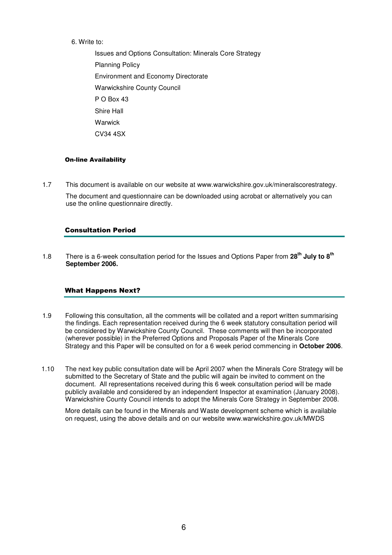#### 6. Write to:

 Issues and Options Consultation: Minerals Core Strategy Planning Policy Environment and Economy Directorate Warwickshire County Council P O Box 43 Shire Hall Warwick CV34 4SX

### On-line Availability

1.7 This document is available on our website at www.warwickshire.gov.uk/mineralscorestrategy. The document and questionnaire can be downloaded using acrobat or alternatively you can use the online questionnaire directly.

## Consultation Period

1.8 There is a 6-week consultation period for the Issues and Options Paper from **28th July to 8th September 2006.**

## What Happens Next?

- 1.9 Following this consultation, all the comments will be collated and a report written summarising the findings. Each representation received during the 6 week statutory consultation period will be considered by Warwickshire County Council. These comments will then be incorporated (wherever possible) in the Preferred Options and Proposals Paper of the Minerals Core Strategy and this Paper will be consulted on for a 6 week period commencing in **October 2006**.
- 1.10 The next key public consultation date will be April 2007 when the Minerals Core Strategy will be submitted to the Secretary of State and the public will again be invited to comment on the document. All representations received during this 6 week consultation period will be made publicly available and considered by an independent Inspector at examination (January 2008). Warwickshire County Council intends to adopt the Minerals Core Strategy in September 2008.

More details can be found in the Minerals and Waste development scheme which is available on request, using the above details and on our website www.warwickshire.gov.uk/MWDS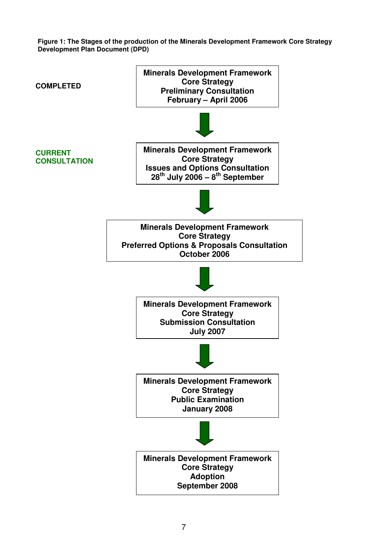**Figure 1: The Stages of the production of the Minerals Development Framework Core Strategy Development Plan Document (DPD)** 

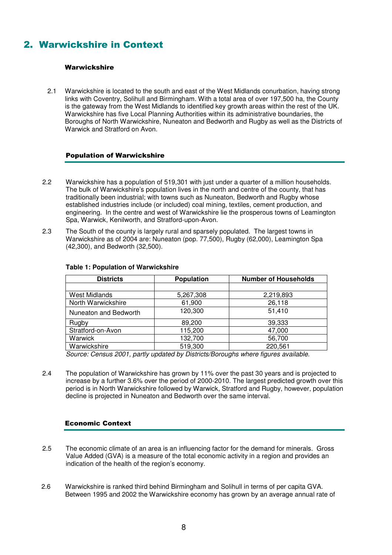# 2. Warwickshire in Context

#### Warwickshire

2.1 Warwickshire is located to the south and east of the West Midlands conurbation, having strong links with Coventry, Solihull and Birmingham. With a total area of over 197,500 ha, the County is the gateway from the West Midlands to identified key growth areas within the rest of the UK. Warwickshire has five Local Planning Authorities within its administrative boundaries, the Boroughs of North Warwickshire, Nuneaton and Bedworth and Rugby as well as the Districts of Warwick and Stratford on Avon.

### Population of Warwickshire

- 2.2 Warwickshire has a population of 519,301 with just under a quarter of a million households. The bulk of Warwickshire's population lives in the north and centre of the county, that has traditionally been industrial; with towns such as Nuneaton, Bedworth and Rugby whose established industries include (or included) coal mining, textiles, cement production, and engineering. In the centre and west of Warwickshire lie the prosperous towns of Leamington Spa, Warwick, Kenilworth, and Stratford-upon-Avon.
- 2.3 The South of the county is largely rural and sparsely populated. The largest towns in Warwickshire as of 2004 are: Nuneaton (pop. 77,500), Rugby (62,000), Leamington Spa (42,300), and Bedworth (32,500).

| <b>Districts</b>      | <b>Population</b> | <b>Number of Households</b> |
|-----------------------|-------------------|-----------------------------|
|                       |                   |                             |
| <b>West Midlands</b>  | 5,267,308         | 2,219,893                   |
| North Warwickshire    | 61,900            | 26,118                      |
| Nuneaton and Bedworth | 120,300           | 51,410                      |
| Rugby                 | 89,200            | 39,333                      |
| Stratford-on-Avon     | 115,200           | 47,000                      |
| Warwick               | 132,700           | 56,700                      |
| Warwickshire          | 519,300           | 220,561                     |

#### **Table 1: Population of Warwickshire**

Source: Census 2001, partly updated by Districts/Boroughs where figures available.

2.4 The population of Warwickshire has grown by 11% over the past 30 years and is projected to increase by a further 3.6% over the period of 2000-2010. The largest predicted growth over this period is in North Warwickshire followed by Warwick, Stratford and Rugby, however, population decline is projected in Nuneaton and Bedworth over the same interval.

## Economic Context

- 2.5 The economic climate of an area is an influencing factor for the demand for minerals. Gross Value Added (GVA) is a measure of the total economic activity in a region and provides an indication of the health of the region's economy.
- 2.6 Warwickshire is ranked third behind Birmingham and Solihull in terms of per capita GVA. Between 1995 and 2002 the Warwickshire economy has grown by an average annual rate of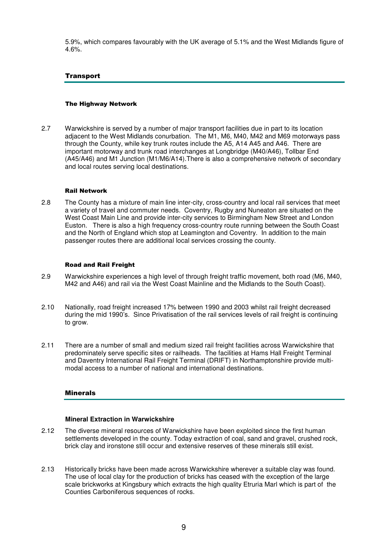5.9%, which compares favourably with the UK average of 5.1% and the West Midlands figure of 4.6%.

#### **Transport**

#### The Highway Network

2.7 Warwickshire is served by a number of major transport facilities due in part to its location adjacent to the West Midlands conurbation. The M1, M6, M40, M42 and M69 motorways pass through the County, while key trunk routes include the A5, A14 A45 and A46. There are important motorway and trunk road interchanges at Longbridge (M40/A46), Tollbar End (A45/A46) and M1 Junction (M1/M6/A14).There is also a comprehensive network of secondary and local routes serving local destinations.

#### Rail Network

2.8 The County has a mixture of main line inter-city, cross-country and local rail services that meet a variety of travel and commuter needs. Coventry, Rugby and Nuneaton are situated on the West Coast Main Line and provide inter-city services to Birmingham New Street and London Euston. There is also a high frequency cross-country route running between the South Coast and the North of England which stop at Leamington and Coventry. In addition to the main passenger routes there are additional local services crossing the county.

#### Road and Rail Freight

- 2.9 Warwickshire experiences a high level of through freight traffic movement, both road (M6, M40, M42 and A46) and rail via the West Coast Mainline and the Midlands to the South Coast).
- 2.10 Nationally, road freight increased 17% between 1990 and 2003 whilst rail freight decreased during the mid 1990's. Since Privatisation of the rail services levels of rail freight is continuing to grow.
- 2.11 There are a number of small and medium sized rail freight facilities across Warwickshire that predominately serve specific sites or railheads. The facilities at Hams Hall Freight Terminal and Daventry International Rail Freight Terminal (DRIFT) in Northamptonshire provide multimodal access to a number of national and international destinations.

#### Minerals

#### **Mineral Extraction in Warwickshire**

- 2.12 The diverse mineral resources of Warwickshire have been exploited since the first human settlements developed in the county. Today extraction of coal, sand and gravel, crushed rock, brick clay and ironstone still occur and extensive reserves of these minerals still exist.
- 2.13 Historically bricks have been made across Warwickshire wherever a suitable clay was found. The use of local clay for the production of bricks has ceased with the exception of the large scale brickworks at Kingsbury which extracts the high quality Etruria Marl which is part of the Counties Carboniferous sequences of rocks.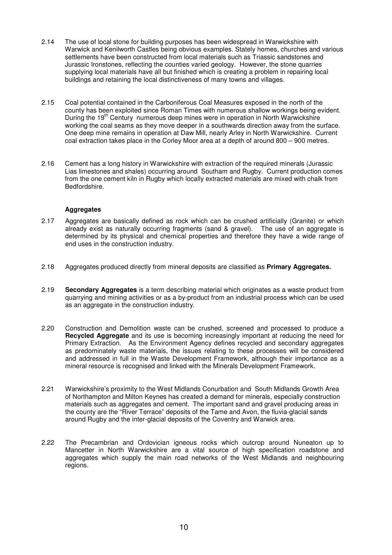- 2.14 The use of local stone for building purposes has been widespread in Warwickshire with Warwick and Kenilworth Castles being obvious examples. Stately homes, churches and various settlements have been constructed from local materials such as Triassic sandstones and Jurassic Ironstones, reflecting the counties varied geology. However, the stone quarries supplying local materials have all but finished which is creating a problem in repairing local buildings and retaining the local distinctiveness of many towns and villages.
- 2.15 Coal potential contained in the Carboniferous Coal Measures exposed in the north of the county has been exploited since Roman Times with numerous shallow workings being evident. During the 19<sup>th</sup> Century numerous deep mines were in operation in North Warwickshire working the coal seams as they move deeper in a southwards direction away from the surface. One deep mine remains in operation at Daw Mill, nearly Arley in North Warwickshire. Current coal extraction takes place in the Corley Moor area at a depth of around 800 – 900 metres.
- 2.16 Cement has a long history in Warwickshire with extraction of the required minerals (Jurassic Lias limestones and shales) occurring around Southam and Rugby. Current production comes from the one cement kiln in Rugby which locally extracted materials are mixed with chalk from Bedfordshire.

#### **Aggregates**

- 2.17 Aggregates are basically defined as rock which can be crushed artificially (Granite) or which already exist as naturally occurring fragments (sand & gravel). The use of an aggregate is determined by its physical and chemical properties and therefore they have a wide range of end uses in the construction industry.
- 2.18 Aggregates produced directly from mineral deposits are classified as **Primary Aggregates.**
- 2.19 **Secondary Aggregates** is a term describing material which originates as a waste product from quarrying and mining activities or as a by-product from an industrial process which can be used as an aggregate in the construction industry.
- 2.20 Construction and Demolition waste can be crushed, screened and processed to produce a **Recycled Aggregate** and its use is becoming increasingly important at reducing the need for Primary Extraction. As the Environment Agency defines recycled and secondary aggregates as predominately waste materials, the issues relating to these processes will be considered and addressed in full in the Waste Development Framework, although their importance as a mineral resource is recognised and linked with the Minerals Development Framework.
- 2.21 Warwickshire's proximity to the West Midlands Conurbation and South Midlands Growth Area of Northampton and Milton Keynes has created a demand for minerals, especially construction materials such as aggregates and cement. The important sand and gravel producing areas in the county are the "River Terrace" deposits of the Tame and Avon, the fluvia-glacial sands around Rugby and the inter-glacial deposits of the Coventry and Warwick area.
- 2.22 The Precambrian and Ordovician igneous rocks which outcrop around Nuneaton up to Mancetter in North Warwickshire are a vital source of high specification roadstone and aggregates which supply the main road networks of the West Midlands and neighbouring regions.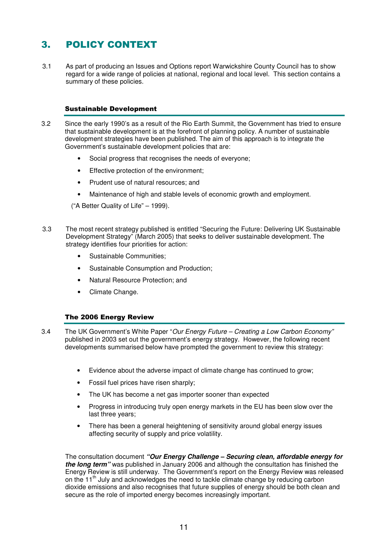# 3. POLICY CONTEXT

3.1 As part of producing an Issues and Options report Warwickshire County Council has to show regard for a wide range of policies at national, regional and local level. This section contains a summary of these policies.

### Sustainable Development

- 3.2 Since the early 1990's as a result of the Rio Earth Summit, the Government has tried to ensure that sustainable development is at the forefront of planning policy. A number of sustainable development strategies have been published. The aim of this approach is to integrate the Government's sustainable development policies that are:
	- Social progress that recognises the needs of everyone;
	- Effective protection of the environment:
	- Prudent use of natural resources; and
	- Maintenance of high and stable levels of economic growth and employment.

("A Better Quality of Life" – 1999).

- 3.3 The most recent strategy published is entitled "Securing the Future: Delivering UK Sustainable Development Strategy" (March 2005) that seeks to deliver sustainable development. The strategy identifies four priorities for action:
	- Sustainable Communities;
	- Sustainable Consumption and Production;
	- Natural Resource Protection; and
	- Climate Change.

## The 2006 Energy Review

- 3.4 The UK Government's White Paper "Our Energy Future Creating a Low Carbon Economy" published in 2003 set out the government's energy strategy. However, the following recent developments summarised below have prompted the government to review this strategy:
	- Evidence about the adverse impact of climate change has continued to grow;
	- Fossil fuel prices have risen sharply;
	- The UK has become a net gas importer sooner than expected
	- Progress in introducing truly open energy markets in the EU has been slow over the last three years;
	- There has been a general heightening of sensitivity around global energy issues affecting security of supply and price volatility.

The consultation document **"Our Energy Challenge – Securing clean, affordable energy for the long term"** was published in January 2006 and although the consultation has finished the Energy Review is still underway. The Government's report on the Energy Review was released on the 11<sup>th</sup> July and acknowledges the need to tackle climate change by reducing carbon dioxide emissions and also recognises that future supplies of energy should be both clean and secure as the role of imported energy becomes increasingly important.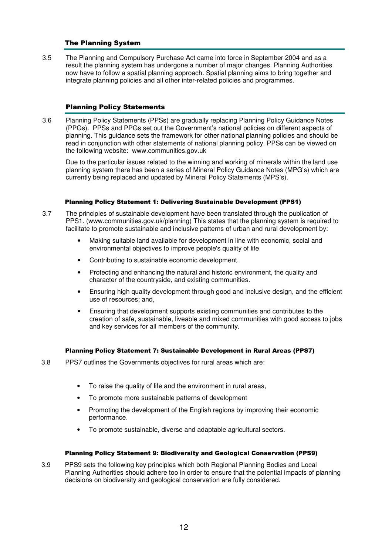#### The Planning System

3.5 The Planning and Compulsory Purchase Act came into force in September 2004 and as a result the planning system has undergone a number of major changes. Planning Authorities now have to follow a spatial planning approach. Spatial planning aims to bring together and integrate planning policies and all other inter-related policies and programmes.

#### Planning Policy Statements

3.6 Planning Policy Statements (PPSs) are gradually replacing Planning Policy Guidance Notes (PPGs). PPSs and PPGs set out the Government's national policies on different aspects of planning. This guidance sets the framework for other national planning policies and should be read in conjunction with other statements of national planning policy. PPSs can be viewed on the following website: www.communities.gov.uk

 Due to the particular issues related to the winning and working of minerals within the land use planning system there has been a series of Mineral Policy Guidance Notes (MPG's) which are currently being replaced and updated by Mineral Policy Statements (MPS's).

#### Planning Policy Statement 1: Delivering Sustainable Development (PPS1)

- 3.7 The principles of sustainable development have been translated through the publication of PPS1. (www.communities.gov.uk/planning) This states that the planning system is required to facilitate to promote sustainable and inclusive patterns of urban and rural development by:
	- Making suitable land available for development in line with economic, social and environmental objectives to improve people's quality of life
	- Contributing to sustainable economic development.
	- Protecting and enhancing the natural and historic environment, the quality and character of the countryside, and existing communities.
	- Ensuring high quality development through good and inclusive design, and the efficient use of resources; and,
	- Ensuring that development supports existing communities and contributes to the creation of safe, sustainable, liveable and mixed communities with good access to jobs and key services for all members of the community.

#### Planning Policy Statement 7: Sustainable Development in Rural Areas (PPS7)

- 3.8 PPS7 outlines the Governments objectives for rural areas which are:
	- To raise the quality of life and the environment in rural areas,
	- To promote more sustainable patterns of development
	- Promoting the development of the English regions by improving their economic performance.
	- To promote sustainable, diverse and adaptable agricultural sectors.

#### Planning Policy Statement 9: Biodiversity and Geological Conservation (PPS9)

3.9 PPS9 sets the following key principles which both Regional Planning Bodies and Local Planning Authorities should adhere too in order to ensure that the potential impacts of planning decisions on biodiversity and geological conservation are fully considered.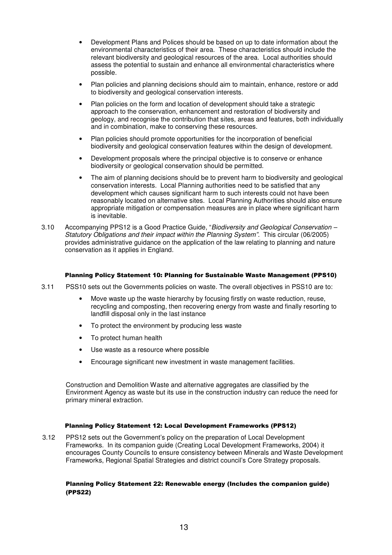- Development Plans and Polices should be based on up to date information about the environmental characteristics of their area. These characteristics should include the relevant biodiversity and geological resources of the area. Local authorities should assess the potential to sustain and enhance all environmental characteristics where possible.
- Plan policies and planning decisions should aim to maintain, enhance, restore or add to biodiversity and geological conservation interests.
- Plan policies on the form and location of development should take a strategic approach to the conservation, enhancement and restoration of biodiversity and geology, and recognise the contribution that sites, areas and features, both individually and in combination, make to conserving these resources.
- Plan policies should promote opportunities for the incorporation of beneficial biodiversity and geological conservation features within the design of development.
- Development proposals where the principal objective is to conserve or enhance biodiversity or geological conservation should be permitted.
- The aim of planning decisions should be to prevent harm to biodiversity and geological conservation interests. Local Planning authorities need to be satisfied that any development which causes significant harm to such interests could not have been reasonably located on alternative sites. Local Planning Authorities should also ensure appropriate mitigation or compensation measures are in place where significant harm is inevitable.
- 3.10 Accompanying PPS12 is a Good Practice Guide, "Biodiversity and Geological Conservation Statutory Obligations and their impact within the Planning System". This circular (06/2005) provides administrative guidance on the application of the law relating to planning and nature conservation as it applies in England.

#### Planning Policy Statement 10: Planning for Sustainable Waste Management (PPS10)

- 3.11 PSS10 sets out the Governments policies on waste. The overall objectives in PSS10 are to:
	- Move waste up the waste hierarchy by focusing firstly on waste reduction, reuse, recycling and composting, then recovering energy from waste and finally resorting to landfill disposal only in the last instance
	- To protect the environment by producing less waste
	- To protect human health
	- Use waste as a resource where possible
	- Encourage significant new investment in waste management facilities.

 Construction and Demolition Waste and alternative aggregates are classified by the Environment Agency as waste but its use in the construction industry can reduce the need for primary mineral extraction.

#### Planning Policy Statement 12: Local Development Frameworks (PPS12)

3.12 PPS12 sets out the Government's policy on the preparation of Local Development Frameworks. In its companion guide (Creating Local Development Frameworks, 2004) it encourages County Councils to ensure consistency between Minerals and Waste Development Frameworks, Regional Spatial Strategies and district council's Core Strategy proposals.

#### Planning Policy Statement 22: Renewable energy (Includes the companion guide) (PPS22)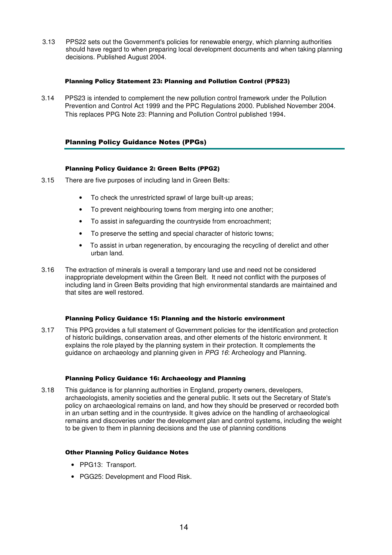3.13 PPS22 sets out the Government's policies for renewable energy, which planning authorities should have regard to when preparing local development documents and when taking planning decisions. Published August 2004.

#### Planning Policy Statement 23: Planning and Pollution Control (PPS23)

3.14 PPS23 is intended to complement the new pollution control framework under the Pollution Prevention and Control Act 1999 and the PPC Regulations 2000. Published November 2004. This replaces PPG Note 23: Planning and Pollution Control published 1994.

### Planning Policy Guidance Notes (PPGs)

#### Planning Policy Guidance 2: Green Belts (PPG2)

- 3.15 There are five purposes of including land in Green Belts:
	- To check the unrestricted sprawl of large built-up areas;
	- To prevent neighbouring towns from merging into one another;
	- To assist in safeguarding the countryside from encroachment;
	- To preserve the setting and special character of historic towns;
	- To assist in urban regeneration, by encouraging the recycling of derelict and other urban land.
- 3.16 The extraction of minerals is overall a temporary land use and need not be considered inappropriate development within the Green Belt. It need not conflict with the purposes of including land in Green Belts providing that high environmental standards are maintained and that sites are well restored.

#### Planning Policy Guidance 15: Planning and the historic environment

3.17 This PPG provides a full statement of Government policies for the identification and protection of historic buildings, conservation areas, and other elements of the historic environment. It explains the role played by the planning system in their protection. It complements the guidance on archaeology and planning given in PPG 16: Archeology and Planning.

#### Planning Policy Guidance 16: Archaeology and Planning

3.18 This guidance is for planning authorities in England, property owners, developers, archaeologists, amenity societies and the general public. It sets out the Secretary of State's policy on archaeological remains on land, and how they should be preserved or recorded both in an urban setting and in the countryside. It gives advice on the handling of archaeological remains and discoveries under the development plan and control systems, including the weight to be given to them in planning decisions and the use of planning conditions

#### Other Planning Policy Guidance Notes

- PPG13: Transport.
- PGG25: Development and Flood Risk.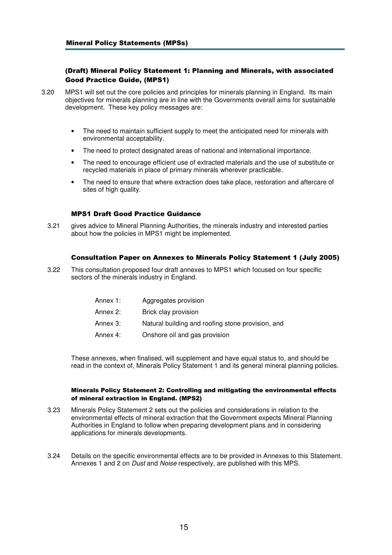### (Draft) Mineral Policy Statement 1: Planning and Minerals, with associated Good Practice Guide, (MPS1)

- 3.20 MPS1 will set out the core policies and principles for minerals planning in England. Its main objectives for minerals planning are in line with the Governments overall aims for sustainable development. These key policy messages are:
	- The need to maintain sufficient supply to meet the anticipated need for minerals with environmental acceptability.
	- The need to protect designated areas of national and international importance.
	- The need to encourage efficient use of extracted materials and the use of substitute or recycled materials in place of primary minerals wherever practicable.
	- The need to ensure that where extraction does take place, restoration and aftercare of sites of high quality.

#### MPS1 Draft Good Practice Guidance

3.21 gives advice to Mineral Planning Authorities, the minerals industry and interested parties about how the policies in MPS1 might be implemented.

#### Consultation Paper on Annexes to Minerals Policy Statement 1 (July 2005)

3.22 This consultation proposed four draft annexes to MPS1 which focused on four specific sectors of the minerals industry in England.

| Annex 1: | Aggregates provision                              |
|----------|---------------------------------------------------|
| Annex 2: | Brick clay provision                              |
| Annex 3: | Natural building and roofing stone provision, and |
| Annex 4: | Onshore oil and gas provision                     |

 These annexes, when finalised, will supplement and have equal status to, and should be read in the context of, Minerals Policy Statement 1 and its general mineral planning policies.

#### Minerals Policy Statement 2: Controlling and mitigating the environmental effects of mineral extraction in England. (MPS2)

- 3.23 Minerals Policy Statement 2 sets out the policies and considerations in relation to the environmental effects of mineral extraction that the Government expects Mineral Planning Authorities in England to follow when preparing development plans and in considering applications for minerals developments.
- 3.24 Details on the specific environmental effects are to be provided in Annexes to this Statement. Annexes 1 and 2 on Dust and Noise respectively, are published with this MPS.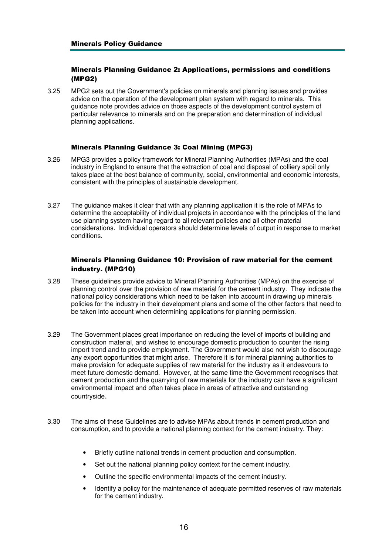#### Minerals Planning Guidance 2: Applications, permissions and conditions (MPG2)

3.25 MPG2 sets out the Government's policies on minerals and planning issues and provides advice on the operation of the development plan system with regard to minerals. This guidance note provides advice on those aspects of the development control system of particular relevance to minerals and on the preparation and determination of individual planning applications.

#### Minerals Planning Guidance 3: Coal Mining (MPG3)

- 3.26 MPG3 provides a policy framework for Mineral Planning Authorities (MPAs) and the coal industry in England to ensure that the extraction of coal and disposal of colliery spoil only takes place at the best balance of community, social, environmental and economic interests, consistent with the principles of sustainable development.
- 3.27 The guidance makes it clear that with any planning application it is the role of MPAs to determine the acceptability of individual projects in accordance with the principles of the land use planning system having regard to all relevant policies and all other material considerations. Individual operators should determine levels of output in response to market conditions.

#### Minerals Planning Guidance 10: Provision of raw material for the cement industry. (MPG10)

- 3.28 These guidelines provide advice to Mineral Planning Authorities (MPAs) on the exercise of planning control over the provision of raw material for the cement industry. They indicate the national policy considerations which need to be taken into account in drawing up minerals policies for the industry in their development plans and some of the other factors that need to be taken into account when determining applications for planning permission.
- 3.29 The Government places great importance on reducing the level of imports of building and construction material, and wishes to encourage domestic production to counter the rising import trend and to provide employment. The Government would also not wish to discourage any export opportunities that might arise. Therefore it is for mineral planning authorities to make provision for adequate supplies of raw material for the industry as it endeavours to meet future domestic demand. However, at the same time the Government recognises that cement production and the quarrying of raw materials for the industry can have a significant environmental impact and often takes place in areas of attractive and outstanding countryside.
- 3.30 The aims of these Guidelines are to advise MPAs about trends in cement production and consumption, and to provide a national planning context for the cement industry. They:
	- Briefly outline national trends in cement production and consumption.
	- Set out the national planning policy context for the cement industry.
	- Outline the specific environmental impacts of the cement industry.
	- Identify a policy for the maintenance of adequate permitted reserves of raw materials for the cement industry.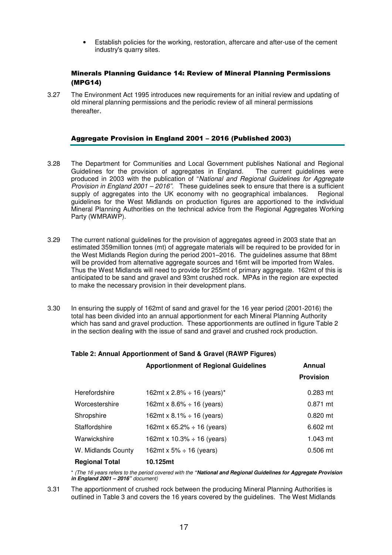• Establish policies for the working, restoration, aftercare and after-use of the cement industry's quarry sites.

### Minerals Planning Guidance 14: Review of Mineral Planning Permissions (MPG14)

3.27 The Environment Act 1995 introduces new requirements for an initial review and updating of old mineral planning permissions and the periodic review of all mineral permissions thereafter.

#### Aggregate Provision in England 2001 – 2016 (Published 2003)

- 3.28 The Department for Communities and Local Government publishes National and Regional Guidelines for the provision of aggregates in England. The current guidelines were produced in 2003 with the publication of "National and Regional Guidelines for Aggregate Provision in England 2001 – 2016". These guidelines seek to ensure that there is a sufficient supply of aggregates into the UK economy with no geographical imbalances. Regional guidelines for the West Midlands on production figures are apportioned to the individual Mineral Planning Authorities on the technical advice from the Regional Aggregates Working Party (WMRAWP).
- 3.29 The current national guidelines for the provision of aggregates agreed in 2003 state that an estimated 359million tonnes (mt) of aggregate materials will be required to be provided for in the West Midlands Region during the period 2001–2016. The guidelines assume that 88mt will be provided from alternative aggregate sources and 16mt will be imported from Wales. Thus the West Midlands will need to provide for 255mt of primary aggregate. 162mt of this is anticipated to be sand and gravel and 93mt crushed rock. MPAs in the region are expected to make the necessary provision in their development plans.
- 3.30 In ensuring the supply of 162mt of sand and gravel for the 16 year period (2001-2016) the total has been divided into an annual apportionment for each Mineral Planning Authority which has sand and gravel production. These apportionments are outlined in figure Table 2 in the section dealing with the issue of sand and gravel and crushed rock production.

#### **Table 2: Annual Apportionment of Sand & Gravel (RAWP Figures)**

|                       | <b>Apportionment of Regional Guidelines</b> | Annual           |
|-----------------------|---------------------------------------------|------------------|
|                       |                                             | <b>Provision</b> |
| Herefordshire         | 162mt x 2.8% $\div$ 16 (years)*             | $0.283$ mt       |
| Worcestershire        | 162mt x 8.6% $\div$ 16 (years)              | $0.871$ mt       |
| Shropshire            | 162mt x 8.1% $\div$ 16 (years)              | $0.820$ mt       |
| Staffordshire         | 162mt x 65.2% $\div$ 16 (years)             | 6.602 mt         |
| Warwickshire          | 162mt x 10.3% $\div$ 16 (years)             | 1.043 mt         |
| W. Midlands County    | 162mt x 5% $\div$ 16 (years)                | $0.506$ mt       |
| <b>Regional Total</b> | 10.125mt                                    |                  |

\* (The 16 years refers to the period covered with the **"National and Regional Guidelines for Aggregate Provision in England 2001 – 2016"** document)

3.31 The apportionment of crushed rock between the producing Mineral Planning Authorities is outlined in Table 3 and covers the 16 years covered by the guidelines. The West Midlands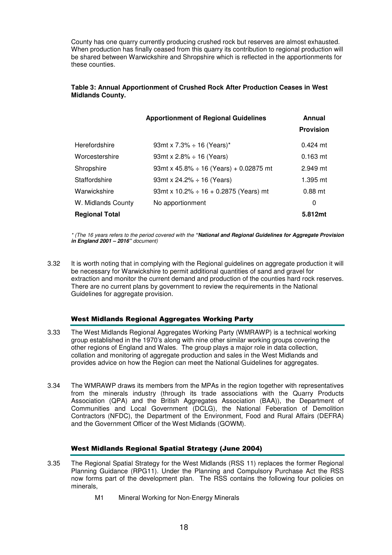County has one quarry currently producing crushed rock but reserves are almost exhausted. When production has finally ceased from this quarry its contribution to regional production will be shared between Warwickshire and Shropshire which is reflected in the apportionments for these counties.

#### **Table 3: Annual Apportionment of Crushed Rock After Production Ceases in West Midlands County.**

|                       | <b>Apportionment of Regional Guidelines</b> | Annual<br><b>Provision</b> |
|-----------------------|---------------------------------------------|----------------------------|
| Herefordshire         | 93mt x 7.3% $\div$ 16 (Years)*              | $0.424$ mt                 |
| Worcestershire        | 93mt x $2.8\% \div 16$ (Years)              | $0.163$ mt                 |
| Shropshire            | 93mt x 45.8% $\div$ 16 (Years) + 0.02875 mt | 2.949 mt                   |
| Staffordshire         | 93mt x 24.2% $\div$ 16 (Years)              | 1.395 mt                   |
| Warwickshire          | 93mt x 10.2% $\div$ 16 + 0.2875 (Years) mt  | $0.88$ mt                  |
| W. Midlands County    | No apportionment                            | 0                          |
| <b>Regional Total</b> |                                             | 5.812mt                    |

\* (The 16 years refers to the period covered with the **"National and Regional Guidelines for Aggregate Provision in England 2001 – 2016"** document)

3.32 It is worth noting that in complying with the Regional guidelines on aggregate production it will be necessary for Warwickshire to permit additional quantities of sand and gravel for extraction and monitor the current demand and production of the counties hard rock reserves. There are no current plans by government to review the requirements in the National Guidelines for aggregate provision.

## West Midlands Regional Aggregates Working Party

- 3.33 The West Midlands Regional Aggregates Working Party (WMRAWP) is a technical working group established in the 1970's along with nine other similar working groups covering the other regions of England and Wales. The group plays a major role in data collection, collation and monitoring of aggregate production and sales in the West Midlands and provides advice on how the Region can meet the National Guidelines for aggregates.
- 3.34 The WMRAWP draws its members from the MPAs in the region together with representatives from the minerals industry (through its trade associations with the Quarry Products Association (QPA) and the British Aggregates Association (BAA)), the Department of Communities and Local Government (DCLG), the National Feberation of Demolition Contractors (NFDC), the Department of the Environment, Food and Rural Affairs (DEFRA) and the Government Officer of the West Midlands (GOWM).

#### West Midlands Regional Spatial Strategy (June 2004)

- 3.35 The Regional Spatial Strategy for the West Midlands (RSS 11) replaces the former Regional Planning Guidance (RPG11). Under the Planning and Compulsory Purchase Act the RSS now forms part of the development plan. The RSS contains the following four policies on minerals,
	- M1 Mineral Working for Non-Energy Minerals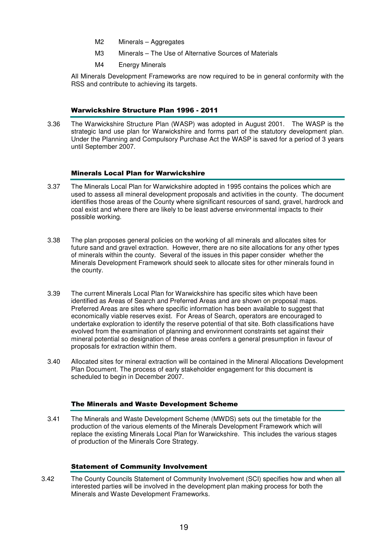- M2 Minerals Aggregates
- M3 Minerals The Use of Alternative Sources of Materials
- M4 Energy Minerals

All Minerals Development Frameworks are now required to be in general conformity with the RSS and contribute to achieving its targets.

#### Warwickshire Structure Plan 1996 - 2011

3.36 The Warwickshire Structure Plan (WASP) was adopted in August 2001. The WASP is the strategic land use plan for Warwickshire and forms part of the statutory development plan. Under the Planning and Compulsory Purchase Act the WASP is saved for a period of 3 years until September 2007.

#### Minerals Local Plan for Warwickshire

- 3.37 The Minerals Local Plan for Warwickshire adopted in 1995 contains the polices which are used to assess all mineral development proposals and activities in the county. The document identifies those areas of the County where significant resources of sand, gravel, hardrock and coal exist and where there are likely to be least adverse environmental impacts to their possible working.
- 3.38 The plan proposes general policies on the working of all minerals and allocates sites for future sand and gravel extraction. However, there are no site allocations for any other types of minerals within the county. Several of the issues in this paper consider whether the Minerals Development Framework should seek to allocate sites for other minerals found in the county.
- 3.39 The current Minerals Local Plan for Warwickshire has specific sites which have been identified as Areas of Search and Preferred Areas and are shown on proposal maps. Preferred Areas are sites where specific information has been available to suggest that economically viable reserves exist. For Areas of Search, operators are encouraged to undertake exploration to identify the reserve potential of that site. Both classifications have evolved from the examination of planning and environment constraints set against their mineral potential so designation of these areas confers a general presumption in favour of proposals for extraction within them.
- 3.40 Allocated sites for mineral extraction will be contained in the Mineral Allocations Development Plan Document. The process of early stakeholder engagement for this document is scheduled to begin in December 2007.

#### The Minerals and Waste Development Scheme

3.41 The Minerals and Waste Development Scheme (MWDS) sets out the timetable for the production of the various elements of the Minerals Development Framework which will replace the existing Minerals Local Plan for Warwickshire. This includes the various stages of production of the Minerals Core Strategy.

#### Statement of Community Involvement

3.42 The County Councils Statement of Community Involvement (SCI) specifies how and when all interested parties will be involved in the development plan making process for both the Minerals and Waste Development Frameworks.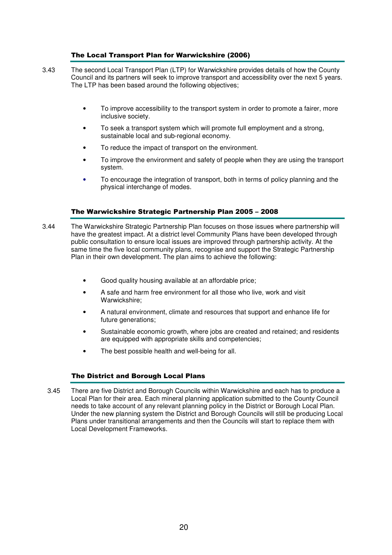#### The Local Transport Plan for Warwickshire (2006)

- 3.43 The second Local Transport Plan (LTP) for Warwickshire provides details of how the County Council and its partners will seek to improve transport and accessibility over the next 5 years. The LTP has been based around the following objectives;
	- To improve accessibility to the transport system in order to promote a fairer, more inclusive society.
	- To seek a transport system which will promote full employment and a strong, sustainable local and sub-regional economy.
	- To reduce the impact of transport on the environment.
	- To improve the environment and safety of people when they are using the transport system.
	- To encourage the integration of transport, both in terms of policy planning and the physical interchange of modes.

#### The Warwickshire Strategic Partnership Plan 2005 – 2008

- 3.44 The Warwickshire Strategic Partnership Plan focuses on those issues where partnership will have the greatest impact. At a district level Community Plans have been developed through public consultation to ensure local issues are improved through partnership activity. At the same time the five local community plans, recognise and support the Strategic Partnership Plan in their own development. The plan aims to achieve the following:
	- Good quality housing available at an affordable price;
	- A safe and harm free environment for all those who live, work and visit Warwickshire;
	- A natural environment, climate and resources that support and enhance life for future generations:
	- Sustainable economic growth, where jobs are created and retained; and residents are equipped with appropriate skills and competencies;
	- The best possible health and well-being for all.

#### The District and Borough Local Plans

3.45 There are five District and Borough Councils within Warwickshire and each has to produce a Local Plan for their area. Each mineral planning application submitted to the County Council needs to take account of any relevant planning policy in the District or Borough Local Plan. Under the new planning system the District and Borough Councils will still be producing Local Plans under transitional arrangements and then the Councils will start to replace them with Local Development Frameworks.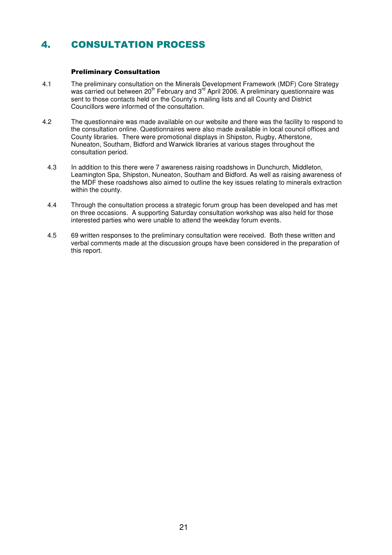# 4. CONSULTATION PROCESS

#### Preliminary Consultation

- 4.1 The preliminary consultation on the Minerals Development Framework (MDF) Core Strategy was carried out between 20<sup>th</sup> February and 3<sup>rd</sup> April 2006. A preliminary questionnaire was sent to those contacts held on the County's mailing lists and all County and District Councillors were informed of the consultation.
- 4.2 The questionnaire was made available on our website and there was the facility to respond to the consultation online. Questionnaires were also made available in local council offices and County libraries. There were promotional displays in Shipston, Rugby, Atherstone, Nuneaton, Southam, Bidford and Warwick libraries at various stages throughout the consultation period.
	- 4.3 In addition to this there were 7 awareness raising roadshows in Dunchurch, Middleton, Leamington Spa, Shipston, Nuneaton, Southam and Bidford. As well as raising awareness of the MDF these roadshows also aimed to outline the key issues relating to minerals extraction within the county.
	- 4.4 Through the consultation process a strategic forum group has been developed and has met on three occasions. A supporting Saturday consultation workshop was also held for those interested parties who were unable to attend the weekday forum events.
	- 4.5 69 written responses to the preliminary consultation were received. Both these written and verbal comments made at the discussion groups have been considered in the preparation of this report.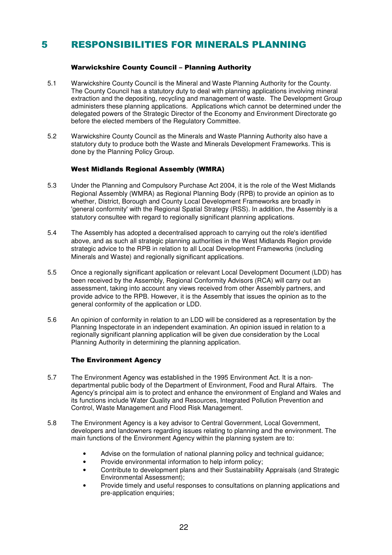# 5 RESPONSIBILITIES FOR MINERALS PLANNING

#### Warwickshire County Council – Planning Authority

- 5.1 Warwickshire County Council is the Mineral and Waste Planning Authority for the County. The County Council has a statutory duty to deal with planning applications involving mineral extraction and the depositing, recycling and management of waste. The Development Group administers these planning applications. Applications which cannot be determined under the delegated powers of the Strategic Director of the Economy and Environment Directorate go before the elected members of the Regulatory Committee.
- 5.2 Warwickshire County Council as the Minerals and Waste Planning Authority also have a statutory duty to produce both the Waste and Minerals Development Frameworks. This is done by the Planning Policy Group.

#### West Midlands Regional Assembly (WMRA)

- 5.3 Under the Planning and Compulsory Purchase Act 2004, it is the role of the West Midlands Regional Assembly (WMRA) as Regional Planning Body (RPB) to provide an opinion as to whether, District, Borough and County Local Development Frameworks are broadly in 'general conformity' with the Regional Spatial Strategy (RSS). In addition, the Assembly is a statutory consultee with regard to regionally significant planning applications.
- 5.4 The Assembly has adopted a decentralised approach to carrying out the role's identified above, and as such all strategic planning authorities in the West Midlands Region provide strategic advice to the RPB in relation to all Local Development Frameworks (including Minerals and Waste) and regionally significant applications.
- 5.5 Once a regionally significant application or relevant Local Development Document (LDD) has been received by the Assembly, Regional Conformity Advisors (RCA) will carry out an assessment, taking into account any views received from other Assembly partners, and provide advice to the RPB. However, it is the Assembly that issues the opinion as to the general conformity of the application or LDD.
- 5.6 An opinion of conformity in relation to an LDD will be considered as a representation by the Planning Inspectorate in an independent examination. An opinion issued in relation to a regionally significant planning application will be given due consideration by the Local Planning Authority in determining the planning application.

#### The Environment Agency

- 5.7 The Environment Agency was established in the 1995 Environment Act. It is a nondepartmental public body of the Department of Environment, Food and Rural Affairs. The Agency's principal aim is to protect and enhance the environment of England and Wales and its functions include Water Quality and Resources, Integrated Pollution Prevention and Control, Waste Management and Flood Risk Management.
- 5.8 The Environment Agency is a key advisor to Central Government, Local Government, developers and landowners regarding issues relating to planning and the environment. The main functions of the Environment Agency within the planning system are to:
	- Advise on the formulation of national planning policy and technical guidance;
	- Provide environmental information to help inform policy;
	- Contribute to development plans and their Sustainability Appraisals (and Strategic Environmental Assessment);
	- Provide timely and useful responses to consultations on planning applications and pre-application enquiries;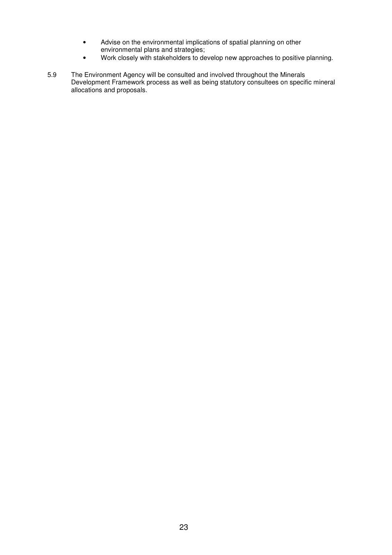- Advise on the environmental implications of spatial planning on other environmental plans and strategies;
- Work closely with stakeholders to develop new approaches to positive planning.
- 5.9 The Environment Agency will be consulted and involved throughout the Minerals Development Framework process as well as being statutory consultees on specific mineral allocations and proposals.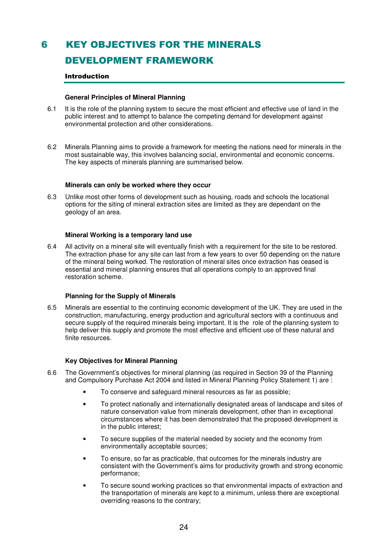# 6 KEY OBJECTIVES FOR THE MINERALS

# DEVELOPMENT FRAMEWORK

#### Introduction

#### **General Principles of Mineral Planning**

- 6.1 It is the role of the planning system to secure the most efficient and effective use of land in the public interest and to attempt to balance the competing demand for development against environmental protection and other considerations.
- 6.2 Minerals Planning aims to provide a framework for meeting the nations need for minerals in the most sustainable way, this involves balancing social, environmental and economic concerns. The key aspects of minerals planning are summarised below.

#### **Minerals can only be worked where they occur**

6.3 Unlike most other forms of development such as housing, roads and schools the locational options for the siting of mineral extraction sites are limited as they are dependant on the geology of an area.

#### **Mineral Working is a temporary land use**

6.4 All activity on a mineral site will eventually finish with a requirement for the site to be restored. The extraction phase for any site can last from a few years to over 50 depending on the nature of the mineral being worked. The restoration of mineral sites once extraction has ceased is essential and mineral planning ensures that all operations comply to an approved final restoration scheme.

#### **Planning for the Supply of Minerals**

6.5 Minerals are essential to the continuing economic development of the UK. They are used in the construction, manufacturing, energy production and agricultural sectors with a continuous and secure supply of the required minerals being important. It is the role of the planning system to help deliver this supply and promote the most effective and efficient use of these natural and finite resources.

#### **Key Objectives for Mineral Planning**

- 6.6 The Government's objectives for mineral planning (as required in Section 39 of the Planning and Compulsory Purchase Act 2004 and listed in Mineral Planning Policy Statement 1) are :
	- To conserve and safeguard mineral resources as far as possible;
	- To protect nationally and internationally designated areas of landscape and sites of nature conservation value from minerals development, other than in exceptional circumstances where it has been demonstrated that the proposed development is in the public interest;
	- To secure supplies of the material needed by society and the economy from environmentally acceptable sources;
	- To ensure, so far as practicable, that outcomes for the minerals industry are consistent with the Government's aims for productivity growth and strong economic performance;
	- To secure sound working practices so that environmental impacts of extraction and the transportation of minerals are kept to a minimum, unless there are exceptional overriding reasons to the contrary;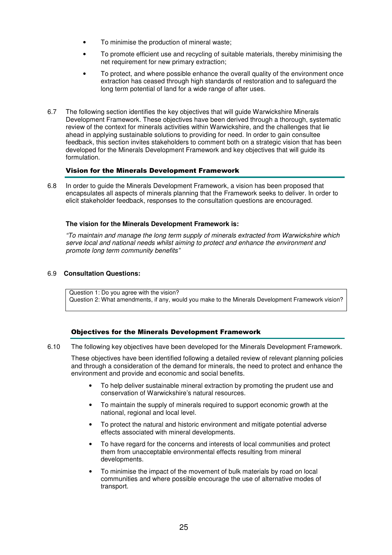- To minimise the production of mineral waste;
- To promote efficient use and recycling of suitable materials, thereby minimising the net requirement for new primary extraction;
- To protect, and where possible enhance the overall quality of the environment once extraction has ceased through high standards of restoration and to safeguard the long term potential of land for a wide range of after uses.
- 6.7 The following section identifies the key objectives that will guide Warwickshire Minerals Development Framework. These objectives have been derived through a thorough, systematic review of the context for minerals activities within Warwickshire, and the challenges that lie ahead in applying sustainable solutions to providing for need. In order to gain consultee feedback, this section invites stakeholders to comment both on a strategic vision that has been developed for the Minerals Development Framework and key objectives that will guide its formulation.

### Vision for the Minerals Development Framework

 6.8 In order to guide the Minerals Development Framework, a vision has been proposed that encapsulates all aspects of minerals planning that the Framework seeks to deliver. In order to elicit stakeholder feedback, responses to the consultation questions are encouraged.

#### **The vision for the Minerals Development Framework is:**

"To maintain and manage the long term supply of minerals extracted from Warwickshire which serve local and national needs whilst aiming to protect and enhance the environment and promote long term community benefits"

#### 6.9 **Consultation Questions:**

Question 1: Do you agree with the vision? Question 2: What amendments, if any, would you make to the Minerals Development Framework vision?

#### Objectives for the Minerals Development Framework

6.10 The following key objectives have been developed for the Minerals Development Framework.

These objectives have been identified following a detailed review of relevant planning policies and through a consideration of the demand for minerals, the need to protect and enhance the environment and provide and economic and social benefits.

- To help deliver sustainable mineral extraction by promoting the prudent use and conservation of Warwickshire's natural resources.
- To maintain the supply of minerals required to support economic growth at the national, regional and local level.
- To protect the natural and historic environment and mitigate potential adverse effects associated with mineral developments.
- To have regard for the concerns and interests of local communities and protect them from unacceptable environmental effects resulting from mineral developments.
- To minimise the impact of the movement of bulk materials by road on local communities and where possible encourage the use of alternative modes of transport.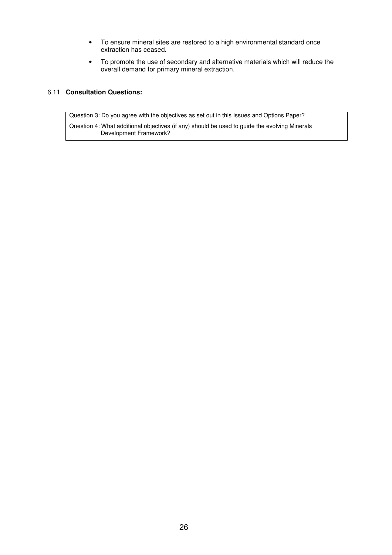- To ensure mineral sites are restored to a high environmental standard once extraction has ceased.
- To promote the use of secondary and alternative materials which will reduce the overall demand for primary mineral extraction.

## 6.11 **Consultation Questions:**

Question 3: Do you agree with the objectives as set out in this Issues and Options Paper?

Question 4: What additional objectives (if any) should be used to guide the evolving Minerals Development Framework?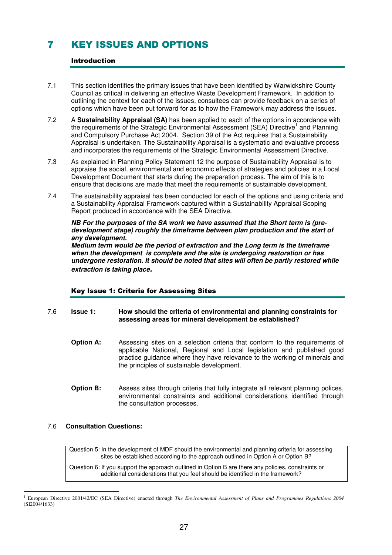# 7 KEY ISSUES AND OPTIONS

#### Introduction

- 7.1 This section identifies the primary issues that have been identified by Warwickshire County Council as critical in delivering an effective Waste Development Framework. In addition to outlining the context for each of the issues, consultees can provide feedback on a series of options which have been put forward for as to how the Framework may address the issues.
- 7.2 A **Sustainability Appraisal (SA)** has been applied to each of the options in accordance with the requirements of the Strategic Environmental Assessment (SEA) Directive<sup>1</sup> and Planning and Compulsory Purchase Act 2004. Section 39 of the Act requires that a Sustainability Appraisal is undertaken. The Sustainability Appraisal is a systematic and evaluative process and incorporates the requirements of the Strategic Environmental Assessment Directive.
- 7.3 As explained in Planning Policy Statement 12 the purpose of Sustainability Appraisal is to appraise the social, environmental and economic effects of strategies and policies in a Local Development Document that starts during the preparation process. The aim of this is to ensure that decisions are made that meet the requirements of sustainable development.
- 7.4 The sustainability appraisal has been conducted for each of the options and using criteria and a Sustainability Appraisal Framework captured within a Sustainability Appraisal Scoping Report produced in accordance with the SEA Directive.

#### **NB For the purposes of the SA work we have assumed that the Short term is (predevelopment stage) roughly the timeframe between plan production and the start of any development.**

**Medium term would be the period of extraction and the Long term is the timeframe when the development is complete and the site is undergoing restoration or has undergone restoration. It should be noted that sites will often be partly restored while extraction is taking place.** 

## Key Issue 1: Criteria for Assessing Sites

### 7.6 **Issue 1: How should the criteria of environmental and planning constraints for assessing areas for mineral development be established?**

- **Option A:** Assessing sites on a selection criteria that conform to the requirements of applicable National, Regional and Local legislation and published good practice guidance where they have relevance to the working of minerals and the principles of sustainable development.
- **Option B:** Assess sites through criteria that fully integrate all relevant planning polices, environmental constraints and additional considerations identified through the consultation processes.

#### 7.6 **Consultation Questions:**

Question 5: In the development of MDF should the environmental and planning criteria for assessing sites be established according to the approach outlined in Option A or Option B?

Question 6: If you support the approach outlined in Option B are there any policies, constraints or additional considerations that you feel should be identified in the framework?

 1 European Directive 2001/42/EC (SEA Directive) enacted through *The Environmental Assessment of Plans and Programmes Regulations 2004*  (SI2004/1633)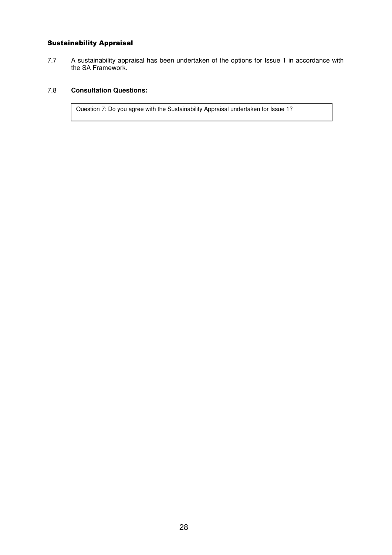# Sustainability Appraisal

7.7 A sustainability appraisal has been undertaken of the options for Issue 1 in accordance with the SA Framework.

### 7.8 **Consultation Questions:**

Question 7: Do you agree with the Sustainability Appraisal undertaken for Issue 1?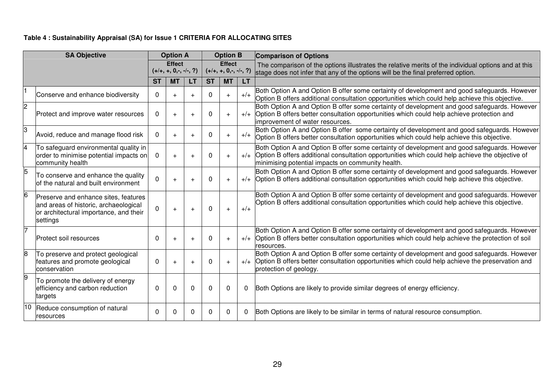## **Table 4 : Sustainability Appraisal (SA) for Issue 1 CRITERIA FOR ALLOCATING SITES**

| <b>SA Objective</b> |                                                                                                                                     | <b>Option B</b><br><b>Option A</b> |                          |           |                                     |           | <b>Comparison of Options</b> |                                                                                                                                                                                                                                                           |  |  |
|---------------------|-------------------------------------------------------------------------------------------------------------------------------------|------------------------------------|--------------------------|-----------|-------------------------------------|-----------|------------------------------|-----------------------------------------------------------------------------------------------------------------------------------------------------------------------------------------------------------------------------------------------------------|--|--|
|                     |                                                                                                                                     |                                    | <b>Effect</b>            |           | <b>Effect</b>                       |           |                              | The comparison of the options illustrates the relative merits of the individual options and at this                                                                                                                                                       |  |  |
|                     |                                                                                                                                     |                                    | $(+/+, +, 0, -, -/-, ?)$ |           | $(+/+, +, 0, -, -/-, ?)$            |           |                              | stage does not infer that any of the options will be the final preferred option.                                                                                                                                                                          |  |  |
|                     |                                                                                                                                     | <b>ST</b>                          | <b>MT</b>                | <b>LT</b> | <b>ST</b><br><b>MT</b><br><b>LT</b> |           |                              |                                                                                                                                                                                                                                                           |  |  |
|                     | Conserve and enhance biodiversity                                                                                                   | $\Omega$                           |                          | $+$       | $\Omega$                            | $+$       | $+/-$                        | Both Option A and Option B offer some certainty of development and good safeguards. However<br>Option B offers additional consultation opportunities which could help achieve this objective.                                                             |  |  |
| $\overline{c}$      | Protect and improve water resources                                                                                                 | $\Omega$                           |                          | $\div$    | $\Omega$                            | $\div$    | $+/-$                        | Both Option A and Option B offer some certainty of development and good safeguards. However<br>Option B offers better consultation opportunities which could help achieve protection and<br>limprovement of water resources.                              |  |  |
| 3                   | Avoid, reduce and manage flood risk                                                                                                 | 0                                  | $\ddot{}$                | $+$       | $\Omega$                            | $\ddot{}$ | $+/-$                        | Both Option A and Option B offer some certainty of development and good safeguards. However<br>Option B offers better consultation opportunities which could help achieve this objective.                                                                 |  |  |
| 4                   | To safeguard environmental quality in<br>order to minimise potential impacts on<br>community health                                 | $\Omega$                           | $+$                      | $+$       | 0                                   | $\ddot{}$ |                              | Both Option A and Option B offer some certainty of development and good safeguards. However<br>$+/-$ Option B offers additional consultation opportunities which could help achieve the objective of<br>minimising potential impacts on community health. |  |  |
| 5                   | To conserve and enhance the quality<br>of the natural and built environment                                                         | $\Omega$                           | $+$                      | $+$       | $\Omega$                            | $\ddot{}$ |                              | Both Option A and Option B offer some certainty of development and good safeguards. However<br>$+/-$ Option B offers additional consultation opportunities which could help achieve this objective.                                                       |  |  |
| 6                   | Preserve and enhance sites, features<br>and areas of historic, archaeological<br>or architectural importance, and their<br>settings | $\Omega$                           | $+$                      | $+$       | 0                                   | $+$       | $+/-$                        | Both Option A and Option B offer some certainty of development and good safeguards. However<br>Option B offers additional consultation opportunities which could help achieve this objective.                                                             |  |  |
| 7                   | Protect soil resources                                                                                                              | $\Omega$                           |                          | $+$       | 0                                   | $\ddot{}$ |                              | Both Option A and Option B offer some certainty of development and good safeguards. However<br>+/+ Option B offers better consultation opportunities which could help achieve the protection of soil<br>resources.                                        |  |  |
| 8                   | To preserve and protect geological<br>features and promote geological<br>conservation                                               | $\Omega$                           |                          | $+$       | $\Omega$                            | $\ddot{}$ |                              | Both Option A and Option B offer some certainty of development and good safeguards. However<br>$+/-$ Option B offers better consultation opportunities which could help achieve the preservation and<br>protection of geology.                            |  |  |
| g                   | To promote the delivery of energy<br>efficiency and carbon reduction<br>targets                                                     | $\Omega$                           | $\Omega$                 | $\Omega$  | $\Omega$                            | $\Omega$  | $\Omega$                     | Both Options are likely to provide similar degrees of energy efficiency.                                                                                                                                                                                  |  |  |
| 10                  | Reduce consumption of natural<br>resources                                                                                          | $\Omega$                           | <sup>0</sup>             | $\Omega$  | 0                                   | $\Omega$  | 0                            | Both Options are likely to be similar in terms of natural resource consumption.                                                                                                                                                                           |  |  |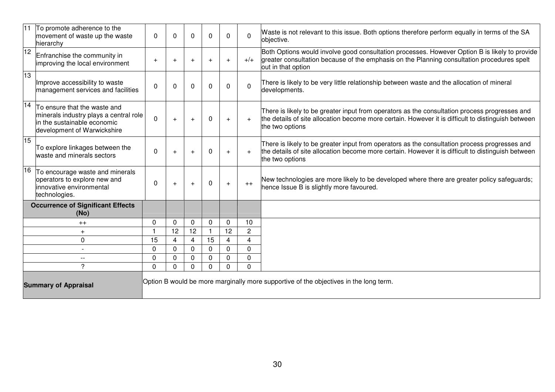| 11          | To promote adherence to the<br>movement of waste up the waste<br>hierarchy                                                           | $\Omega$       | 0        | $\Omega$       | 0        | $\Omega$ | $\Omega$ | Waste is not relevant to this issue. Both options therefore perform equally in terms of the SA<br>objective.                                                                                                           |
|-------------|--------------------------------------------------------------------------------------------------------------------------------------|----------------|----------|----------------|----------|----------|----------|------------------------------------------------------------------------------------------------------------------------------------------------------------------------------------------------------------------------|
| 12          | Enfranchise the community in<br>improving the local environment                                                                      | $+$            |          | $+$            | $+$      | $+$      | $+/-$    | Both Options would involve good consultation processes. However Option B is likely to provide<br>greater consultation because of the emphasis on the Planning consultation procedures spelt<br>out in that option      |
| 13          | Improve accessibility to waste<br>management services and facilities                                                                 | $\Omega$       | ∩        | $\Omega$       | $\Omega$ | $\Omega$ | $\Omega$ | There is likely to be very little relationship between waste and the allocation of mineral<br>developments.                                                                                                            |
| 14          | To ensure that the waste and<br>minerals industry plays a central role<br>in the sustainable economic<br>development of Warwickshire | $\overline{0}$ | $+$      | $+$            | 0        | $+$      | $+$      | There is likely to be greater input from operators as the consultation process progresses and<br>the details of site allocation become more certain. However it is difficult to distinguish between<br>the two options |
| 15          | To explore linkages between the<br>waste and minerals sectors                                                                        | $\Omega$       |          | $+$            | 0        | $\div$   | $+$      | There is likely to be greater input from operators as the consultation process progresses and<br>the details of site allocation become more certain. However it is difficult to distinguish between<br>the two options |
| 16          | To encourage waste and minerals<br>operators to explore new and<br>innovative environmental<br>technologies.                         | 0              | $+$      | $+$            | 0        | $+$      | $++$     | New technologies are more likely to be developed where there are greater policy safeguards;<br>hence Issue B is slightly more favoured.                                                                                |
|             | <b>Occurrence of Significant Effects</b><br>(No)                                                                                     |                |          |                |          |          |          |                                                                                                                                                                                                                        |
|             | $++$                                                                                                                                 | 0              | $\Omega$ | 0              | 0        | 0        | 10       |                                                                                                                                                                                                                        |
|             | $\ddot{}$                                                                                                                            |                | 12       | 12             |          | 12       | 2        |                                                                                                                                                                                                                        |
| $\mathbf 0$ |                                                                                                                                      | 15             |          | $\overline{4}$ | 15       | 4        | 4        |                                                                                                                                                                                                                        |
|             |                                                                                                                                      | 0              | $\Omega$ | $\mathbf{0}$   | 0        | 0        | 0        |                                                                                                                                                                                                                        |
| $-$         |                                                                                                                                      | 0              | 0        | 0              | 0        | 0        | 0        |                                                                                                                                                                                                                        |
|             | ?                                                                                                                                    | $\Omega$       | $\Omega$ | $\Omega$       | 0        | $\Omega$ | $\Omega$ |                                                                                                                                                                                                                        |
|             | <b>Summary of Appraisal</b>                                                                                                          |                |          |                |          |          |          | Option B would be more marginally more supportive of the objectives in the long term.                                                                                                                                  |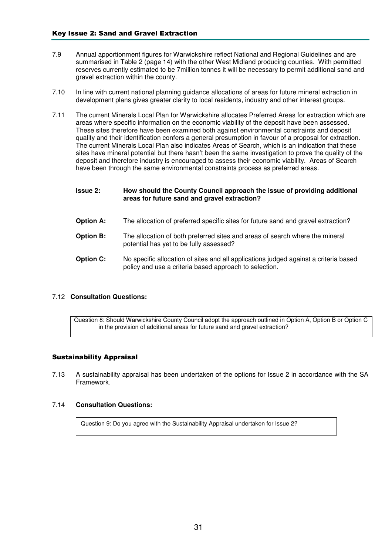- 7.9 Annual apportionment figures for Warwickshire reflect National and Regional Guidelines and are summarised in Table 2 (page 14) with the other West Midland producing counties. With permitted reserves currently estimated to be 7million tonnes it will be necessary to permit additional sand and gravel extraction within the county.
- 7.10 In line with current national planning guidance allocations of areas for future mineral extraction in development plans gives greater clarity to local residents, industry and other interest groups.
- 7.11 The current Minerals Local Plan for Warwickshire allocates Preferred Areas for extraction which are areas where specific information on the economic viability of the deposit have been assessed. These sites therefore have been examined both against environmental constraints and deposit quality and their identification confers a general presumption in favour of a proposal for extraction. The current Minerals Local Plan also indicates Areas of Search, which is an indication that these sites have mineral potential but there hasn't been the same investigation to prove the quality of the deposit and therefore industry is encouraged to assess their economic viability. Areas of Search have been through the same environmental constraints process as preferred areas.

#### **Issue 2: How should the County Council approach the issue of providing additional areas for future sand and gravel extraction?**

- **Option A:** The allocation of preferred specific sites for future sand and gravel extraction?
- **Option B:** The allocation of both preferred sites and areas of search where the mineral potential has yet to be fully assessed?
- **Option C:** No specific allocation of sites and all applications judged against a criteria based policy and use a criteria based approach to selection.

#### 7.12 **Consultation Questions:**

Question 8: Should Warwickshire County Council adopt the approach outlined in Option A, Option B or Option C in the provision of additional areas for future sand and gravel extraction?

#### Sustainability Appraisal

7.13 A sustainability appraisal has been undertaken of the options for Issue 2 in accordance with the SA Framework.

#### 7.14 **Consultation Questions:**

Question 9: Do you agree with the Sustainability Appraisal undertaken for Issue 2?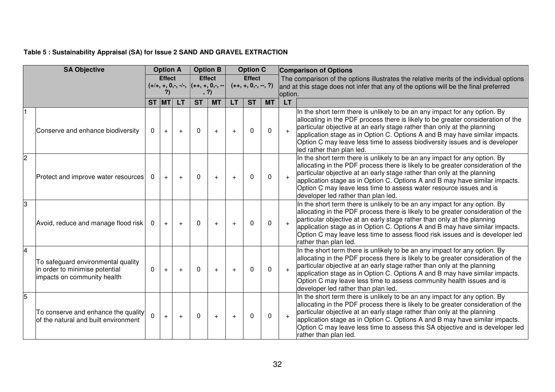|  | Table 5 : Sustainability Appraisal (SA) for Issue 2 SAND AND GRAVEL EXTRACTION |
|--|--------------------------------------------------------------------------------|
|  |                                                                                |

| <b>SA Objective</b> |                                                                                                     |              | <b>Option A</b> |           |                                               | <b>Option B</b> |           | <b>Option C</b>       |           |                                                                                                 | <b>Comparison of Options</b>                                                                                                                                                                                                                                                                                                                                                                                                             |  |
|---------------------|-----------------------------------------------------------------------------------------------------|--------------|-----------------|-----------|-----------------------------------------------|-----------------|-----------|-----------------------|-----------|-------------------------------------------------------------------------------------------------|------------------------------------------------------------------------------------------------------------------------------------------------------------------------------------------------------------------------------------------------------------------------------------------------------------------------------------------------------------------------------------------------------------------------------------------|--|
|                     |                                                                                                     |              | <b>Effect</b>   |           |                                               | <b>Effect</b>   |           | <b>Effect</b>         |           | The comparison of the options illustrates the relative merits of the individual options         |                                                                                                                                                                                                                                                                                                                                                                                                                                          |  |
|                     |                                                                                                     |              | ?)              |           | $(+/+, +, 0, -, -/-,  (++, +, 0, -, -$<br>, ? |                 |           | $(++, +, 0, -, -, ?)$ |           | and at this stage does not infer that any of the options will be the final preferred<br>option. |                                                                                                                                                                                                                                                                                                                                                                                                                                          |  |
|                     |                                                                                                     |              | $ST$ $ MT $     | <b>LT</b> | <b>ST</b>                                     | <b>MT</b>       | LT.       | <b>ST</b>             | <b>MT</b> | <b>LT</b>                                                                                       |                                                                                                                                                                                                                                                                                                                                                                                                                                          |  |
|                     | Conserve and enhance biodiversity                                                                   | $\mathbf{0}$ | $+$             | $\ddot{}$ | 0                                             | $\ddot{}$       | $+$       | 0                     | $\Omega$  |                                                                                                 | In the short term there is unlikely to be an any impact for any option. By<br>allocating in the PDF process there is likely to be greater consideration of the<br>particular objective at an early stage rather than only at the planning<br>application stage as in Option C. Options A and B may have similar impacts.<br>Option C may leave less time to assess biodiversity issues and is developer<br>led rather than plan led.     |  |
| $\overline{c}$      | Protect and improve water resources                                                                 | 0            | $+$             | $+$       | $\Omega$                                      | $\ddot{}$       | $\ddot{}$ | 0                     | $\Omega$  |                                                                                                 | In the short term there is unlikely to be an any impact for any option. By<br>allocating in the PDF process there is likely to be greater consideration of the<br>particular objective at an early stage rather than only at the planning<br>application stage as in Option C. Options A and B may have similar impacts.<br>Option C may leave less time to assess water resource issues and is<br>developer led rather than plan led.   |  |
| 3                   | Avoid, reduce and manage flood risk                                                                 | $\Omega$     | $+$             | $\ddot{}$ | 0                                             | $\ddot{}$       | $+$       | 0                     | $\Omega$  |                                                                                                 | In the short term there is unlikely to be an any impact for any option. By<br>allocating in the PDF process there is likely to be greater consideration of the<br>particular objective at an early stage rather than only at the planning<br>application stage as in Option C. Options A and B may have similar impacts.<br>Option C may leave less time to assess flood risk issues and is developer led<br>rather than plan led.       |  |
| 4                   | To safeguard environmental quality<br>in order to minimise potential<br>impacts on community health | 0            | $+$             | $+$       | $\Omega$                                      | $+$             | $+$       | 0                     | $\Omega$  | $\ddot{+}$                                                                                      | In the short term there is unlikely to be an any impact for any option. By<br>allocating in the PDF process there is likely to be greater consideration of the<br>particular objective at an early stage rather than only at the planning<br>application stage as in Option C. Options A and B may have similar impacts.<br>Option C may leave less time to assess community health issues and is<br>developer led rather than plan led. |  |
| 5                   | To conserve and enhance the quality<br>of the natural and built environment                         | $\Omega$     | $+$             | $+$       | $\Omega$                                      | $\ddot{}$       | $+$       | 0                     | $\Omega$  |                                                                                                 | In the short term there is unlikely to be an any impact for any option. By<br>allocating in the PDF process there is likely to be greater consideration of the<br>particular objective at an early stage rather than only at the planning<br>application stage as in Option C. Options A and B may have similar impacts.<br>Option C may leave less time to assess this SA objective and is developer led<br>rather than plan led.       |  |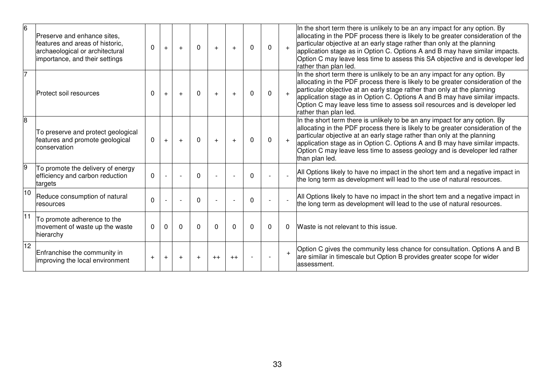| 6  | Preserve and enhance sites,<br>features and areas of historic,<br>archaeological or architectural<br>importance, and their settings | 0        | $\ddot{}$ | $+$ | $\Omega$ | $+$      | $+$      | $\Omega$ | $\Omega$     |          | In the short term there is unlikely to be an any impact for any option. By<br>allocating in the PDF process there is likely to be greater consideration of the<br>particular objective at an early stage rather than only at the planning<br>application stage as in Option C. Options A and B may have similar impacts.<br>Option C may leave less time to assess this SA objective and is developer led<br>rather than plan led. |
|----|-------------------------------------------------------------------------------------------------------------------------------------|----------|-----------|-----|----------|----------|----------|----------|--------------|----------|------------------------------------------------------------------------------------------------------------------------------------------------------------------------------------------------------------------------------------------------------------------------------------------------------------------------------------------------------------------------------------------------------------------------------------|
|    | Protect soil resources                                                                                                              | 0        | $+$       | $+$ | 0        | $+$      | $+$      | $\Omega$ | $\mathbf 0$  |          | In the short term there is unlikely to be an any impact for any option. By<br>allocating in the PDF process there is likely to be greater consideration of the<br>particular objective at an early stage rather than only at the planning<br>application stage as in Option C. Options A and B may have similar impacts.<br>Option C may leave less time to assess soil resources and is developer led<br>rather than plan led.    |
| l8 | To preserve and protect geological<br>features and promote geological<br>conservation                                               | 0        | $+$       | $+$ | $\Omega$ | $+$      |          | $\Omega$ | $\mathbf{0}$ |          | In the short term there is unlikely to be an any impact for any option. By<br>allocating in the PDF process there is likely to be greater consideration of the<br>particular objective at an early stage rather than only at the planning<br>application stage as in Option C. Options A and B may have similar impacts.<br>Option C may leave less time to assess geology and is developer led rather<br>than plan led.           |
| 9  | To promote the delivery of energy<br>efficiency and carbon reduction<br>targets                                                     | 0        |           |     | $\Omega$ |          |          | $\Omega$ |              |          | All Options likely to have no impact in the short tem and a negative impact in<br>the long term as development will lead to the use of natural resources.                                                                                                                                                                                                                                                                          |
| 10 | Reduce consumption of natural<br>resources                                                                                          | $\Omega$ |           |     | 0        |          |          | $\Omega$ |              |          | All Options likely to have no impact in the short tem and a negative impact in<br>the long term as development will lead to the use of natural resources.                                                                                                                                                                                                                                                                          |
| 11 | To promote adherence to the<br>movement of waste up the waste<br>hierarchy                                                          | 0        | 0         | 0   | $\Omega$ | $\Omega$ | $\Omega$ | $\Omega$ | $\mathbf{0}$ | $\Omega$ | Waste is not relevant to this issue.                                                                                                                                                                                                                                                                                                                                                                                               |
| 12 | Enfranchise the community in<br>improving the local environment                                                                     | $+$      | $\ddot{}$ |     |          | $++$     | $^{++}$  |          |              | $+$      | Option C gives the community less chance for consultation. Options A and B<br>are similar in timescale but Option B provides greater scope for wider<br>assessment.                                                                                                                                                                                                                                                                |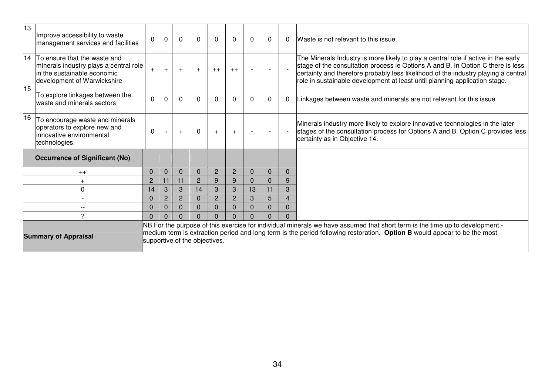| 13 | Improve accessibility to waste<br>management services and facilities                                                                 | $\Omega$       | 0              | $\Omega$ | $\Omega$                      | $\Omega$       | $\Omega$       | $\Omega$        | $\Omega$ | $\Omega$       | Waste is not relevant to this issue.                                                                                                                                                                                                                                                                                                      |
|----|--------------------------------------------------------------------------------------------------------------------------------------|----------------|----------------|----------|-------------------------------|----------------|----------------|-----------------|----------|----------------|-------------------------------------------------------------------------------------------------------------------------------------------------------------------------------------------------------------------------------------------------------------------------------------------------------------------------------------------|
| 14 | To ensure that the waste and<br>minerals industry plays a central role<br>in the sustainable economic<br>development of Warwickshire | $+$            | $+$            |          | $+$                           | $++$           | $++$           |                 |          |                | The Minerals Industry is more likely to play a central role if active in the early<br>stage of the consultation process ie Options A and B. In Option C there is less<br>certainty and therefore probably less likelihood of the industry playing a central<br>role in sustainable development at least until planning application stage. |
| 15 | To explore linkages between the<br>waste and minerals sectors                                                                        | $\mathbf{0}$   | 0              | 0        | $\mathbf{0}$                  | $\Omega$       | $\Omega$       | $\Omega$        | 0        | 0              | Linkages between waste and minerals are not relevant for this issue                                                                                                                                                                                                                                                                       |
| 16 | To encourage waste and minerals<br>operators to explore new and<br>innovative environmental<br>technologies.                         | 0              | $+$            | $+$      | $\mathbf{0}$                  |                | $+$            |                 |          |                | Minerals industry more likely to explore innovative technologies in the later<br>stages of the consultation process for Options A and B. Option C provides less<br>certainty as in Objective 14.                                                                                                                                          |
|    | <b>Occurrence of Significant (No)</b>                                                                                                |                |                |          |                               |                |                |                 |          |                |                                                                                                                                                                                                                                                                                                                                           |
|    | $++$                                                                                                                                 | $\overline{0}$ | $\mathbf 0$    | $\Omega$ | $\Omega$                      | $\overline{2}$ | $\overline{2}$ | $\Omega$        | $\Omega$ | $\Omega$       |                                                                                                                                                                                                                                                                                                                                           |
|    | $\ddot{}$                                                                                                                            | $\overline{2}$ | 11             | 11       | 2                             | 9              | 9              | $\Omega$        | $\Omega$ | 9              |                                                                                                                                                                                                                                                                                                                                           |
|    | 0                                                                                                                                    | 14             | 3              | 3        | 14                            | 3              | 3              | 13 <sup>1</sup> | 11       | 3              |                                                                                                                                                                                                                                                                                                                                           |
|    |                                                                                                                                      | 0              | $\overline{2}$ | 2        | 0                             | 2              | $\overline{2}$ | 3               | 5        | $\overline{4}$ |                                                                                                                                                                                                                                                                                                                                           |
|    | $- -$                                                                                                                                | 0              | $\mathbf 0$    |          | 0                             | $\Omega$       | $\Omega$       |                 | 0        | $\Omega$       |                                                                                                                                                                                                                                                                                                                                           |
|    | $\overline{?}$                                                                                                                       | $\Omega$       | $\Omega$       |          | 0                             |                | $\Omega$       |                 | $\Omega$ |                |                                                                                                                                                                                                                                                                                                                                           |
|    | <b>Summary of Appraisal</b>                                                                                                          |                |                |          | supportive of the objectives. |                |                |                 |          |                | NB For the purpose of this exercise for individual minerals we have assumed that short term is the time up to development -<br>medium term is extraction period and long term is the period following restoration. Option B would appear to be the most                                                                                   |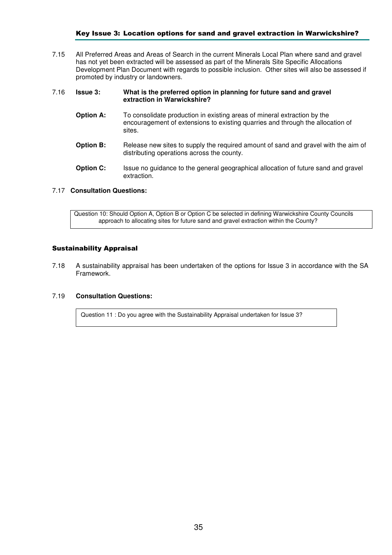#### Key Issue 3: Location options for sand and gravel extraction in Warwickshire?

7.15 All Preferred Areas and Areas of Search in the current Minerals Local Plan where sand and gravel has not yet been extracted will be assessed as part of the Minerals Site Specific Allocations Development Plan Document with regards to possible inclusion. Other sites will also be assessed if promoted by industry or landowners.

#### 7.16 **Issue 3: What is the preferred option in planning for future sand and gravel extraction in Warwickshire?**

- **Option A:** To consolidate production in existing areas of mineral extraction by the encouragement of extensions to existing quarries and through the allocation of sites.
- **Option B:** Release new sites to supply the required amount of sand and gravel with the aim of distributing operations across the county.
- **Option C:** Issue no guidance to the general geographical allocation of future sand and gravel extraction.

### 7.17 **Consultation Questions:**

Question 10: Should Option A, Option B or Option C be selected in defining Warwickshire County Councils approach to allocating sites for future sand and gravel extraction within the County?

### Sustainability Appraisal

7.18 A sustainability appraisal has been undertaken of the options for Issue 3 in accordance with the SA Framework.

#### 7.19 **Consultation Questions:**

Question 11 : Do you agree with the Sustainability Appraisal undertaken for Issue 3?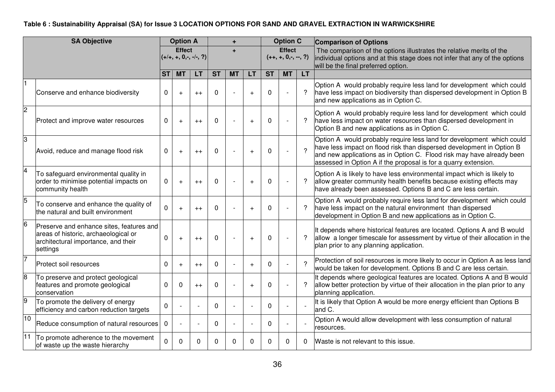## **Table 6 : Sustainability Appraisal (SA) for Issue 3 LOCATION OPTIONS FOR SAND AND GRAVEL EXTRACTION IN WARWICKSHIRE**

| <b>SA Objective</b>     |                                                                                                                                     |           | <b>Option A</b>                           |         |              | ٠         |                |           | <b>Option C</b>                        |                            | <b>Comparison of Options</b>                                                                                                                                                                                                                                                               |
|-------------------------|-------------------------------------------------------------------------------------------------------------------------------------|-----------|-------------------------------------------|---------|--------------|-----------|----------------|-----------|----------------------------------------|----------------------------|--------------------------------------------------------------------------------------------------------------------------------------------------------------------------------------------------------------------------------------------------------------------------------------------|
|                         |                                                                                                                                     |           | <b>Effect</b><br>$(+/+, +, 0, -, -/-, ?)$ |         |              | ٠         |                |           | <b>Effect</b><br>$(++, +, 0, -, -, ?)$ |                            | The comparison of the options illustrates the relative merits of the<br>individual options and at this stage does not infer that any of the options<br>will be the final preferred option.                                                                                                 |
|                         |                                                                                                                                     | <b>ST</b> | <b>MT</b>                                 | LT.     | <b>ST</b>    | <b>MT</b> | <b>LT</b>      | <b>ST</b> | <b>MT</b>                              | <b>LT</b>                  |                                                                                                                                                                                                                                                                                            |
|                         | Conserve and enhance biodiversity                                                                                                   | 0         | $\ddot{}$                                 | $++$    | 0            |           |                | 0         |                                        | $\overline{?}$             | Option A would probably require less land for development which could<br>have less impact on biodiversity than dispersed development in Option B<br>and new applications as in Option C.                                                                                                   |
| $\overline{c}$          | Protect and improve water resources                                                                                                 | 0         | $\ddot{}$                                 | $++$    | 0            |           | $\overline{+}$ | 0         |                                        | $\overline{\phantom{0}}$   | Option A would probably require less land for development which could<br>have less impact on water resources than dispersed development in<br>Option B and new applications as in Option C.                                                                                                |
| 3                       | Avoid, reduce and manage flood risk                                                                                                 | 0         | $\ddot{}$                                 | $++$    | $\Omega$     |           | $\overline{+}$ | 0         |                                        | $\mathcal{L}$              | Option A would probably require less land for development which could<br>have less impact on flood risk than dispersed development in Option B<br>and new applications as in Option C. Flood risk may have already been<br>assessed in Option A if the proposal is for a quarry extension. |
| $\overline{\mathbf{4}}$ | To safeguard environmental quality in<br>order to minimise potential impacts on<br>community health                                 | 0         | $+$                                       | $++$    | $\Omega$     |           | $+$            | $\Omega$  |                                        | ?                          | Option A is likely to have less environmental impact which is likely to<br>allow greater community health benefits because existing effects may<br>have already been assessed. Options B and C are less certain.                                                                           |
| 5                       | To conserve and enhance the quality of<br>the natural and built environment                                                         | 0         | $+$                                       | $++$    | 0            |           | $\overline{+}$ | $\Omega$  |                                        | ?                          | Option A would probably require less land for development which could<br>have less impact on the natural environment than dispersed<br>development in Option B and new applications as in Option C.                                                                                        |
| 6                       | Preserve and enhance sites, features and<br>areas of historic, archaeological or<br>architectural importance, and their<br>settings | 0         | $\ddot{}$                                 | $++$    | 0            |           | $\overline{+}$ | 0         |                                        | $\boldsymbol{\mathcal{P}}$ | It depends where historical features are located. Options A and B would<br>allow a longer timescale for assessment by virtue of their allocation in the<br>plan prior to any planning application.                                                                                         |
| 7                       | Protect soil resources                                                                                                              | 0         | $\ddot{}$                                 | $^{++}$ | 0            |           | $\overline{+}$ | 0         |                                        | $\mathcal{P}$              | Protection of soil resources is more likely to occur in Option A as less land<br>would be taken for development. Options B and C are less certain.                                                                                                                                         |
| 8                       | To preserve and protect geological<br>features and promote geological<br>conservation                                               | 0         | $\Omega$                                  | $++$    | $\Omega$     |           | $+$            | $\Omega$  |                                        | ?                          | It depends where geological features are located. Options A and B would<br>allow better protection by virtue of their allocation in the plan prior to any<br>planning application.                                                                                                         |
| $\overline{9}$          | To promote the delivery of energy<br>efficiency and carbon reduction targets                                                        | 0         |                                           |         | $\mathbf{0}$ |           |                | $\Omega$  |                                        |                            | It is likely that Option A would be more energy efficient than Options B<br>and C.                                                                                                                                                                                                         |
| $\overline{10}$         | Reduce consumption of natural resources                                                                                             | 0         |                                           |         | 0            |           |                | 0         |                                        |                            | Option A would allow development with less consumption of natural<br>resources.                                                                                                                                                                                                            |
| $\overline{11}$         | To promote adherence to the movement<br>of waste up the waste hierarchy                                                             | 0         | $\Omega$                                  | 0       | 0            | $\Omega$  | 0              | $\Omega$  | $\Omega$                               | $\Omega$                   | Waste is not relevant to this issue.                                                                                                                                                                                                                                                       |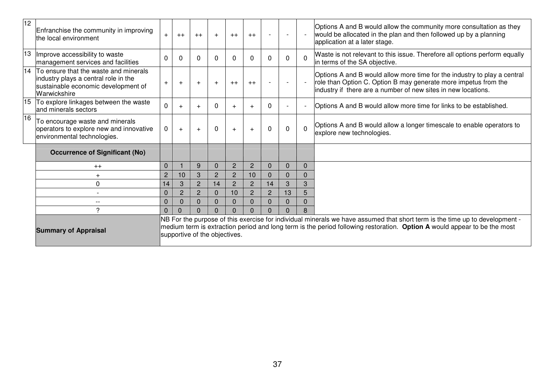| 12 | Enfranchise the community in improving<br>the local environment                                                                         | $+$            | $++$           | $++$                          | $+$            | $++$           | $++$           | $\overline{\phantom{a}}$ | $\overline{\phantom{0}}$ |                          | Options A and B would allow the community more consultation as they<br>would be allocated in the plan and then followed up by a planning<br>application at a later stage.                                                                               |
|----|-----------------------------------------------------------------------------------------------------------------------------------------|----------------|----------------|-------------------------------|----------------|----------------|----------------|--------------------------|--------------------------|--------------------------|---------------------------------------------------------------------------------------------------------------------------------------------------------------------------------------------------------------------------------------------------------|
| 13 | Improve accessibility to waste<br>management services and facilities                                                                    | 0              | 0              | 0                             | $\Omega$       | $\Omega$       | <sup>0</sup>   | $\Omega$                 |                          | $\Omega$                 | Waste is not relevant to this issue. Therefore all options perform equally<br>in terms of the SA objective.                                                                                                                                             |
|    | 14 To ensure that the waste and minerals<br>industry plays a central role in the<br>sustainable economic development of<br>Warwickshire | $+$            | $+$            | $+$                           | $+$            | $++$           | $^{++}$        | $\overline{\phantom{a}}$ |                          | $\overline{\phantom{0}}$ | Options A and B would allow more time for the industry to play a central<br>role than Option C. Option B may generate more impetus from the<br>industry if there are a number of new sites in new locations.                                            |
| 15 | To explore linkages between the waste<br>land minerals sectors                                                                          | 0              |                |                               | 0              | $\div$         |                | $\mathbf{0}$             |                          |                          | Options A and B would allow more time for links to be established.                                                                                                                                                                                      |
| 16 | To encourage waste and minerals<br>operators to explore new and innovative<br>environmental technologies.                               | $\mathbf{0}$   | $+$            | $+$                           | $\Omega$       | $+$            | $+$            | $\mathbf{0}$             | $\Omega$                 | $\Omega$                 | Options A and B would allow a longer timescale to enable operators to<br>explore new technologies.                                                                                                                                                      |
|    | <b>Occurrence of Significant (No)</b>                                                                                                   |                |                |                               |                |                |                |                          |                          |                          |                                                                                                                                                                                                                                                         |
|    | $++$                                                                                                                                    | $\mathbf{0}$   |                | 9                             | $\mathbf{0}$   | $\overline{2}$ | $\overline{2}$ | $\mathbf{0}$             | $\Omega$                 | $\Omega$                 |                                                                                                                                                                                                                                                         |
|    | $\ddot{}$                                                                                                                               | $\overline{c}$ | 10             | 3                             | $\overline{2}$ | $\overline{2}$ | 10             | $\Omega$                 | 0                        | 0                        |                                                                                                                                                                                                                                                         |
|    | 0                                                                                                                                       | 14             | 3              | $\overline{2}$                | 14             | $\overline{2}$ | $\overline{2}$ | 14                       | 3                        | 3                        |                                                                                                                                                                                                                                                         |
|    |                                                                                                                                         | $\mathbf{0}$   | $\overline{2}$ | 2                             | $\Omega$       | 10             | $\overline{2}$ | $\overline{2}$           | 13                       | 5                        |                                                                                                                                                                                                                                                         |
|    | $ -$                                                                                                                                    | 0              | $\Omega$       |                               | 0              | $\Omega$       | $\Omega$       | $\Omega$                 |                          | 0                        |                                                                                                                                                                                                                                                         |
|    | ?                                                                                                                                       | $\Omega$       | $\Omega$       |                               | $\Omega$       | $\Omega$       |                | $\Omega$                 |                          | 8                        |                                                                                                                                                                                                                                                         |
|    | <b>Summary of Appraisal</b>                                                                                                             |                |                | supportive of the objectives. |                |                |                |                          |                          |                          | NB For the purpose of this exercise for individual minerals we have assumed that short term is the time up to development -<br>medium term is extraction period and long term is the period following restoration. Option A would appear to be the most |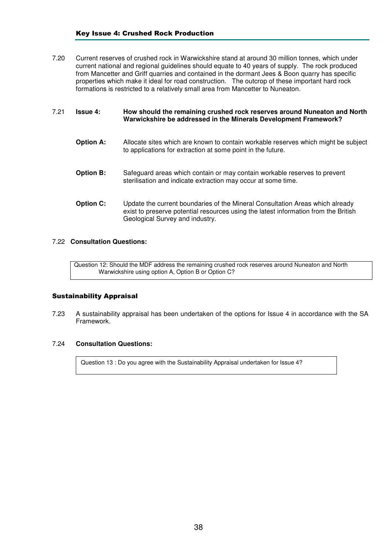7.20 Current reserves of crushed rock in Warwickshire stand at around 30 million tonnes, which under current national and regional guidelines should equate to 40 years of supply. The rock produced from Mancetter and Griff quarries and contained in the dormant Jees & Boon quarry has specific properties which make it ideal for road construction. The outcrop of these important hard rock formations is restricted to a relatively small area from Mancetter to Nuneaton.

## 7.21 **Issue 4: How should the remaining crushed rock reserves around Nuneaton and North Warwickshire be addressed in the Minerals Development Framework?**

- **Option A:** Allocate sites which are known to contain workable reserves which might be subject to applications for extraction at some point in the future.
- **Option B:** Safeguard areas which contain or may contain workable reserves to prevent sterilisation and indicate extraction may occur at some time.
- **Option C:** Update the current boundaries of the Mineral Consultation Areas which already exist to preserve potential resources using the latest information from the British Geological Survey and industry.

# 7.22 **Consultation Questions:**

Question 12: Should the MDF address the remaining crushed rock reserves around Nuneaton and North Warwickshire using option A, Option B or Option C?

# Sustainability Appraisal

7.23 A sustainability appraisal has been undertaken of the options for Issue 4 in accordance with the SA Framework.

## 7.24 **Consultation Questions:**

Question 13 : Do you agree with the Sustainability Appraisal undertaken for Issue 4?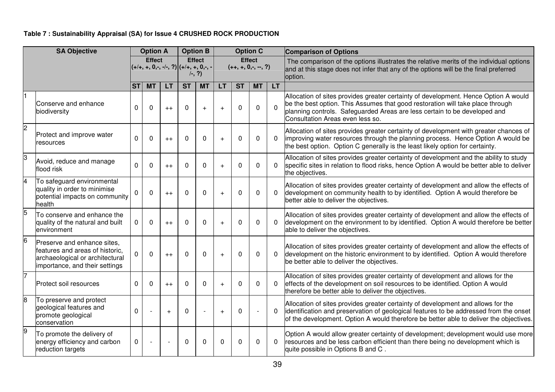# **Table 7 : Sustainability Appraisal (SA) for Issue 4 CRUSHED ROCK PRODUCTION**

|                 | <b>SA Objective</b>                                                                                                                 |           | <b>Option A</b> |           | <b>Option B</b>                                      |               |           |              | <b>Option C</b>                        |             | <b>Comparison of Options</b>                                                                                                                                                                                                                                                           |
|-----------------|-------------------------------------------------------------------------------------------------------------------------------------|-----------|-----------------|-----------|------------------------------------------------------|---------------|-----------|--------------|----------------------------------------|-------------|----------------------------------------------------------------------------------------------------------------------------------------------------------------------------------------------------------------------------------------------------------------------------------------|
|                 |                                                                                                                                     |           | <b>Effect</b>   |           | $(+/+, +, 0, -, -/-, ?)(+/+, +, 0, -, -$<br>$(-, ?)$ | <b>Effect</b> |           |              | <b>Effect</b><br>$(++, +, 0, -, -, ?)$ |             | The comparison of the options illustrates the relative merits of the individual options<br>and at this stage does not infer that any of the options will be the final preferred<br>option.                                                                                             |
|                 |                                                                                                                                     | <b>ST</b> | <b>MT</b>       | LT        | <b>ST</b>                                            | <b>MT</b>     | <b>LT</b> | <b>ST</b>    | <b>MT</b>                              | LT.         |                                                                                                                                                                                                                                                                                        |
|                 | Conserve and enhance<br>biodiversity                                                                                                | 0         | $\Omega$        | $++$      | $\Omega$                                             | $+$           | $+$       | $\Omega$     | $\Omega$                               | $\Omega$    | Allocation of sites provides greater certainty of development. Hence Option A would<br>be the best option. This Assumes that good restoration will take place through<br>planning controls. Safeguarded Areas are less certain to be developed and<br>Consultation Areas even less so. |
| $\overline{2}$  | Protect and improve water<br>resources                                                                                              | 0         | $\Omega$        | $++$      | $\Omega$                                             | $\mathbf 0$   | $+$       | O            | 0                                      | $\Omega$    | Allocation of sites provides greater certainty of development with greater chances of<br>improving water resources through the planning process. Hence Option A would be<br>the best option. Option C generally is the least likely option for certainty.                              |
| З               | Avoid, reduce and manage<br>flood risk                                                                                              | $\Omega$  | $\Omega$        | $++$      | $\mathbf{0}$                                         | $\Omega$      | $+$       | $\Omega$     | 0                                      | $\Omega$    | Allocation of sites provides greater certainty of development and the ability to study<br>specific sites in relation to flood risks, hence Option A would be better able to deliver<br>the objectives.                                                                                 |
| 4               | To safeguard environmental<br>quality in order to minimise<br>potential impacts on community<br>health                              | 0         | $\Omega$        | $++$      | 0                                                    | $\mathbf 0$   | $+$       | <sup>0</sup> | $\mathbf{0}$                           |             | Allocation of sites provides greater certainty of development and allow the effects of<br>development on community health to by identified. Option A would therefore be<br>better able to deliver the objectives.                                                                      |
| $\overline{5}$  | To conserve and enhance the<br>quality of the natural and built<br>environment                                                      | 0         | $\Omega$        | $++$      | $\Omega$                                             | $\Omega$      | $+$       | 0            | $\mathbf{0}$                           | 0           | Allocation of sites provides greater certainty of development and allow the effects of<br>development on the environment to by identified. Option A would therefore be better<br>able to deliver the objectives.                                                                       |
| $6\phantom{.}6$ | Preserve and enhance sites,<br>features and areas of historic,<br>archaeological or architectural<br>importance, and their settings | 0         | $\mathbf{0}$    | $++$      | $\Omega$                                             | $\mathbf 0$   | $+$       | $\Omega$     | $\Omega$                               | $\Omega$    | Allocation of sites provides greater certainty of development and allow the effects of<br>development on the historic environment to by identified. Option A would therefore<br>be better able to deliver the objectives.                                                              |
| 7               | Protect soil resources                                                                                                              | 0         | 0               | $++$      | 0                                                    | 0             | $+$       | 0            | 0                                      | 0           | Allocation of sites provides greater certainty of development and allows for the<br>effects of the development on soil resources to be identified. Option A would<br>therefore be better able to deliver the objectives.                                                               |
| 8               | To preserve and protect<br>geological features and<br>promote geological<br>conservation                                            | 0         |                 | $\ddot{}$ | 0                                                    |               | $\ddot{}$ | 0            |                                        | $\mathbf 0$ | Allocation of sites provides greater certainty of development and allows for the<br>identification and preservation of geological features to be addressed from the onset<br>of the development. Option A would therefore be better able to deliver the objectives.                    |
| 9               | To promote the delivery of<br>energy efficiency and carbon<br>reduction targets                                                     | 0         |                 |           | 0                                                    | $\Omega$      | $\Omega$  | U            | 0                                      | $\Omega$    | Option A would allow greater certainty of development; development would use more<br>resources and be less carbon efficient than there being no development which is<br>quite possible in Options B and C.                                                                             |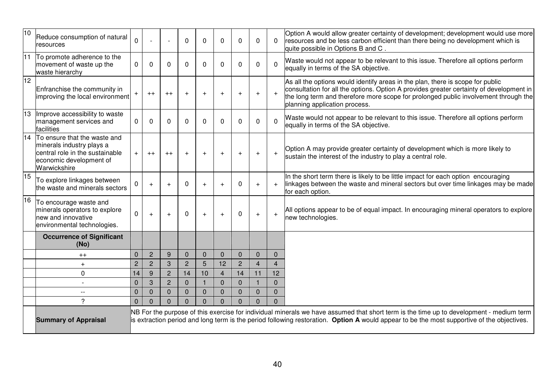| 10 <sub>0</sub> | Reduce consumption of natural<br>resources                                                                                              | $\mathbf 0$    |                |                | $\Omega$       | $\Omega$    | $\Omega$       | $\Omega$       | $\Omega$       | $\Omega$                | Option A would allow greater certainty of development; development would use more<br>resources and be less carbon efficient than there being no development which is<br>quite possible in Options B and C                                                                                         |
|-----------------|-----------------------------------------------------------------------------------------------------------------------------------------|----------------|----------------|----------------|----------------|-------------|----------------|----------------|----------------|-------------------------|---------------------------------------------------------------------------------------------------------------------------------------------------------------------------------------------------------------------------------------------------------------------------------------------------|
| 11              | To promote adherence to the<br>movement of waste up the<br>waste hierarchy                                                              | $\mathbf{0}$   | $\Omega$       | $\Omega$       | $\Omega$       | $\Omega$    | $\Omega$       | $\Omega$       | $\mathbf{0}$   | $\Omega$                | Waste would not appear to be relevant to this issue. Therefore all options perform<br>equally in terms of the SA objective.                                                                                                                                                                       |
| 12              | Enfranchise the community in<br>improving the local environment                                                                         |                | $++$           | $++$           | $+$            | $+$         | $+$            | $\ddot{}$      | $+$            | $+$                     | As all the options would identify areas in the plan, there is scope for public<br>consultation for all the options. Option A provides greater certainty of development in<br>the long term and therefore more scope for prolonged public involvement through the<br>planning application process. |
| 13              | Improve accessibility to waste<br>management services and<br>facilities                                                                 | $\mathbf{0}$   | $\Omega$       | $\Omega$       | $\Omega$       | $\Omega$    | $\Omega$       | $\Omega$       | 0              | $\Omega$                | Waste would not appear to be relevant to this issue. Therefore all options perform<br>equally in terms of the SA objective.                                                                                                                                                                       |
| 14              | To ensure that the waste and<br>minerals industry plays a<br>central role in the sustainable<br>economic development of<br>Warwickshire | $+$            | $++$           | $++$           | $\ddot{}$      | $\ddot{}$   | $+$            | $+$            | $+$            | $+$                     | Option A may provide greater certainty of development which is more likely to<br>sustain the interest of the industry to play a central role.                                                                                                                                                     |
| 15              | To explore linkages between<br>the waste and minerals sectors                                                                           | $\mathbf 0$    | $\ddot{}$      |                | $\Omega$       | $+$         | $+$            | 0              | $+$            |                         | In the short term there is likely to be little impact for each option encouraging<br>linkages between the waste and mineral sectors but over time linkages may be made<br>for each option.                                                                                                        |
| 16              | To encourage waste and<br>minerals operators to explore<br>new and innovative<br>environmental technologies.                            | $\mathbf 0$    | $+$            |                | $\Omega$       | $+$         | $+$            | $\Omega$       | $+$            | $+$                     | All options appear to be of equal impact. In encouraging mineral operators to explore<br>new technologies.                                                                                                                                                                                        |
|                 | <b>Occurrence of Significant</b><br>(No)                                                                                                |                |                |                |                |             |                |                |                |                         |                                                                                                                                                                                                                                                                                                   |
|                 | $++$                                                                                                                                    | $\overline{0}$ | $\overline{2}$ | 9              | $\overline{0}$ | $\mathbf 0$ | $\mathbf{0}$   | $\mathbf 0$    | $\mathbf 0$    | $\mathbf{0}$            |                                                                                                                                                                                                                                                                                                   |
|                 | $\ddot{}$                                                                                                                               | $\overline{2}$ | $\overline{2}$ | 3              | $\overline{2}$ | 5           | 12             | $\overline{2}$ | $\overline{4}$ | $\overline{\mathbf{4}}$ |                                                                                                                                                                                                                                                                                                   |
|                 | 0                                                                                                                                       | 14             | 9              | $\overline{2}$ | 14             | 10          | $\overline{4}$ | 14             | 11             | 12                      |                                                                                                                                                                                                                                                                                                   |
|                 |                                                                                                                                         | $\mathbf 0$    | 3              | $\overline{2}$ | $\Omega$       |             | $\Omega$       | $\Omega$       | $\mathbf{1}$   | $\Omega$                |                                                                                                                                                                                                                                                                                                   |
|                 | $-$                                                                                                                                     | $\pmb{0}$      | $\pmb{0}$      | $\mathbf 0$    | $\Omega$       | $\mathbf 0$ | $\overline{0}$ | $\mathbf 0$    | $\mathbf 0$    | $\overline{0}$          |                                                                                                                                                                                                                                                                                                   |
|                 | 2                                                                                                                                       | $\mathbf{0}$   | $\mathbf{0}$   | $\Omega$       | $\Omega$       | $\mathbf 0$ | $\Omega$       | $\mathbf 0$    | $\Omega$       | $\Omega$                |                                                                                                                                                                                                                                                                                                   |
|                 | <b>Summary of Appraisal</b>                                                                                                             |                |                |                |                |             |                |                |                |                         | NB For the purpose of this exercise for individual minerals we have assumed that short term is the time up to development - medium term<br>is extraction period and long term is the period following restoration. Option A would appear to be the most supportive of the objectives.             |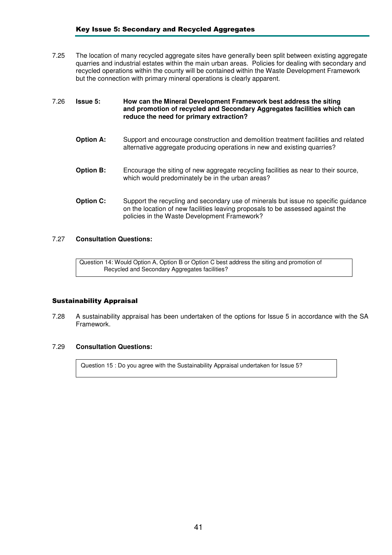# Key Issue 5: Secondary and Recycled Aggregates

7.25 The location of many recycled aggregate sites have generally been split between existing aggregate quarries and industrial estates within the main urban areas. Policies for dealing with secondary and recycled operations within the county will be contained within the Waste Development Framework but the connection with primary mineral operations is clearly apparent.

## 7.26 **Issue 5: How can the Mineral Development Framework best address the siting and promotion of recycled and Secondary Aggregates facilities which can reduce the need for primary extraction?**

- **Option A:** Support and encourage construction and demolition treatment facilities and related alternative aggregate producing operations in new and existing quarries?
- **Option B:** Encourage the siting of new aggregate recycling facilities as near to their source, which would predominately be in the urban areas?
- **Option C:** Support the recycling and secondary use of minerals but issue no specific guidance on the location of new facilities leaving proposals to be assessed against the policies in the Waste Development Framework?

# 7.27 **Consultation Questions:**

Question 14: Would Option A, Option B or Option C best address the siting and promotion of Recycled and Secondary Aggregates facilities?

# Sustainability Appraisal

7.28 A sustainability appraisal has been undertaken of the options for Issue 5 in accordance with the SA Framework.

# 7.29 **Consultation Questions:**

Question 15 : Do you agree with the Sustainability Appraisal undertaken for Issue 5?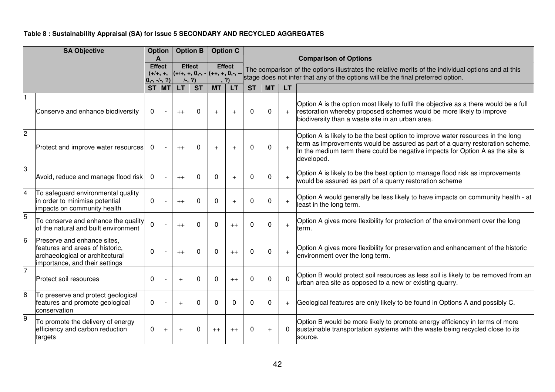# **Table 8 : Sustainability Appraisal (SA) for Issue 5 SECONDARY AND RECYCLED AGGREGATES**

|                | <b>SA Objective</b>                                                                                                                 |                               | <b>Option</b>            |                           | <b>Option B</b> | <b>Option C</b>                                                         |           |                                                                                                                                                                            |              |           |                                                                                                                                                                                                                                                                  |  |  |  |  |  |
|----------------|-------------------------------------------------------------------------------------------------------------------------------------|-------------------------------|--------------------------|---------------------------|-----------------|-------------------------------------------------------------------------|-----------|----------------------------------------------------------------------------------------------------------------------------------------------------------------------------|--------------|-----------|------------------------------------------------------------------------------------------------------------------------------------------------------------------------------------------------------------------------------------------------------------------|--|--|--|--|--|
|                |                                                                                                                                     | <b>Effect</b><br>$0,-,-/-, ?$ |                          | <b>Effect</b><br>$(-, ?)$ |                 | <b>Effect</b><br>$(+/+, +,  (+/+, +, 0, \cdot, - (++, +, 0, \cdot, -))$ | ?)        |                                                                                                                                                                            |              |           | <b>Comparison of Options</b><br>The comparison of the options illustrates the relative merits of the individual options and at this<br>stage does not infer that any of the options will be the final preferred option.                                          |  |  |  |  |  |
|                |                                                                                                                                     | ST MT                         |                          | LT.                       | <b>ST</b>       | <b>MT</b>                                                               | <b>LT</b> | <b>ST</b>                                                                                                                                                                  | <b>MT</b>    | <b>LT</b> |                                                                                                                                                                                                                                                                  |  |  |  |  |  |
|                | Conserve and enhance biodiversity                                                                                                   | $\Omega$                      |                          | $++$                      | $\Omega$        | $+$                                                                     |           | $\Omega$                                                                                                                                                                   | $\mathbf{0}$ | $+$       | Option A is the option most likely to fulfil the objective as a there would be a full<br>restoration whereby proposed schemes would be more likely to improve<br>biodiversity than a waste site in an urban area.                                                |  |  |  |  |  |
| $\overline{2}$ | Protect and improve water resources                                                                                                 | 0                             |                          | $++$                      | 0               | $+$                                                                     |           | $\Omega$                                                                                                                                                                   | $\mathbf 0$  | $\ddot{}$ | Option A is likely to be the best option to improve water resources in the long<br>term as improvements would be assured as part of a quarry restoration scheme.<br>In the medium term there could be negative impacts for Option A as the site is<br>developed. |  |  |  |  |  |
| 3              | Avoid, reduce and manage flood risk                                                                                                 | 0                             |                          | $++$                      | $\Omega$        | $\Omega$                                                                |           | Option A is likely to be the best option to manage flood risk as improvements<br>$\Omega$<br>$\Omega$<br>$+$<br>would be assured as part of a quarry restoration scheme    |              |           |                                                                                                                                                                                                                                                                  |  |  |  |  |  |
| 4              | To safeguard environmental quality<br>in order to minimise potential<br>impacts on community health                                 | $\Omega$                      |                          | $++$                      | $\Omega$        | $\mathbf{0}$                                                            |           | $\Omega$                                                                                                                                                                   | $\Omega$     | $+$       | Option A would generally be less likely to have impacts on community health - at<br>least in the long term.                                                                                                                                                      |  |  |  |  |  |
| 5              | To conserve and enhance the quality<br>of the natural and built environment                                                         | $\Omega$                      |                          | $++$                      | $\Omega$        | $\Omega$                                                                | $++$      | $\Omega$                                                                                                                                                                   | $\Omega$     | $+$       | Option A gives more flexibility for protection of the environment over the long<br>term.                                                                                                                                                                         |  |  |  |  |  |
| l6             | Preserve and enhance sites.<br>features and areas of historic,<br>archaeological or architectural<br>importance, and their settings | $\Omega$                      | $\overline{\phantom{a}}$ | $++$                      | $\Omega$        | $\Omega$                                                                | $++$      | $\Omega$                                                                                                                                                                   | $\Omega$     | $+$       | Option A gives more flexibility for preservation and enhancement of the historic<br>environment over the long term.                                                                                                                                              |  |  |  |  |  |
|                | Protect soil resources                                                                                                              | $\Omega$                      |                          | $+$                       | $\Omega$        | $\mathbf{0}$                                                            | $++$      | Option B would protect soil resources as less soil is likely to be removed from an<br>$\Omega$<br>0<br>$\Omega$<br>urban area site as opposed to a new or existing quarry. |              |           |                                                                                                                                                                                                                                                                  |  |  |  |  |  |
| 8              | To preserve and protect geological<br>features and promote geological<br>conservation                                               | $\Omega$                      |                          | $+$                       | $\Omega$        | $\Omega$                                                                |           | <sup>0</sup>                                                                                                                                                               | $\Omega$     | $\ddot{}$ | Geological features are only likely to be found in Options A and possibly C.                                                                                                                                                                                     |  |  |  |  |  |
| 9              | To promote the delivery of energy<br>efficiency and carbon reduction<br>targets                                                     | 0                             | $\ddot{}$                |                           | n               | $^{++}$                                                                 | $^{++}$   | 0                                                                                                                                                                          | $+$          | $\Omega$  | Option B would be more likely to promote energy efficiency in terms of more<br>sustainable transportation systems with the waste being recycled close to its<br>source.                                                                                          |  |  |  |  |  |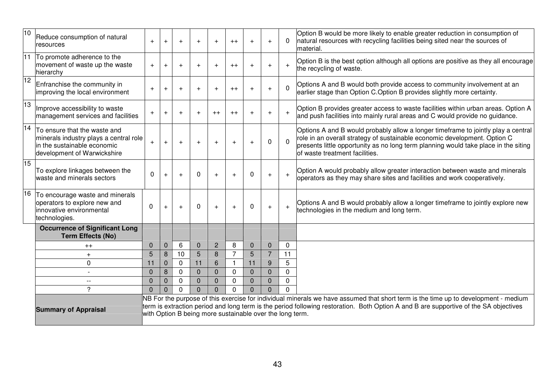| $\overline{10}$ | Reduce consumption of natural<br>resources                                                                                           | $+$         | $+$         | $+$                                                      | $+$            | $+$            | $++$     | $+$            | $+$            | $\Omega$       | Option B would be more likely to enable greater reduction in consumption of<br>natural resources with recycling facilities being sited near the sources of<br>material.                                                                                                                 |
|-----------------|--------------------------------------------------------------------------------------------------------------------------------------|-------------|-------------|----------------------------------------------------------|----------------|----------------|----------|----------------|----------------|----------------|-----------------------------------------------------------------------------------------------------------------------------------------------------------------------------------------------------------------------------------------------------------------------------------------|
| 11              | To promote adherence to the<br>movement of waste up the waste<br>hierarchy                                                           | $\ddot{}$   | $+$         | $+$                                                      | $+$            | $+$            | $++$     | $+$            | $+$            | $+$            | Option B is the best option although all options are positive as they all encourage<br>the recycling of waste.                                                                                                                                                                          |
| 12              | Enfranchise the community in<br>improving the local environment                                                                      | $\ddot{}$   | $+$         | $+$                                                      | $+$            | $+$            | $++$     | $+$            | $\ddot{}$      | $\Omega$       | Options A and B would both provide access to community involvement at an<br>earlier stage than Option C.Option B provides slightly more certainty.                                                                                                                                      |
| 13              | Improve accessibility to waste<br>management services and facilities                                                                 | $\ddot{}$   | $+$         | $+$                                                      | $+$            | $++$           | $++$     | $+$            | $+$            | $+$            | Option B provides greater access to waste facilities within urban areas. Option A<br>and push facilities into mainly rural areas and C would provide no guidance.                                                                                                                       |
| 14              | To ensure that the waste and<br>minerals industry plays a central role<br>in the sustainable economic<br>development of Warwickshire | $+$         | $+$         | $+$                                                      | $\overline{+}$ | $+$            |          | $+$            | 0              | $\overline{0}$ | Options A and B would probably allow a longer timeframe to jointly play a central<br>role in an overall strategy of sustainable economic development. Option C<br>presents little opportunity as no long term planning would take place in the siting<br>of waste treatment facilities. |
| 15              | To explore linkages between the<br>waste and minerals sectors                                                                        | $\mathbf 0$ | $+$         | $+$                                                      | 0              | $+$            |          | 0              | $+$            | $\ddot{}$      | Option A would probably allow greater interaction between waste and minerals<br>operators as they may share sites and facilities and work cooperatively.                                                                                                                                |
| 16              | To encourage waste and minerals<br>operators to explore new and<br>innovative environmental<br>technologies.                         | $\Omega$    | $+$         | $\div$                                                   | 0              | $+$            |          | $\Omega$       | $+$            | $\ddot{+}$     | Options A and B would probably allow a longer timeframe to jointly explore new<br>technologies in the medium and long term.                                                                                                                                                             |
|                 | <b>Occurrence of Significant Long</b><br><b>Term Effects (No)</b>                                                                    |             |             |                                                          |                |                |          |                |                |                |                                                                                                                                                                                                                                                                                         |
|                 | $^{++}$                                                                                                                              | $\Omega$    | $\mathbf 0$ | 6                                                        | $\mathbf 0$    | $\overline{2}$ | 8        | $\Omega$       | $\mathbf 0$    | $\mathbf 0$    |                                                                                                                                                                                                                                                                                         |
|                 | $\ddot{}$                                                                                                                            | 5           | 8           | 10                                                       | 5              | 8              |          | 5              | $\overline{7}$ | 11             |                                                                                                                                                                                                                                                                                         |
|                 | 0                                                                                                                                    | 11          | $\mathbf 0$ | $\mathbf{0}$                                             | 11             | 6              |          | 11             | 9              | 5              |                                                                                                                                                                                                                                                                                         |
|                 |                                                                                                                                      | $\Omega$    | 8           | $\mathbf 0$                                              | $\overline{0}$ | $\overline{0}$ | $\Omega$ | $\Omega$       | $\Omega$       | 0              |                                                                                                                                                                                                                                                                                         |
|                 | $-$                                                                                                                                  | $\Omega$    | $\mathbf 0$ | $\mathbf 0$                                              | $\mathbf{0}$   | $\mathbf 0$    | $\Omega$ | $\mathbf{0}$   | 0              | 0              |                                                                                                                                                                                                                                                                                         |
|                 | $\overline{\phantom{0}}$                                                                                                             | $\Omega$    | $\Omega$    | $\Omega$                                                 | $\Omega$       | $\Omega$       | $\Omega$ | $\overline{0}$ | $\Omega$       |                |                                                                                                                                                                                                                                                                                         |
|                 | <b>Summary of Appraisal</b>                                                                                                          |             |             | with Option B being more sustainable over the long term. |                |                |          |                |                |                | NB For the purpose of this exercise for individual minerals we have assumed that short term is the time up to development - medium<br>term is extraction period and long term is the period following restoration. Both Option A and B are supportive of the SA objectives              |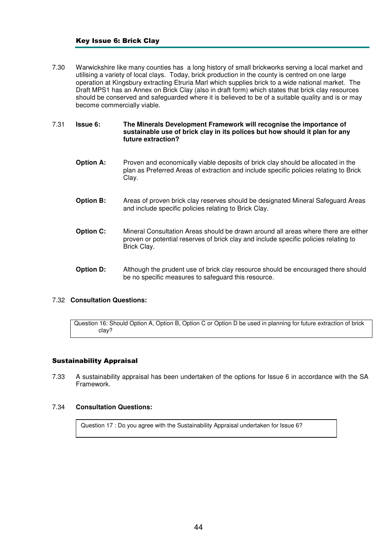### Key Issue 6: Brick Clay

- 7.30 Warwickshire like many counties has a long history of small brickworks serving a local market and utilising a variety of local clays. Today, brick production in the county is centred on one large operation at Kingsbury extracting Etruria Marl which supplies brick to a wide national market. The Draft MPS1 has an Annex on Brick Clay (also in draft form) which states that brick clay resources should be conserved and safeguarded where it is believed to be of a suitable quality and is or may become commercially viable.
- 7.31 **Issue 6: The Minerals Development Framework will recognise the importance of sustainable use of brick clay in its polices but how should it plan for any future extraction?** 
	- **Option A:** Proven and economically viable deposits of brick clay should be allocated in the plan as Preferred Areas of extraction and include specific policies relating to Brick Clay.
	- **Option B:** Areas of proven brick clay reserves should be designated Mineral Safeguard Areas and include specific policies relating to Brick Clay.
	- **Option C:** Mineral Consultation Areas should be drawn around all areas where there are either proven or potential reserves of brick clay and include specific policies relating to Brick Clay.
	- **Option D:** Although the prudent use of brick clay resource should be encouraged there should be no specific measures to safeguard this resource.

# 7.32 **Consultation Questions:**

Question 16: Should Option A, Option B, Option C or Option D be used in planning for future extraction of brick clay?

#### Sustainability Appraisal

7.33 A sustainability appraisal has been undertaken of the options for Issue 6 in accordance with the SA Framework.

#### 7.34 **Consultation Questions:**

Question 17 : Do you agree with the Sustainability Appraisal undertaken for Issue 6?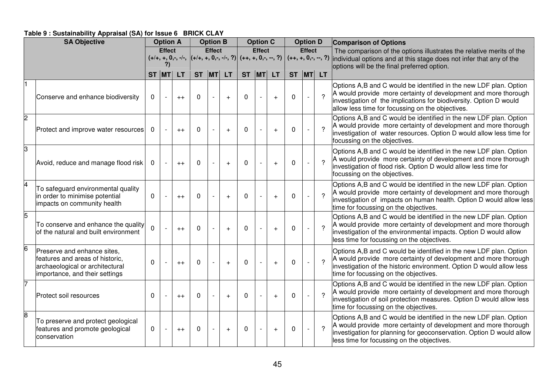# **Table 9 : Sustainability Appraisal (SA) for Issue 6 BRICK CLAY**

|                | <b>SA Objective</b>                                                                                                                 |          | <b>Option A</b>     |           |                                                                                         | <b>Option B</b> |                |             | <b>Option C</b> |     |          | <b>Option D</b> |                | <b>Comparison of Options</b>                                                                                                                                                                                                                                   |
|----------------|-------------------------------------------------------------------------------------------------------------------------------------|----------|---------------------|-----------|-----------------------------------------------------------------------------------------|-----------------|----------------|-------------|-----------------|-----|----------|-----------------|----------------|----------------------------------------------------------------------------------------------------------------------------------------------------------------------------------------------------------------------------------------------------------------|
|                |                                                                                                                                     |          | <b>Effect</b><br>?) |           | $(+/+, +, 0, -, -/-,  (+/+, +, 0, -, -/-, ?)  (++, +, 0, -, -, ?)  (++, +, 0, -, -, ?)$ | <b>Effect</b>   |                |             | <b>Effect</b>   |     |          | <b>Effect</b>   |                | The comparison of the options illustrates the relative merits of the<br>individual options and at this stage does not infer that any of the<br>options will be the final preferred option.                                                                     |
|                |                                                                                                                                     | ST MT    |                     | <b>LT</b> | ST MT LT                                                                                |                 |                | ST MT       |                 | LT. |          |                 | $ST$ $MT$ $LT$ |                                                                                                                                                                                                                                                                |
|                | Conserve and enhance biodiversity                                                                                                   | $\Omega$ |                     | $++$      | $\Omega$                                                                                |                 | $+$            | $\Omega$    |                 | $+$ | $\Omega$ |                 |                | Options A,B and C would be identified in the new LDF plan. Option<br>A would provide more certainty of development and more thorough<br>investigation of the implications for biodiversity. Option D would<br>allow less time for focussing on the objectives. |
| $\overline{c}$ | Protect and improve water resources                                                                                                 | 0        |                     | $++$      | $\Omega$                                                                                |                 |                | 0           |                 | $+$ | $\Omega$ |                 |                | Options A,B and C would be identified in the new LDF plan. Option<br>A would provide more certainty of development and more thorough<br>investigation of water resources. Option D would allow less time for<br>focussing on the objectives.                   |
| 3              | Avoid, reduce and manage flood risk                                                                                                 | 0        |                     | $++$      | $\Omega$                                                                                |                 | $+$            | 0           |                 | $+$ | $\Omega$ |                 |                | Options A,B and C would be identified in the new LDF plan. Option<br>A would provide more certainty of development and more thorough<br>investigation of flood risk. Option D would allow less time for<br>focussing on the objectives.                        |
| $\overline{4}$ | To safeguard environmental quality<br>in order to minimise potential<br>impacts on community health                                 | 0        |                     | $++$      | $\Omega$                                                                                |                 | $+$            | $\mathbf 0$ |                 | $+$ | $\Omega$ |                 |                | Options A,B and C would be identified in the new LDF plan. Option<br>A would provide more certainty of development and more thorough<br>investigation of impacts on human health. Option D would allow less<br>time for focussing on the objectives.           |
| 5              | To conserve and enhance the quality<br>of the natural and built environment                                                         | $\Omega$ |                     | $++$      | $\Omega$                                                                                |                 | $\overline{+}$ | 0           |                 |     | $\Omega$ |                 |                | Options A,B and C would be identified in the new LDF plan. Option<br>A would provide more certainty of development and more thorough<br>investigation of the environmental impacts. Option D would allow<br>less time for focussing on the objectives.         |
|                | Preserve and enhance sites,<br>features and areas of historic,<br>archaeological or architectural<br>importance, and their settings | 0        |                     | $++$      | $\Omega$                                                                                |                 | $+$            | $\Omega$    |                 | $+$ | $\Omega$ |                 | 2              | Options A,B and C would be identified in the new LDF plan. Option<br>A would provide more certainty of development and more thorough<br>investigation of the historic environment. Option D would allow less<br>time for focussing on the objectives.          |
| 7              | Protect soil resources                                                                                                              | $\Omega$ |                     | $++$      | $\Omega$                                                                                |                 | $+$            | $\Omega$    |                 | $+$ | $\Omega$ |                 |                | Options A,B and C would be identified in the new LDF plan. Option<br>A would provide more certainty of development and more thorough<br>investigation of soil protection measures. Option D would allow less<br>time for focussing on the objectives.          |
| 8              | To preserve and protect geological<br>features and promote geological<br>conservation                                               | 0        | $\blacksquare$      | $++$      | $\Omega$                                                                                |                 | $+$            | $\Omega$    |                 | $+$ | $\Omega$ |                 |                | Options A,B and C would be identified in the new LDF plan. Option<br>A would provide more certainty of development and more thorough<br>investigation for planning for geoconservation. Option D would allow<br>less time for focussing on the objectives.     |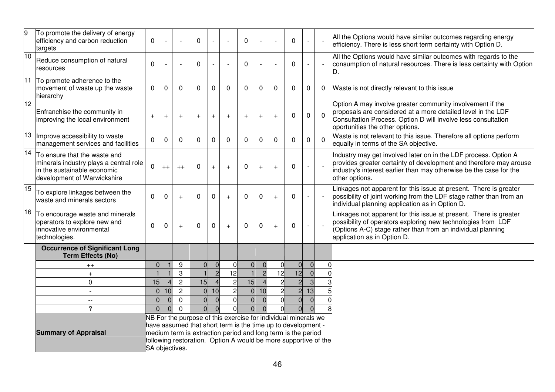| 9               | To promote the delivery of energy<br>efficiency and carbon reduction<br>targets                                                      | $\mathbf{0}$               | $\overline{a}$ |                               | $\Omega$                   |                |                                                                                                                                                                                                 | 0                                |                |                | $\Omega$       |                |             | All the Options would have similar outcomes regarding energy<br>efficiency. There is less short term certainty with Option D.                                                                                                   |
|-----------------|--------------------------------------------------------------------------------------------------------------------------------------|----------------------------|----------------|-------------------------------|----------------------------|----------------|-------------------------------------------------------------------------------------------------------------------------------------------------------------------------------------------------|----------------------------------|----------------|----------------|----------------|----------------|-------------|---------------------------------------------------------------------------------------------------------------------------------------------------------------------------------------------------------------------------------|
| $\overline{10}$ | Reduce consumption of natural<br>resources                                                                                           | $\mathbf 0$                |                |                               | $\Omega$                   |                |                                                                                                                                                                                                 | $\mathbf 0$                      |                |                | $\Omega$       |                |             | All the Options would have similar outcomes with regards to the<br>consumption of natural resources. There is less certainty with Option<br>D.                                                                                  |
| 11              | To promote adherence to the<br>movement of waste up the waste<br>hierarchy                                                           | $\mathbf{0}$               | $\mathbf 0$    | $\mathbf 0$                   | $\Omega$                   | 0              | $\mathbf{0}$                                                                                                                                                                                    | $\Omega$                         | $\mathbf 0$    | $\Omega$       | $\Omega$       | 0              | 0           | Waste is not directly relevant to this issue                                                                                                                                                                                    |
| 12              | Enfranchise the community in<br>improving the local environment                                                                      | $+$                        | $\ddot{}$      | $\ddot{}$                     | $\ddot{}$                  | $+$            | $+$                                                                                                                                                                                             | $\ddot{}$                        | $+$            | $+$            | $\Omega$       | $\Omega$       | $\Omega$    | Option A may involve greater community involvement if the<br>proposals are considered at a more detailed level in the LDF<br>Consultation Process. Option D will involve less consultation<br>oportunities the other options.   |
| $\overline{13}$ | Improve accessibility to waste<br>management services and facilities                                                                 | $\mathbf 0$                | $\mathbf 0$    | $\mathbf 0$                   | $\mathbf 0$                | 0              | $\mathbf 0$                                                                                                                                                                                     | $\mathbf 0$                      | $\mathbf 0$    | $\mathbf 0$    | $\mathbf 0$    | 0              | $\Omega$    | Waste is not relevant to this issue. Therefore all options perform<br>equally in terms of the SA objective.                                                                                                                     |
| $\overline{14}$ | To ensure that the waste and<br>minerals industry plays a central role<br>in the sustainable economic<br>development of Warwickshire | $\mathbf 0$                | $^{++}$        | $++$                          | $\Omega$                   | $+$            | $+$                                                                                                                                                                                             | $\Omega$                         | $+$            | $+$            | $\Omega$       |                |             | Industry may get involved later on in the LDF process. Option A<br>provides greater certainty of development and therefore may arouse<br>industry's interest earlier than may otherwise be the case for the<br>other options.   |
| 15              | To explore linkages between the<br>waste and minerals sectors                                                                        | $\mathbf 0$                | 0              | $+$                           | $\Omega$                   | $\mathbf 0$    | $+$                                                                                                                                                                                             | $\mathbf 0$                      | $\mathbf 0$    | $+$            | $\Omega$       |                |             | Linkages not apparent for this issue at present. There is greater<br>possibility of joint working from the LDF stage rather than from an<br>individual planning application as in Option D                                      |
| 16              | To encourage waste and minerals<br>operators to explore new and<br>innovative environmental<br>technologies.                         | $\mathbf{0}$               | 0              | $\ddot{}$                     | $\Omega$                   | $\Omega$       | $+$                                                                                                                                                                                             | $\Omega$                         | $\mathbf{0}$   | $+$            | $\Omega$       |                |             | Linkages not apparent for this issue at present. There is greater<br>possibility of operators exploring new technologies from LDF<br>(Options A-C) stage rather than from an individual planning<br>application as in Option D. |
|                 | <b>Occurrence of Significant Long</b><br><b>Term Effects (No)</b>                                                                    |                            |                |                               |                            |                |                                                                                                                                                                                                 |                                  |                |                |                |                |             |                                                                                                                                                                                                                                 |
|                 | $^{++}$                                                                                                                              | $\mathbf 0$                |                | $9\,$                         | $\overline{0}$             | $\overline{0}$ | $\mathbf 0$                                                                                                                                                                                     | 0                                | $\overline{0}$ | $\overline{0}$ | $\overline{0}$ | $\mathbf 0$    | $\mathbf 0$ |                                                                                                                                                                                                                                 |
|                 | $+$                                                                                                                                  |                            |                | 3                             | $\overline{1}$             | $\overline{c}$ | 12                                                                                                                                                                                              | $\mathbf{1}$                     | $\overline{c}$ | 12             | 12             | $\overline{0}$ | $\Omega$    |                                                                                                                                                                                                                                 |
|                 | 0                                                                                                                                    | 15                         |                | $\overline{c}$                | 15                         | $\overline{4}$ | $\overline{2}$                                                                                                                                                                                  | 15                               | $\overline{4}$ | $\overline{2}$ | $\overline{2}$ | ვ              |             |                                                                                                                                                                                                                                 |
|                 |                                                                                                                                      | $\overline{0}$             | 10             | $\overline{c}$                | $\overline{0}$             | 10             | $\overline{2}$                                                                                                                                                                                  | $\overline{0}$                   | 10             | $\overline{2}$ | 2              | 13             | 5           |                                                                                                                                                                                                                                 |
|                 | $- -$<br>$\mathcal{P}$                                                                                                               | $\overline{0}$<br>$\Omega$ |                | $\mathbf 0$<br>$\overline{0}$ | $\overline{0}$<br>$\Omega$ | $\overline{0}$ | 0l                                                                                                                                                                                              | $\overline{0}$<br>$\overline{0}$ | $\overline{0}$ | <sub>0</sub>   | $\overline{0}$ | $\overline{0}$ |             |                                                                                                                                                                                                                                 |
|                 |                                                                                                                                      |                            |                |                               |                            |                | NB For the purpose of this exercise for individual minerals we                                                                                                                                  |                                  |                |                |                |                |             |                                                                                                                                                                                                                                 |
|                 | <b>Summary of Appraisal</b>                                                                                                          |                            |                | SA objectives.                |                            |                | have assumed that short term is the time up to development -<br>medium term is extraction period and long term is the period<br>following restoration. Option A would be more supportive of the |                                  |                |                |                |                |             |                                                                                                                                                                                                                                 |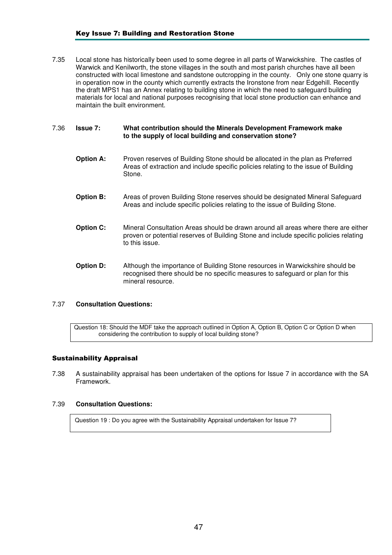7.35 Local stone has historically been used to some degree in all parts of Warwickshire. The castles of Warwick and Kenilworth, the stone villages in the south and most parish churches have all been constructed with local limestone and sandstone outcropping in the county. Only one stone quarry is in operation now in the county which currently extracts the Ironstone from near Edgehill. Recently the draft MPS1 has an Annex relating to building stone in which the need to safeguard building materials for local and national purposes recognising that local stone production can enhance and maintain the built environment.

## 7.36 **Issue 7: What contribution should the Minerals Development Framework make to the supply of local building and conservation stone?**

- **Option A:** Proven reserves of Building Stone should be allocated in the plan as Preferred Areas of extraction and include specific policies relating to the issue of Building Stone.
- **Option B:** Areas of proven Building Stone reserves should be designated Mineral Safeguard Areas and include specific policies relating to the issue of Building Stone.
- **Option C:** Mineral Consultation Areas should be drawn around all areas where there are either proven or potential reserves of Building Stone and include specific policies relating to this issue.
- **Option D:** Although the importance of Building Stone resources in Warwickshire should be recognised there should be no specific measures to safeguard or plan for this mineral resource.

# 7.37 **Consultation Questions:**

Question 18: Should the MDF take the approach outlined in Option A, Option B, Option C or Option D when considering the contribution to supply of local building stone?

# Sustainability Appraisal

7.38 A sustainability appraisal has been undertaken of the options for Issue 7 in accordance with the SA Framework.

# 7.39 **Consultation Questions:**

Question 19 : Do you agree with the Sustainability Appraisal undertaken for Issue 7?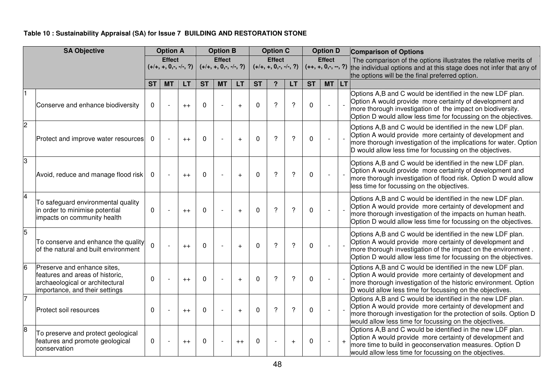# **Table 10 : Sustainability Appraisal (SA) for Issue 7 BUILDING AND RESTORATION STONE**

|                         | <b>SA Objective</b>                                                                                                                 |             | <b>Option A</b>                           |           |              | <b>Option B</b>                           |           |           | <b>Option C</b>                           |                          |              | <b>Option D</b>                        |     | <b>Comparison of Options</b>                                                                                                                                                                                                                               |
|-------------------------|-------------------------------------------------------------------------------------------------------------------------------------|-------------|-------------------------------------------|-----------|--------------|-------------------------------------------|-----------|-----------|-------------------------------------------|--------------------------|--------------|----------------------------------------|-----|------------------------------------------------------------------------------------------------------------------------------------------------------------------------------------------------------------------------------------------------------------|
|                         |                                                                                                                                     |             | <b>Effect</b><br>$(+/+, +, 0, -, -/-, ?)$ |           |              | <b>Effect</b><br>$(+/+, +, 0, -, -/-, ?)$ |           |           | <b>Effect</b><br>$(+/+, +, 0, -, -/-, ?)$ |                          |              | <b>Effect</b><br>$(++, +, 0, -, -, ?)$ |     | The comparison of the options illustrates the relative merits of<br>the individual options and at this stage does not infer that any of<br>the options will be the final preferred option.                                                                 |
|                         |                                                                                                                                     | <b>ST</b>   | <b>MT</b>                                 | <b>LT</b> | <b>ST</b>    | <b>MT</b>                                 | LT        | <b>ST</b> | $\mathbf{P}$                              | <b>LT</b>                | <b>ST</b>    | MT LT                                  |     |                                                                                                                                                                                                                                                            |
|                         | Conserve and enhance biodiversity                                                                                                   | 0           |                                           | $++$      | $\Omega$     |                                           | $+$       | 0         | $\boldsymbol{\mathcal{P}}$                | ?                        | $\Omega$     |                                        |     | Options A,B and C would be identified in the new LDF plan.<br>Option A would provide more certainty of development and<br>more thorough investigation of the impact on biodiversity.<br>Option D would allow less time for focussing on the objectives.    |
| $\overline{c}$          | Protect and improve water resources                                                                                                 | 0           | $\overline{a}$                            | $++$      | 0            |                                           | $+$       | 0         | ?                                         | $\overline{?}$           | $\Omega$     | $\sim$                                 |     | Options A,B and C would be identified in the new LDF plan.<br>Option A would provide more certainty of development and<br>more thorough investigation of the implications for water. Option<br>D would allow less time for focussing on the objectives.    |
| lЗ                      | Avoid, reduce and manage flood risk                                                                                                 | $\mathbf 0$ |                                           | $++$      | $\Omega$     |                                           | $\ddot{}$ | 0         | $\boldsymbol{\mathcal{P}}$                | $\overline{\phantom{0}}$ | $\mathbf{0}$ |                                        |     | Options A,B and C would be identified in the new LDF plan.<br>Option A would provide more certainty of development and<br>more thorough investigation of flood risk. Option D would allow<br>less time for focussing on the objectives.                    |
| $\overline{\mathbf{4}}$ | To safeguard environmental quality<br>in order to minimise potential<br>impacts on community health                                 | $\mathbf 0$ |                                           | $++$      | $\mathbf{0}$ |                                           | $+$       | 0         | $\boldsymbol{\mathcal{P}}$                | $\overline{?}$           | $\Omega$     |                                        |     | Options A,B and C would be identified in the new LDF plan.<br>Option A would provide more certainty of development and<br>more thorough investigation of the impacts on human heath.<br>Option D would allow less time for focussing on the objectives.    |
| 5                       | To conserve and enhance the quality<br>of the natural and built environment                                                         | $\mathbf 0$ |                                           | $++$      | $\Omega$     |                                           | $+$       | 0         | $\mathcal{P}$                             | $\overline{?}$           | $\Omega$     |                                        |     | Options A,B and C would be identified in the new LDF plan.<br>Option A would provide more certainty of development and<br>more thorough investigation of the impact on the environment.<br>Option D would allow less time for focussing on the objectives. |
| 6                       | Preserve and enhance sites,<br>features and areas of historic.<br>archaeological or architectural<br>importance, and their settings | $\mathbf 0$ |                                           | $++$      | $\Omega$     |                                           | $+$       | 0         | $\boldsymbol{\mathcal{P}}$                | $\overline{?}$           | $\mathbf{0}$ |                                        |     | Options A,B and C would be identified in the new LDF plan.<br>Option A would provide more certainty of development and<br>more thorough investigation of the historic environment. Option<br>D would allow less time for focussing on the objectives.      |
|                         | Protect soil resources                                                                                                              | $\mathbf 0$ |                                           | $++$      | $\mathbf{0}$ |                                           | $\ddot{}$ | 0         | ?                                         | $\overline{?}$           | 0            | $\sim$                                 |     | Options A,B and C would be identified in the new LDF plan.<br>Option A would provide more certainty of development and<br>more thorough investigation for the protection of soils. Option D<br>would allow less time for focussing on the objectives.      |
| 8                       | To preserve and protect geological<br>features and promote geological<br>conservation                                               | $\mathbf 0$ |                                           | $++$      | 0            |                                           | $++$      | 0         |                                           | $\overline{+}$           | 0            |                                        | $+$ | Options A,B and C would be identified in the new LDF plan.<br>Option A would provide more certainty of development and<br>more time to build in geoconservation measures. Option D<br>would allow less time for focussing on the objectives.               |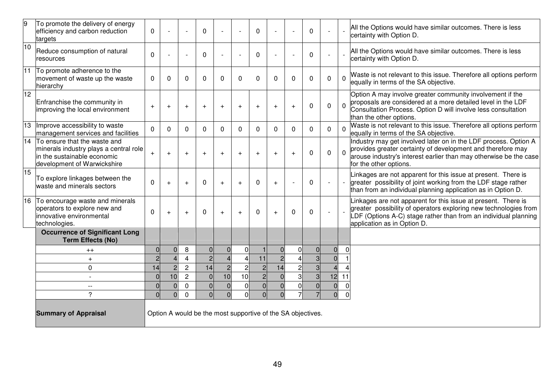| 9               | To promote the delivery of energy<br>efficiency and carbon reduction<br>targets                                                      | $\mathbf 0$    |                |                | $\Omega$        |                |                | 0              |                                                             |              | $\Omega$          |                |                | All the Options would have similar outcomes. There is less<br>certainty with Option D.                                                                                                                                             |
|-----------------|--------------------------------------------------------------------------------------------------------------------------------------|----------------|----------------|----------------|-----------------|----------------|----------------|----------------|-------------------------------------------------------------|--------------|-------------------|----------------|----------------|------------------------------------------------------------------------------------------------------------------------------------------------------------------------------------------------------------------------------------|
| 10              | Reduce consumption of natural<br>resources                                                                                           | $\mathbf{0}$   |                |                | $\mathbf 0$     |                |                | $\Omega$       | $\overline{\phantom{a}}$                                    |              | $\Omega$          | $\blacksquare$ |                | All the Options would have similar outcomes. There is less<br>certainty with Option D.                                                                                                                                             |
| 11              | To promote adherence to the<br>movement of waste up the waste<br>hierarchy                                                           | $\mathbf{0}$   | $\Omega$       | $\Omega$       | $\Omega$        | $\Omega$       | $\Omega$       | 0              | $\Omega$                                                    | $\Omega$     | $\Omega$          | $\mathbf 0$    | $\overline{0}$ | Waste is not relevant to this issue. Therefore all options perform<br>equally in terms of the SA objective.                                                                                                                        |
| $\overline{12}$ | Enfranchise the community in<br>improving the local environment                                                                      | $+$            | $+$            |                | $\overline{+}$  |                | $\overline{+}$ | $+$            | $+$                                                         | $\ddot{}$    | $\Omega$          | $\mathbf 0$    | $\Omega$       | Option A may involve greater community involvement if the<br>proposals are considered at a more detailed level in the LDF<br>Consultation Process. Option D will involve less consultation<br>than the other options.              |
| 13              | Improve accessibility to waste<br>management services and facilities                                                                 | $\Omega$       | $\mathbf{0}$   | $\Omega$       | $\Omega$        | $\Omega$       | $\Omega$       | $\mathbf{0}$   | $\mathbf{0}$                                                | $\mathbf 0$  | $\Omega$          | $\mathbf 0$    | $\Omega$       | Waste is not relevant to this issue. Therefore all options perform<br>equally in terms of the SA objective.                                                                                                                        |
| $\overline{14}$ | To ensure that the waste and<br>minerals industry plays a central role<br>in the sustainable economic<br>development of Warwickshire | $+$            | $+$            | $\ddot{}$      | $+$             | $+$            | $+$            | $+$            | $+$                                                         | $+$          | $\Omega$          | $\mathbf 0$    | $\Omega$       | Industry may get involved later on in the LDF process. Option A<br>provides greater certainty of development and therefore may<br>arouse industry's interest earlier than may otherwise be the case<br>for the other options.      |
| 15              | To explore linkages between the<br>waste and minerals sectors                                                                        | 0              | $+$            | $\ddot{}$      | 0               | $+$            | $+$            | $\mathbf 0$    | $+$                                                         |              | 0                 |                |                | Linkages are not apparent for this issue at present. There is<br>greater possibility of joint working from the LDF stage rather<br>than from an individual planning application as in Option D.                                    |
| 16              | To encourage waste and minerals<br>operators to explore new and<br>innovative environmental<br>technologies.                         | $\mathbf{0}$   | $+$            | $\ddot{}$      | $\Omega$        | $+$            | $+$            | $\mathbf{0}$   | $+$                                                         | $\Omega$     | $\Omega$          |                |                | Linkages are not apparent for this issue at present. There is<br>greater possibility of operators exploring new technologies from<br>DF (Options A-C) stage rather than from an individual planning<br>application as in Option D. |
|                 | <b>Occurrence of Significant Long</b><br><b>Term Effects (No)</b>                                                                    |                |                |                |                 |                |                |                |                                                             |              |                   |                |                |                                                                                                                                                                                                                                    |
|                 | $++$                                                                                                                                 | $\overline{0}$ | $\overline{0}$ | 8              | $\overline{0}$  | $\overline{0}$ | $\overline{0}$ |                | $\Omega$                                                    | 0l           | $\overline{0}$    | $\overline{0}$ | O              |                                                                                                                                                                                                                                    |
|                 | $+$                                                                                                                                  | $\overline{2}$ | 4              | $\overline{4}$ | $\overline{c}$  | $\overline{4}$ |                | 11             | $\overline{2}$                                              | 4            | 3                 | $\overline{0}$ |                |                                                                                                                                                                                                                                    |
|                 | $\mathbf 0$                                                                                                                          | 14             | $\overline{2}$ | $\overline{2}$ | $\overline{14}$ | $\overline{2}$ | $\overline{c}$ | 2              | 14                                                          | $\mathsf{2}$ | $\overline{3}$    | $\overline{4}$ |                |                                                                                                                                                                                                                                    |
|                 | $\overline{a}$                                                                                                                       | $\overline{0}$ | 10             | $\overline{c}$ | $\overline{0}$  | 10             | 10             |                | $\overline{0}$                                              | $\mathsf{a}$ | $\mathbf{\Omega}$ | 12             | 11             |                                                                                                                                                                                                                                    |
|                 | $\overline{\phantom{a}}$                                                                                                             | $\Omega$       | $\Omega$       | $\mathbf 0$    | $\overline{0}$  | $\overline{0}$ | $\mathbf 0$    | $\overline{0}$ | $\overline{0}$                                              | 0l           | $\overline{0}$    | $\overline{0}$ |                |                                                                                                                                                                                                                                    |
|                 | $\overline{?}$                                                                                                                       | $\Omega$       | $\Omega$       | $\overline{0}$ | $\Omega$        | $\Omega$       | $\Omega$       |                | $\Omega$                                                    | 7            | $\overline{7}$    | $\overline{0}$ |                |                                                                                                                                                                                                                                    |
|                 | <b>Summary of Appraisal</b>                                                                                                          |                |                |                |                 |                |                |                | Option A would be the most supportive of the SA objectives. |              |                   |                |                |                                                                                                                                                                                                                                    |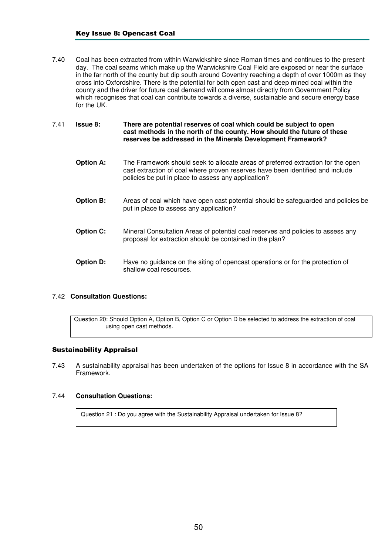7.40 Coal has been extracted from within Warwickshire since Roman times and continues to the present day. The coal seams which make up the Warwickshire Coal Field are exposed or near the surface in the far north of the county but dip south around Coventry reaching a depth of over 1000m as they cross into Oxfordshire. There is the potential for both open cast and deep mined coal within the county and the driver for future coal demand will come almost directly from Government Policy which recognises that coal can contribute towards a diverse, sustainable and secure energy base for the UK.

#### 7.41 **Issue 8: There are potential reserves of coal which could be subject to open cast methods in the north of the county. How should the future of these reserves be addressed in the Minerals Development Framework?**

- **Option A:** The Framework should seek to allocate areas of preferred extraction for the open cast extraction of coal where proven reserves have been identified and include policies be put in place to assess any application?
- **Option B:** Areas of coal which have open cast potential should be safeguarded and policies be put in place to assess any application?
- **Option C:** Mineral Consultation Areas of potential coal reserves and policies to assess any proposal for extraction should be contained in the plan?
- **Option D:** Have no guidance on the siting of opencast operations or for the protection of shallow coal resources.

# 7.42 **Consultation Questions:**

Question 20: Should Option A, Option B, Option C or Option D be selected to address the extraction of coal using open cast methods.

#### Sustainability Appraisal

7.43 A sustainability appraisal has been undertaken of the options for Issue 8 in accordance with the SA Framework.

# 7.44 **Consultation Questions:**

Question 21 : Do you agree with the Sustainability Appraisal undertaken for Issue 8?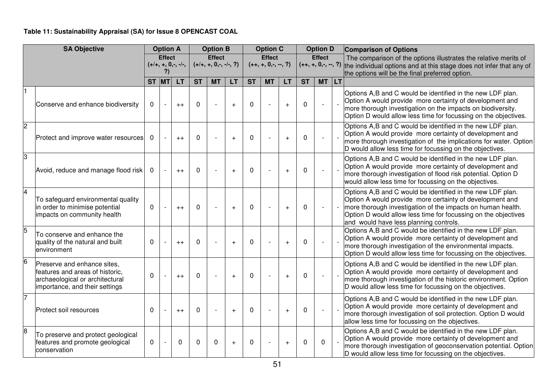# **Table 11: Sustainability Appraisal (SA) for Issue 8 OPENCAST COAL**

|                         | <b>SA Objective</b>                                                                                                                 |              | <b>Option A</b>     |                       |           | <b>Option B</b>                           |                |              | <b>Option C</b>                        |                |              | <b>Option D</b>                        | <b>Comparison of Options</b>                                                                                                                                                                                                                                                                      |
|-------------------------|-------------------------------------------------------------------------------------------------------------------------------------|--------------|---------------------|-----------------------|-----------|-------------------------------------------|----------------|--------------|----------------------------------------|----------------|--------------|----------------------------------------|---------------------------------------------------------------------------------------------------------------------------------------------------------------------------------------------------------------------------------------------------------------------------------------------------|
|                         |                                                                                                                                     |              | <b>Effect</b><br>?) | $(+/+, +, 0, -, -/-,$ |           | <b>Effect</b><br>$(+/+, +, 0, -, -/-, ?)$ |                |              | <b>Effect</b><br>$(++, +, 0, -, -, ?)$ |                |              | <b>Effect</b><br>$(++, +, 0, -, -, ?)$ | The comparison of the options illustrates the relative merits of<br>the individual options and at this stage does not infer that any of<br>the options will be the final preferred option.                                                                                                        |
|                         |                                                                                                                                     | $ST$ $MT$    |                     | <b>LT</b>             | <b>ST</b> | <b>MT</b>                                 | <b>LT</b>      | <b>ST</b>    | <b>MT</b>                              | <b>LT</b>      | <b>ST</b>    | $MT$ LT                                |                                                                                                                                                                                                                                                                                                   |
|                         | Conserve and enhance biodiversity                                                                                                   | 0            |                     | $++$                  | $\Omega$  |                                           | $+$            | $\mathbf{0}$ |                                        | $+$            | 0            |                                        | Options A,B and C would be identified in the new LDF plan.<br>Option A would provide more certainty of development and<br>more thorough investigation on the impacts on biodiversity.<br>Option D would allow less time for focussing on the objectives.                                          |
| $\overline{c}$          | Protect and improve water resources                                                                                                 | 0            |                     | $++$                  | $\Omega$  |                                           | $\overline{+}$ | $\Omega$     |                                        | $\ddot{}$      | $\Omega$     |                                        | Options A,B and C would be identified in the new LDF plan.<br>Option A would provide more certainty of development and<br>more thorough investigation of the implications for water. Option<br>D would allow less time for focussing on the objectives.                                           |
| 3                       | Avoid, reduce and manage flood risk                                                                                                 | 0            |                     | $++$                  | 0         |                                           | $\overline{+}$ | 0            |                                        | $+$            | $\Omega$     |                                        | Options A,B and C would be identified in the new LDF plan.<br>Option A would provide more certainty of development and<br>more thorough investigation of flood risk potential. Option D<br>would allow less time for focussing on the objectives.                                                 |
| $\overline{\mathbf{4}}$ | To safeguard environmental quality<br>in order to minimise potential<br>impacts on community health                                 | $\mathbf{0}$ |                     | $++$                  | $\Omega$  |                                           | $\overline{+}$ | $\Omega$     |                                        | $\ddot{}$      | $\Omega$     |                                        | Options A,B and C would be identified in the new LDF plan.<br>Option A would provide more certainty of development and<br>more thorough investigation of the impacts on human health.<br>Option D would allow less time for focussing on the objectives<br>and would have less planning controls. |
| 5                       | To conserve and enhance the<br>quality of the natural and built<br>environment                                                      | $\Omega$     |                     | $++$                  | $\Omega$  |                                           | $\ddot{}$      | $\Omega$     |                                        | $\overline{+}$ | $\Omega$     |                                        | Options A,B and C would be identified in the new LDF plan.<br>Option A would provide more certainty of development and<br>more thorough investigation of the environmental impacts.<br>Option D would allow less time for focussing on the objectives.                                            |
| <sup>6</sup>            | Preserve and enhance sites,<br>features and areas of historic,<br>archaeological or architectural<br>importance, and their settings | 0            |                     | $++$                  | 0         |                                           | $+$            | 0            |                                        | $+$            | 0            |                                        | Options A,B and C would be identified in the new LDF plan.<br>Option A would provide more certainty of development and<br>more thorough investigation of the historic environment. Option<br>D would allow less time for focussing on the objectives.                                             |
|                         | Protect soil resources                                                                                                              | $\mathbf{0}$ |                     | $++$                  | $\Omega$  |                                           | $\overline{+}$ | $\Omega$     |                                        | $\ddot{}$      | $\mathbf{0}$ |                                        | Options A,B and C would be identified in the new LDF plan.<br>Option A would provide more certainty of development and<br>more thorough investigation of soil protection. Option D would<br>allow less time for focussing on the objectives.                                                      |
| 8                       | To preserve and protect geological<br>features and promote geological<br>conservation                                               | $\Omega$     |                     | $\Omega$              | 0         | 0                                         | $\ddot{}$      | 0            |                                        | $\overline{+}$ | $\Omega$     | $\Omega$                               | Options A,B and C would be identified in the new LDF plan.<br>Option A would provide more certainty of development and<br>more thorough investigation of geoconservation potential. Option<br>D would allow less time for focussing on the objectives.                                            |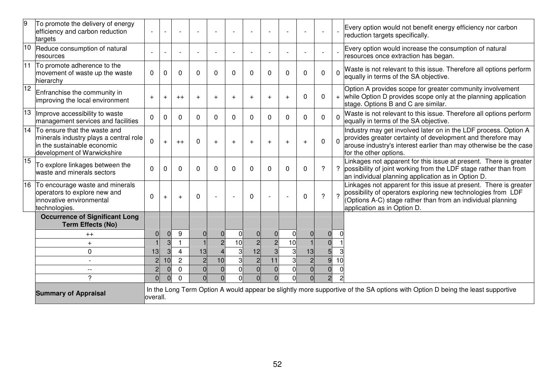| 9               | To promote the delivery of energy<br>efficiency and carbon reduction<br>targets                                                      |                | $\blacksquare$ |                |                |                |                 |                |           |                |                |                            |          | Every option would not benefit energy efficiency nor carbon<br>reduction targets specifically.                                                                                                                                  |
|-----------------|--------------------------------------------------------------------------------------------------------------------------------------|----------------|----------------|----------------|----------------|----------------|-----------------|----------------|-----------|----------------|----------------|----------------------------|----------|---------------------------------------------------------------------------------------------------------------------------------------------------------------------------------------------------------------------------------|
| 10              | Reduce consumption of natural<br>resources                                                                                           |                |                |                |                |                |                 |                |           |                |                |                            |          | Every option would increase the consumption of natural<br>resources once extraction has began.                                                                                                                                  |
| 11              | To promote adherence to the<br>movement of waste up the waste<br>hierarchy                                                           | 0              | 0              | $\Omega$       | $\Omega$       | $\Omega$       | $\Omega$        | $\Omega$       | $\Omega$  | $\Omega$       | $\Omega$       | 0                          |          | Waste is not relevant to this issue. Therefore all options perform<br>equally in terms of the SA objective.                                                                                                                     |
| $\overline{12}$ | Enfranchise the community in<br>improving the local environment                                                                      |                | $\pm$          | $++$           | $+$            | $\div$         |                 | $\ddot{}$      | $+$       | $+$            | $\Omega$       | $\Omega$                   |          | Option A provides scope for greater community involvement<br>while Option D provides scope only at the planning application<br>stage. Options B and C are similar.                                                              |
| 13              | Improve accessibility to waste<br>management services and facilities                                                                 | $\Omega$       | $\Omega$       | $\Omega$       | $\Omega$       | $\Omega$       | $\Omega$        | $\Omega$       | $\Omega$  | $\Omega$       | $\Omega$       | $\Omega$                   | $\Omega$ | Waste is not relevant to this issue. Therefore all options perform<br>equally in terms of the SA objective.                                                                                                                     |
| 14              | To ensure that the waste and<br>minerals industry plays a central role<br>in the sustainable economic<br>development of Warwickshire | $\Omega$       | $+$            | $++$           | $\Omega$       | $+$            |                 | $\ddot{}$      | $\ddot{}$ | $+$            | $+$            | 0                          |          | Industry may get involved later on in the LDF process. Option A<br>provides greater certainty of development and therefore may<br>arouse industry's interest earlier than may otherwise be the case<br>for the other options.   |
| 15              | To explore linkages between the<br>waste and minerals sectors                                                                        | $\Omega$       | $\Omega$       | $\Omega$       | $\Omega$       | $\Omega$       | $\Omega$        | $\Omega$       | $\Omega$  | $\mathbf{0}$   | $\Omega$       | $\boldsymbol{\mathcal{P}}$ |          | Linkages not apparent for this issue at present. There is greater<br>possibility of joint working from the LDF stage rather than from<br>an individual planning application as in Option D.                                     |
| 16              | To encourage waste and minerals<br>operators to explore new and<br>innovative environmental<br>technologies.                         | $\Omega$       | $\ddot{}$      |                | $\Omega$       |                |                 | 0              |           |                | $\Omega$       | ?                          |          | Linkages not apparent for this issue at present. There is greater<br>possibility of operators exploring new technologies from LDF<br>(Options A-C) stage rather than from an individual planning<br>application as in Option D. |
|                 | <b>Occurrence of Significant Long</b><br><b>Term Effects (No)</b>                                                                    |                |                |                |                |                |                 |                |           |                |                |                            |          |                                                                                                                                                                                                                                 |
|                 | $^{++}$                                                                                                                              | $\Omega$       | $\mathbf 0$    | 9              | $\Omega$       | $\overline{0}$ | $\mathbf 0$     | $\Omega$       |           | $\Omega$       | 0              | $\mathbf 0$                |          |                                                                                                                                                                                                                                 |
|                 | $+$                                                                                                                                  |                | 3              |                |                | $\overline{2}$ | 10 <sup>1</sup> | $\overline{c}$ |           | 10             |                | $\Omega$                   |          |                                                                                                                                                                                                                                 |
|                 | $\mathbf 0$                                                                                                                          | 13             | $\mathbf{3}$   | 4              | 13             |                | 3               | 12             |           | 3              | 13             | 5                          |          |                                                                                                                                                                                                                                 |
|                 |                                                                                                                                      | $\overline{2}$ | 10             | $\overline{2}$ | $\overline{2}$ | 10             | 3               | $\overline{2}$ | 11        | зl             | $\overline{c}$ | 9                          | 10       |                                                                                                                                                                                                                                 |
|                 | $ -$                                                                                                                                 | $\overline{c}$ | $\mathbf{0}$   | 0              | $\Omega$       | $\Omega$       | $\mathbf 0$     | $\overline{0}$ |           | $\overline{0}$ | $\overline{0}$ | $\overline{0}$             |          |                                                                                                                                                                                                                                 |
|                 | $\mathcal{P}$                                                                                                                        | $\overline{0}$ | $\Omega$       | $\Omega$       | $\Omega$       | $\Omega$       | $\Omega$        | $\Omega$       |           | $\Omega$       | $\overline{0}$ | $\overline{c}$             |          |                                                                                                                                                                                                                                 |
|                 | <b>Summary of Appraisal</b>                                                                                                          | overall.       |                |                |                |                |                 |                |           |                |                |                            |          | In the Long Term Option A would appear be slightly more supportive of the SA options with Option D being the least supportive                                                                                                   |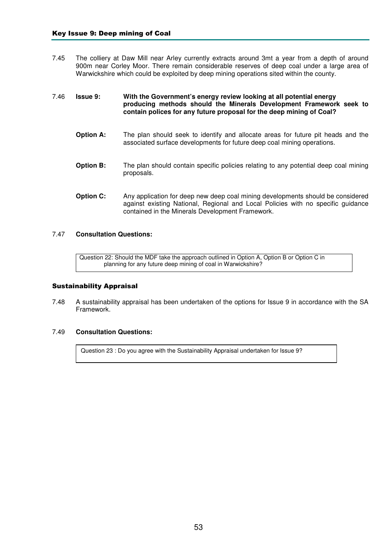7.45 The colliery at Daw Mill near Arley currently extracts around 3mt a year from a depth of around 900m near Corley Moor. There remain considerable reserves of deep coal under a large area of Warwickshire which could be exploited by deep mining operations sited within the county.

# 7.46 **Issue 9: With the Government's energy review looking at all potential energy producing methods should the Minerals Development Framework seek to contain polices for any future proposal for the deep mining of Coal?**

- **Option A:** The plan should seek to identify and allocate areas for future pit heads and the associated surface developments for future deep coal mining operations.
- **Option B:** The plan should contain specific policies relating to any potential deep coal mining proposals.
- **Option C:** Any application for deep new deep coal mining developments should be considered against existing National, Regional and Local Policies with no specific guidance contained in the Minerals Development Framework.

# 7.47 **Consultation Questions:**

Question 22: Should the MDF take the approach outlined in Option A, Option B or Option C in planning for any future deep mining of coal in Warwickshire?

#### Sustainability Appraisal

7.48 A sustainability appraisal has been undertaken of the options for Issue 9 in accordance with the SA Framework.

## 7.49 **Consultation Questions:**

Question 23 : Do you agree with the Sustainability Appraisal undertaken for Issue 9?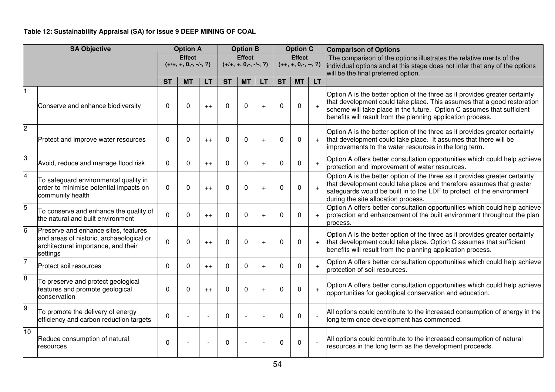# **Table 12: Sustainability Appraisal (SA) for Issue 9 DEEP MINING OF COAL**

|                         | <b>SA Objective</b>                                                                                                                 |              | <b>Option A</b>                           |           |           | <b>Option B</b>                           |           |              | <b>Option C</b>                        |            | <b>Comparison of Options</b>                                                                                                                                                                                                                                                                    |
|-------------------------|-------------------------------------------------------------------------------------------------------------------------------------|--------------|-------------------------------------------|-----------|-----------|-------------------------------------------|-----------|--------------|----------------------------------------|------------|-------------------------------------------------------------------------------------------------------------------------------------------------------------------------------------------------------------------------------------------------------------------------------------------------|
|                         |                                                                                                                                     |              | <b>Effect</b><br>$(+/+, +, 0, -, -/-, ?)$ |           |           | <b>Effect</b><br>$(+/+, +, 0, -, -/-, ?)$ |           |              | <b>Effect</b><br>$(++, +, 0, -, -, ?)$ |            | The comparison of the options illustrates the relative merits of the<br>individual options and at this stage does not infer that any of the options<br>will be the final preferred option.                                                                                                      |
|                         |                                                                                                                                     | <b>ST</b>    | MТ                                        | <b>LT</b> | <b>ST</b> | <b>MT</b>                                 | <b>LT</b> | <b>ST</b>    | <b>MT</b>                              | LT.        |                                                                                                                                                                                                                                                                                                 |
|                         | Conserve and enhance biodiversity                                                                                                   | $\Omega$     | $\Omega$                                  | $++$      | $\Omega$  | $\mathbf 0$                               | $\ddot{}$ | $\Omega$     | $\Omega$                               | $+$        | Option A is the better option of the three as it provides greater certainty<br>that development could take place. This assumes that a good restoration<br>scheme will take place in the future. Option C assumes that sufficient<br>benefits will result from the planning application process. |
| 2                       | Protect and improve water resources                                                                                                 | $\Omega$     | $\Omega$                                  | $++$      | $\Omega$  | $\mathbf{0}$                              |           | $\Omega$     | $\Omega$                               | $+$        | Option A is the better option of the three as it provides greater certainty<br>that development could take place. It assumes that there will be<br>improvements to the water resources in the long term.                                                                                        |
| 3                       | Avoid, reduce and manage flood risk                                                                                                 | $\mathbf{0}$ | $\Omega$                                  | $++$      | $\Omega$  | $\mathbf{0}$                              | $+$       | $\mathbf{0}$ | $\Omega$                               | $+$        | Option A offers better consultation opportunities which could help achieve<br>protection and improvement of water resources.                                                                                                                                                                    |
| $\overline{\mathbf{4}}$ | To safeguard environmental quality in<br>order to minimise potential impacts on<br>community health                                 | $\Omega$     | 0                                         | $++$      | $\Omega$  | $\mathbf 0$                               | $\ddot{}$ | $\Omega$     | $\Omega$                               | $+$        | Option A is the better option of the three as it provides greater certainty<br>that development could take place and therefore assumes that greater<br>safeguards would be built in to the LDF to protect of the environment<br>during the site allocation process.                             |
| 5                       | To conserve and enhance the quality of<br>the natural and built environment                                                         | $\Omega$     | $\Omega$                                  | $++$      | $\Omega$  | 0                                         | $\div$    | $\Omega$     | $\Omega$                               | $+$        | Option A offers better consultation opportunities which could help achieve<br>protection and enhancement of the built environment throughout the plan<br>process.                                                                                                                               |
| 6                       | Preserve and enhance sites, features<br>and areas of historic, archaeological or<br>architectural importance, and their<br>settings | $\Omega$     | $\Omega$                                  | $++$      | $\Omega$  | $\mathbf{0}$                              | $+$       | $\Omega$     | $\Omega$                               | $+$        | Option A is the better option of the three as it provides greater certainty<br>that development could take place. Option C assumes that sufficient<br>benefits will result from the planning application process.                                                                               |
|                         | Protect soil resources                                                                                                              | $\mathbf{0}$ | 0                                         | $++$      | $\Omega$  | 0                                         | $+$       | $\Omega$     | $\Omega$                               | $+$        | Option A offers better consultation opportunities which could help achieve<br>protection of soil resources.                                                                                                                                                                                     |
| 8                       | To preserve and protect geological<br>features and promote geological<br>conservation                                               | $\Omega$     | $\Omega$                                  | $++$      | $\Omega$  | $\mathbf 0$                               | $+$       | $\Omega$     | $\Omega$                               | $\ddot{+}$ | Option A offers better consultation opportunities which could help achieve<br>opportunities for geological conservation and education.                                                                                                                                                          |
| 9                       | To promote the delivery of energy<br>efficiency and carbon reduction targets                                                        | $\Omega$     |                                           |           | $\Omega$  |                                           |           | $\Omega$     | $\Omega$                               |            | All options could contribute to the increased consumption of energy in the<br>long term once development has commenced.                                                                                                                                                                         |
| 10                      | Reduce consumption of natural<br>Iresources                                                                                         | 0            |                                           |           | $\Omega$  |                                           |           | $\Omega$     | $\Omega$                               |            | All options could contribute to the increased consumption of natural<br>resources in the long term as the development proceeds.                                                                                                                                                                 |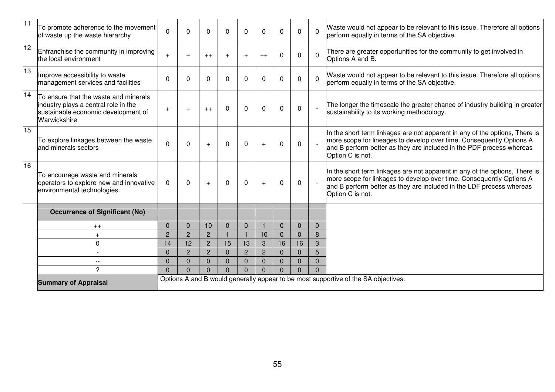| 11              | To promote adherence to the movement<br>of waste up the waste hierarchy                                                              | $\mathbf 0$ | $\Omega$       | 0              | $\Omega$       | $\Omega$       | $\Omega$       | $\Omega$     | $\Omega$     | $\Omega$     | Waste would not appear to be relevant to this issue. Therefore all options<br>perform equally in terms of the SA objective.                                                                                                                     |
|-----------------|--------------------------------------------------------------------------------------------------------------------------------------|-------------|----------------|----------------|----------------|----------------|----------------|--------------|--------------|--------------|-------------------------------------------------------------------------------------------------------------------------------------------------------------------------------------------------------------------------------------------------|
| 12              | Enfranchise the community in improving<br>the local environment                                                                      | $+$         |                | $++$           | $+$            | $\div$         | $++$           | $\mathbf 0$  | $\Omega$     | $\mathbf 0$  | There are greater opportunities for the community to get involved in<br>Options A and B.                                                                                                                                                        |
| 13              | Improve accessibility to waste<br>management services and facilities                                                                 | 0           | 0              | 0              | $\Omega$       | $\Omega$       | $\Omega$       | $\Omega$     | $\Omega$     | $\Omega$     | Waste would not appear to be relevant to this issue. Therefore all options<br>perform equally in terms of the SA objective.                                                                                                                     |
| $\overline{14}$ | To ensure that the waste and minerals<br>industry plays a central role in the<br>sustainable economic development of<br>Warwickshire | $+$         |                | $++$           | $\Omega$       | $\Omega$       | $\Omega$       | $\mathbf 0$  | $\Omega$     |              | The longer the timescale the greater chance of industry building in greater<br>sustainability to its working methodology.                                                                                                                       |
| 15              | To explore linkages between the waste<br>and minerals sectors                                                                        | $\Omega$    | $\Omega$       | $+$            | $\Omega$       | $\Omega$       | $\overline{+}$ | $\Omega$     | $\Omega$     |              | In the short term linkages are not apparent in any of the options, There is<br>more scope for lineages to develop over time. Consequently Options A<br>and B perform better as they are included in the PDF process whereas<br>Option C is not. |
| 16              | To encourage waste and minerals<br>operators to explore new and innovative<br>environmental technologies.                            | 0           | $\Omega$       | $+$            | 0              | $\Omega$       | $+$            | $\mathbf 0$  | 0            |              | In the short term linkages are not apparent in any of the options, There is<br>more scope for linkages to develop over time. Consequently Options A<br>and B perform better as they are included in the LDF process whereas<br>Option C is not. |
|                 | <b>Occurrence of Significant (No)</b>                                                                                                |             |                |                |                |                |                |              |              |              |                                                                                                                                                                                                                                                 |
|                 | $++$                                                                                                                                 | $\Omega$    | 0              | 10             | $\Omega$       | $\mathbf{0}$   |                | $\mathbf{0}$ | $\mathbf{0}$ | $\mathbf{0}$ |                                                                                                                                                                                                                                                 |
|                 |                                                                                                                                      | 2           | $\overline{2}$ | $\overline{2}$ |                |                | 10             | $\Omega$     | $\Omega$     | 8            |                                                                                                                                                                                                                                                 |
|                 | 0                                                                                                                                    | 14          | 12             | $\overline{2}$ | 15             | 13             | 3              | 16           | 16           | 3            |                                                                                                                                                                                                                                                 |
|                 | $\overline{\phantom{a}}$                                                                                                             | $\Omega$    | $\overline{2}$ | 2              | $\Omega$       | $\overline{2}$ | $\overline{2}$ | $\Omega$     | $\Omega$     | 5            |                                                                                                                                                                                                                                                 |
|                 | $- -$<br>C                                                                                                                           | $\Omega$    | $\Omega$       | $\overline{0}$ | $\overline{0}$ | $\mathbf 0$    | $\mathbf 0$    | $\mathbf 0$  | $\Omega$     | 0            |                                                                                                                                                                                                                                                 |
|                 |                                                                                                                                      | $\Omega$    | $\Omega$       | $\Omega$       | $\Omega$       | $\Omega$       | $\Omega$       | $\Omega$     | $\Omega$     | $\Omega$     |                                                                                                                                                                                                                                                 |
|                 | <b>Summary of Appraisal</b>                                                                                                          |             |                |                |                |                |                |              |              |              | Options A and B would generally appear to be most supportive of the SA objectives.                                                                                                                                                              |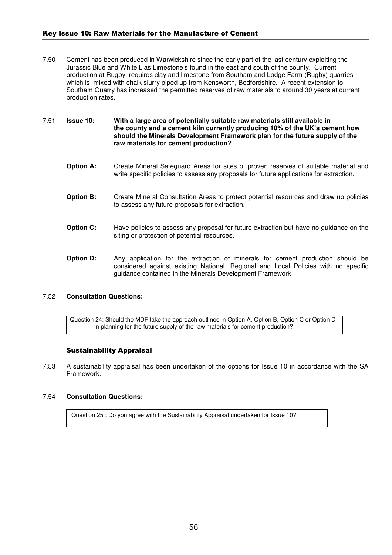### Key Issue 10: Raw Materials for the Manufacture of Cement

7.50 Cement has been produced in Warwickshire since the early part of the last century exploiting the Jurassic Blue and White Lias Limestone's found in the east and south of the county. Current production at Rugby requires clay and limestone from Southam and Lodge Farm (Rugby) quarries which is mixed with chalk slurry piped up from Kensworth, Bedfordshire. A recent extension to Southam Quarry has increased the permitted reserves of raw materials to around 30 years at current production rates.

#### 7.51 **Issue 10: With a large area of potentially suitable raw materials still available in the county and a cement kiln currently producing 10% of the UK's cement how should the Minerals Development Framework plan for the future supply of the raw materials for cement production?**

- **Option A:** Create Mineral Safeguard Areas for sites of proven reserves of suitable material and write specific policies to assess any proposals for future applications for extraction.
- **Option B:** Create Mineral Consultation Areas to protect potential resources and draw up policies to assess any future proposals for extraction.
- **Option C:** Have policies to assess any proposal for future extraction but have no quidance on the siting or protection of potential resources.
- **Option D:** Any application for the extraction of minerals for cement production should be considered against existing National, Regional and Local Policies with no specific guidance contained in the Minerals Development Framework

# 7.52 **Consultation Questions:**

Question 24: Should the MDF take the approach outlined in Option A, Option B, Option C or Option D in planning for the future supply of the raw materials for cement production?

#### Sustainability Appraisal

7.53 A sustainability appraisal has been undertaken of the options for Issue 10 in accordance with the SA Framework.

### 7.54 **Consultation Questions:**

Question 25 : Do you agree with the Sustainability Appraisal undertaken for Issue 10?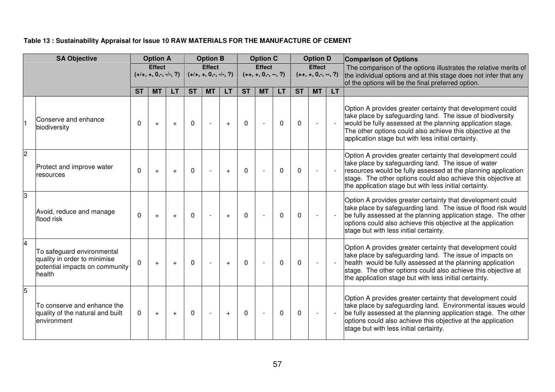# **Table 13 : Sustainability Appraisal for Issue 10 RAW MATERIALS FOR THE MANUFACTURE OF CEMENT**

|                         | <b>SA Objective</b>                                                                                    |                                           | <b>Option A</b> |                |                                           | <b>Option B</b> |           | <b>Option C</b> |                                        |              | <b>Option D</b> |                                        |           | <b>Comparison of Options</b>                                                                                                                                                                                                                                                                                    |
|-------------------------|--------------------------------------------------------------------------------------------------------|-------------------------------------------|-----------------|----------------|-------------------------------------------|-----------------|-----------|-----------------|----------------------------------------|--------------|-----------------|----------------------------------------|-----------|-----------------------------------------------------------------------------------------------------------------------------------------------------------------------------------------------------------------------------------------------------------------------------------------------------------------|
|                         |                                                                                                        | <b>Effect</b><br>$(+/+, +, 0, -, -/-, ?)$ |                 |                | <b>Effect</b><br>$(+/+, +, 0, -, -/-, ?)$ |                 |           |                 | <b>Effect</b><br>$(++, +, 0, -, -, ?)$ |              |                 | <b>Effect</b><br>$(++, +, 0, -, -, ?)$ |           | The comparison of the options illustrates the relative merits of<br>the individual options and at this stage does not infer that any<br>of the options will be the final preferred option.                                                                                                                      |
|                         |                                                                                                        | <b>ST</b>                                 | <b>MT</b>       | LT.            | <b>ST</b>                                 | <b>MT</b>       | <b>LT</b> | <b>ST</b>       | <b>MT</b>                              | <b>LT</b>    | <b>ST</b>       | <b>MT</b>                              | <b>LT</b> |                                                                                                                                                                                                                                                                                                                 |
|                         | Conserve and enhance<br>biodiversity                                                                   | $\Omega$                                  | $+$             | $+$            | $\Omega$                                  |                 | $+$       | $\mathbf 0$     |                                        | $\Omega$     | $\mathbf{0}$    |                                        |           | Option A provides greater certainty that development could<br>take place by safeguarding land. The issue of biodiversity<br>would be fully assessed at the planning application stage.<br>The other options could also achieve this objective at the<br>application stage but with less initial certainty.      |
| $\overline{2}$          | Protect and improve water<br>resources                                                                 | $\Omega$                                  | $+$             | $\overline{+}$ | $\Omega$                                  |                 | $+$       | $\mathbf 0$     |                                        | $\mathbf{0}$ | $\mathbf{0}$    |                                        |           | Option A provides greater certainty that development could<br>take place by safeguarding land. The issue of water<br>resources would be fully assessed at the planning application<br>stage. The other options could also achieve this objective at<br>the application stage but with less initial certainty.   |
| 3                       | Avoid, reduce and manage<br>flood risk                                                                 | 0                                         | $+$             | $+$            | $\mathbf 0$                               |                 | $+$       | $\mathbf 0$     |                                        | $\mathbf{0}$ | $\mathbf{0}$    |                                        |           | Option A provides greater certainty that development could<br>take place by safeguarding land. The issue of flood risk would<br>be fully assessed at the planning application stage. The other<br>options could also achieve this objective at the application<br>stage but with less initial certainty.        |
| $\overline{\mathbf{4}}$ | To safeguard environmental<br>quality in order to minimise<br>potential impacts on community<br>health | $\Omega$                                  | $+$             |                | $\Omega$                                  |                 | $+$       | $\mathbf 0$     |                                        | $\Omega$     | $\mathbf 0$     |                                        |           | Option A provides greater certainty that development could<br>take place by safeguarding land. The issue of impacts on<br>health would be fully assessed at the planning application<br>stage. The other options could also achieve this objective at<br>the application stage but with less initial certainty. |
| 5                       | To conserve and enhance the<br>quality of the natural and built<br>environment                         | 0                                         | $+$             | $+$            | 0                                         |                 | $+$       | $\mathbf 0$     |                                        | 0            | 0               |                                        |           | Option A provides greater certainty that development could<br>take place by safeguarding land. Environmental issues would<br>be fully assessed at the planning application stage. The other<br>options could also achieve this objective at the application<br>stage but with less initial certainty.           |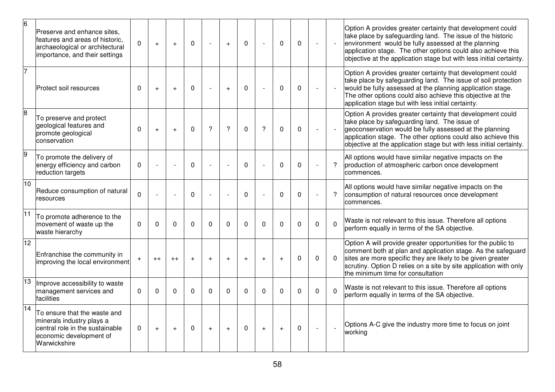| 6              | Preserve and enhance sites.<br>features and areas of historic,<br>archaeological or architectural<br>importance, and their settings     | $\Omega$       | $\ddot{}$ | $+$      | $\mathbf 0$ |                | $+$         | 0           | $\overline{a}$ | $\mathbf 0$ | $\mathbf 0$  | $\blacksquare$ |             | Option A provides greater certainty that development could<br>take place by safeguarding land. The issue of the historic<br>environment would be fully assessed at the planning<br>application stage. The other options could also achieve this<br>objective at the application stage but with less initial certainty. |
|----------------|-----------------------------------------------------------------------------------------------------------------------------------------|----------------|-----------|----------|-------------|----------------|-------------|-------------|----------------|-------------|--------------|----------------|-------------|------------------------------------------------------------------------------------------------------------------------------------------------------------------------------------------------------------------------------------------------------------------------------------------------------------------------|
| 7              | Protect soil resources                                                                                                                  | $\Omega$       |           | $+$      | $\Omega$    |                | $\ddot{}$   | $\Omega$    |                | $\Omega$    | $\Omega$     | $\overline{a}$ |             | Option A provides greater certainty that development could<br>take place by safeguarding land. The issue of soil protection<br>would be fully assessed at the planning application stage.<br>The other options could also achieve this objective at the<br>application stage but with less initial certainty.          |
| $\overline{8}$ | To preserve and protect<br>geological features and<br>promote geological<br>conservation                                                | 0              |           | $+$      | $\mathbf 0$ | ?              | ?           | $\mathbf 0$ | ?              | $\mathbf 0$ | 0            |                |             | Option A provides greater certainty that development could<br>take place by safeguarding land. The issue of<br>geoconservation would be fully assessed at the planning<br>application stage. The other options could also achieve this<br>objective at the application stage but with less initial certainty.          |
| 9              | To promote the delivery of<br>energy efficiency and carbon<br>reduction targets                                                         | $\Omega$       |           |          | $\Omega$    |                |             | $\Omega$    |                | $\Omega$    | $\Omega$     |                | ?           | All options would have similar negative impacts on the<br>production of atmospheric carbon once development<br>commences.                                                                                                                                                                                              |
| 10             | Reduce consumption of natural<br>resources                                                                                              | $\overline{0}$ |           |          | $\Omega$    |                |             | $\Omega$    |                | 0           | 0            |                | ?           | All options would have similar negative impacts on the<br>consumption of natural resources once development<br>commences.                                                                                                                                                                                              |
| 11             | To promote adherence to the<br>movement of waste up the<br>waste hierarchy                                                              | $\Omega$       | $\Omega$  | $\Omega$ | $\Omega$    | $\Omega$       | $\mathbf 0$ | $\Omega$    | $\Omega$       | 0           | $\Omega$     | $\Omega$       | $\Omega$    | Waste is not relevant to this issue. Therefore all options<br>perform equally in terms of the SA objective.                                                                                                                                                                                                            |
| 12             | Enfranchise the community in<br>improving the local environment                                                                         | $+$            | $++$      | $++$     | $+$         | $\overline{+}$ | $\ddot{}$   | $+$         | $+$            | $+$         | $\mathbf{0}$ | $\mathbf 0$    | $\mathbf 0$ | Option A will provide greater opportunities for the public to<br>comment both at plan and application stage. As the safeguard<br>sites are more specific they are likely to be given greater<br>scrutiny. Option D relies on a site by site application with only<br>the minimum time for consultation                 |
| 13             | Improve accessibility to waste<br>management services and<br>facilities                                                                 | $\Omega$       | $\Omega$  | 0        | $\Omega$    | $\Omega$       | $\Omega$    | $\Omega$    | $\Omega$       | $\Omega$    | $\Omega$     | $\mathbf{0}$   | $\Omega$    | Waste is not relevant to this issue. Therefore all options<br>perform equally in terms of the SA objective.                                                                                                                                                                                                            |
| 14             | To ensure that the waste and<br>minerals industry plays a<br>central role in the sustainable<br>economic development of<br>Warwickshire | $\Omega$       | $+$       | $+$      | $\Omega$    | $+$            | $+$         | $\Omega$    | $+$            | $+$         | $\mathbf{0}$ | $\overline{a}$ |             | Options A-C give the industry more time to focus on joint<br>working                                                                                                                                                                                                                                                   |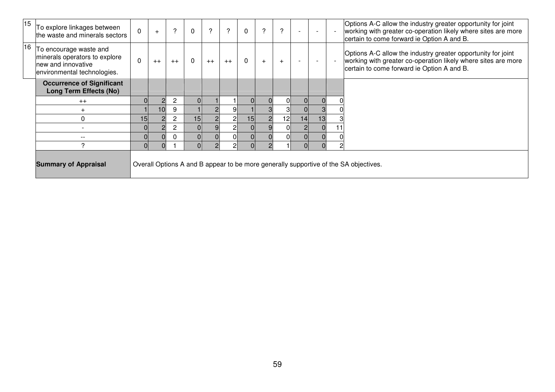| 15 | To explore linkages between<br>the waste and minerals sectors                                                | $\Omega$    |      | ?              | $\mathbf 0$ | ?    | $\overline{\mathcal{E}}$ | $\Omega$ | ?              | ?  |    |                | Options A-C allow the industry greater opportunity for joint<br>working with greater co-operation likely where sites are more<br>certain to come forward ie Option A and B. |
|----|--------------------------------------------------------------------------------------------------------------|-------------|------|----------------|-------------|------|--------------------------|----------|----------------|----|----|----------------|-----------------------------------------------------------------------------------------------------------------------------------------------------------------------------|
| 16 | To encourage waste and<br>minerals operators to explore<br>new and innovative<br>environmental technologies. | $\mathbf 0$ | $++$ | $++$           | 0           | $++$ | $++$                     | $\Omega$ |                |    |    |                | Options A-C allow the industry greater opportunity for joint<br>working with greater co-operation likely where sites are more<br>certain to come forward ie Option A and B. |
|    | <b>Occurrence of Significant</b><br><b>Long Term Effects (No)</b>                                            |             |      |                |             |      |                          |          |                |    |    |                |                                                                                                                                                                             |
|    | $++$                                                                                                         |             |      | $\overline{c}$ |             |      |                          |          |                |    |    |                |                                                                                                                                                                             |
|    | $+$                                                                                                          |             | 10   | 9              |             |      |                          |          |                |    |    | 3              |                                                                                                                                                                             |
|    | 0                                                                                                            | 15          |      | $\overline{c}$ | 15          |      |                          | 15       | $\overline{2}$ | 12 | 14 | 13             |                                                                                                                                                                             |
|    |                                                                                                              | 0           |      | 2              | 01          | 9    |                          | 01       |                |    |    | $\overline{0}$ |                                                                                                                                                                             |
|    |                                                                                                              |             |      | 0              | $\Omega$    |      |                          | Οl       |                |    |    | $\Omega$       |                                                                                                                                                                             |
|    |                                                                                                              | $\Omega$    |      |                | ΩI          | ာ    |                          | ΩI       | 2              |    |    | ∩              |                                                                                                                                                                             |
|    | <b>Summary of Appraisal</b>                                                                                  |             |      |                |             |      |                          |          |                |    |    |                | Overall Options A and B appear to be more generally supportive of the SA objectives.                                                                                        |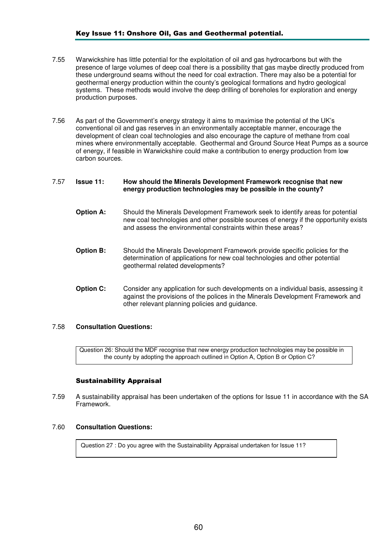# Key Issue 11: Onshore Oil, Gas and Geothermal potential.

- 7.55 Warwickshire has little potential for the exploitation of oil and gas hydrocarbons but with the presence of large volumes of deep coal there is a possibility that gas maybe directly produced from these underground seams without the need for coal extraction. There may also be a potential for geothermal energy production within the county's geological formations and hydro geological systems. These methods would involve the deep drilling of boreholes for exploration and energy production purposes.
- 7.56 As part of the Government's energy strategy it aims to maximise the potential of the UK's conventional oil and gas reserves in an environmentally acceptable manner, encourage the development of clean coal technologies and also encourage the capture of methane from coal mines where environmentally acceptable. Geothermal and Ground Source Heat Pumps as a source of energy, if feasible in Warwickshire could make a contribution to energy production from low carbon sources.

#### 7.57 **Issue 11: How should the Minerals Development Framework recognise that new energy production technologies may be possible in the county?**

- **Option A:** Should the Minerals Development Framework seek to identify areas for potential new coal technologies and other possible sources of energy if the opportunity exists and assess the environmental constraints within these areas?
- **Option B:** Should the Minerals Development Framework provide specific policies for the determination of applications for new coal technologies and other potential geothermal related developments?
- **Option C:** Consider any application for such developments on a individual basis, assessing it against the provisions of the polices in the Minerals Development Framework and other relevant planning policies and guidance.

# 7.58 **Consultation Questions:**

Question 26: Should the MDF recognise that new energy production technologies may be possible in the county by adopting the approach outlined in Option A, Option B or Option C?

# Sustainability Appraisal

7.59 A sustainability appraisal has been undertaken of the options for Issue 11 in accordance with the SA Framework.

#### 7.60 **Consultation Questions:**

Question 27 : Do you agree with the Sustainability Appraisal undertaken for Issue 11?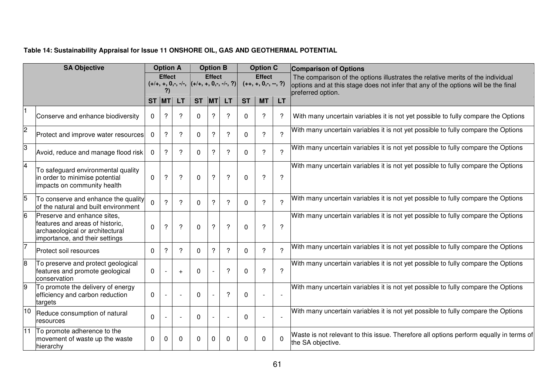|                | <b>SA Objective</b>                                                                                                                 |                                                                       | <b>Option A</b> |                          |           | <b>Option B</b> |               |              | <b>Option C</b>                        |           | <b>Comparison of Options</b>                                                                                                                                                               |
|----------------|-------------------------------------------------------------------------------------------------------------------------------------|-----------------------------------------------------------------------|-----------------|--------------------------|-----------|-----------------|---------------|--------------|----------------------------------------|-----------|--------------------------------------------------------------------------------------------------------------------------------------------------------------------------------------------|
|                |                                                                                                                                     | <b>Effect</b><br>$(+/+, +, 0, -, -/-,  (+/+, +, 0, -, -/-, ?) $<br>?) |                 |                          |           | <b>Effect</b>   |               |              | <b>Effect</b><br>$(++, +, 0, -, -, ?)$ |           | The comparison of the options illustrates the relative merits of the individual<br>options and at this stage does not infer that any of the options will be the final<br>preferred option. |
|                |                                                                                                                                     |                                                                       | $ST$ $MT$       | <b>LT</b>                | <b>ST</b> | <b>MT</b>       | <b>LT</b>     | <b>ST</b>    | <b>MT</b>                              | <b>LT</b> |                                                                                                                                                                                            |
|                | Conserve and enhance biodiversity                                                                                                   | 0                                                                     | ?               | ?                        | $\Omega$  | ?               | ?             | $\Omega$     | ?                                      | -2        | With many uncertain variables it is not yet possible to fully compare the Options                                                                                                          |
| $\overline{2}$ | Protect and improve water resources                                                                                                 | $\Omega$                                                              | ?               | ?                        | $\Omega$  | $\overline{?}$  | ?             | $\Omega$     | ?                                      | 2         | With many uncertain variables it is not yet possible to fully compare the Options                                                                                                          |
| 3              | Avoid, reduce and manage flood risk                                                                                                 | $\mathbf{0}$                                                          | ?               | ?                        | $\Omega$  | ?               | ?             | $\mathbf{0}$ | ?                                      | $\Omega$  | With many uncertain variables it is not yet possible to fully compare the Options                                                                                                          |
| $\overline{4}$ | To safeguard environmental quality<br>in order to minimise potential<br>impacts on community health                                 | 0                                                                     | ?               | $\overline{\phantom{0}}$ | $\Omega$  | $\overline{?}$  | ?             | $\mathbf{0}$ | ?                                      | ?         | With many uncertain variables it is not yet possible to fully compare the Options                                                                                                          |
| $\overline{5}$ | To conserve and enhance the quality<br>of the natural and built environment                                                         | 0                                                                     | $\overline{?}$  | ?                        | $\Omega$  | $\overline{?}$  | 2             | $\Omega$     | 2                                      | 2         | With many uncertain variables it is not yet possible to fully compare the Options                                                                                                          |
| 6              | Preserve and enhance sites,<br>features and areas of historic.<br>archaeological or architectural<br>importance, and their settings | 0                                                                     | ?               | ?                        | $\Omega$  | $\overline{?}$  | ?             | $\Omega$     | ?                                      | ?         | With many uncertain variables it is not yet possible to fully compare the Options                                                                                                          |
| $\overline{7}$ | Protect soil resources                                                                                                              | 0                                                                     | ?               | ?                        | $\Omega$  | $\overline{?}$  | $\mathcal{P}$ | $\Omega$     | $\gamma$                               | 2         | With many uncertain variables it is not yet possible to fully compare the Options                                                                                                          |
| $\overline{8}$ | To preserve and protect geological<br>features and promote geological<br>conservation                                               | 0                                                                     |                 | $+$                      | $\Omega$  |                 | ?             | $\Omega$     | ?                                      | $\gamma$  | With many uncertain variables it is not yet possible to fully compare the Options                                                                                                          |
| 9              | To promote the delivery of energy<br>efficiency and carbon reduction<br>targets                                                     | 0                                                                     |                 |                          | $\Omega$  |                 | ?             | $\Omega$     |                                        |           | With many uncertain variables it is not yet possible to fully compare the Options                                                                                                          |
| 10             | Reduce consumption of natural<br>resources                                                                                          | 0                                                                     |                 |                          | $\Omega$  |                 |               | $\Omega$     |                                        |           | With many uncertain variables it is not yet possible to fully compare the Options                                                                                                          |
| 11             | To promote adherence to the<br>movement of waste up the waste<br>hierarchy                                                          | 0                                                                     | $\Omega$        | $\Omega$                 | $\Omega$  | 0               | <sup>0</sup>  | $\Omega$     | $\Omega$                               | $\Omega$  | Waste is not relevant to this issue. Therefore all options perform equally in terms of<br>the SA objective.                                                                                |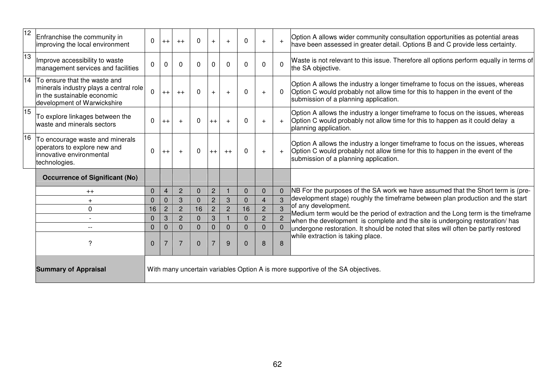| $\overline{12}$ | Enfranchise the community in<br>improving the local environment                                                                       | $\mathbf 0$    | $++$           | $++$           | 0            | $+$            | $+$            | $\mathbf{0}$ | $+$            | $\ddot{}$      | Option A allows wider community consultation opportunities as potential areas<br>have been assessed in greater detail. Options B and C provide less certainty.                                            |
|-----------------|---------------------------------------------------------------------------------------------------------------------------------------|----------------|----------------|----------------|--------------|----------------|----------------|--------------|----------------|----------------|-----------------------------------------------------------------------------------------------------------------------------------------------------------------------------------------------------------|
| $\overline{13}$ | Improve accessibility to waste<br>management services and facilities                                                                  | $\mathbf 0$    | 0              | $\Omega$       | 0            | $\Omega$       | 0              | $\Omega$     | $\Omega$       | $\Omega$       | Waste is not relevant to this issue. Therefore all options perform equally in terms of<br>the SA objective.                                                                                               |
| 14              | To ensure that the waste and<br>minerals industry plays a central role<br>lin the sustainable economic<br>development of Warwickshire | $\mathbf 0$    | $++$           | $++$           | $\Omega$     | $+$            |                | $\mathbf{0}$ | $+$            | $\Omega$       | Option A allows the industry a longer timeframe to focus on the issues, whereas<br>Option C would probably not allow time for this to happen in the event of the<br>submission of a planning application. |
| 15              | To explore linkages between the<br>waste and minerals sectors                                                                         | $\Omega$       | $^{++}$        |                | $\Omega$     | $^{++}$        |                | $\mathbf{0}$ | $+$            | $+$            | Option A allows the industry a longer timeframe to focus on the issues, whereas<br>Option C would probably not allow time for this to happen as it could delay a<br>planning application.                 |
| 16              | To encourage waste and minerals<br>operators to explore new and<br>linnovative environmental<br>technologies.                         | $\overline{0}$ | $++$           | $+$            | $\Omega$     | $++$           | $++$           | $\mathbf 0$  | $+$            | $+$            | Option A allows the industry a longer timeframe to focus on the issues, whereas<br>Option C would probably not allow time for this to happen in the event of the<br>submission of a planning application. |
|                 | <b>Occurrence of Significant (No)</b>                                                                                                 |                |                |                |              |                |                |              |                |                |                                                                                                                                                                                                           |
|                 | $++$                                                                                                                                  | $\mathbf 0$    | 4              | $\overline{2}$ | $\mathbf 0$  | $\overline{c}$ |                | $\Omega$     | $\overline{0}$ | $\mathbf 0$    | NB For the purposes of the SA work we have assumed that the Short term is (pre-                                                                                                                           |
|                 |                                                                                                                                       | $\Omega$       | 0              | 3              | $\Omega$     | $\overline{2}$ | 3              | $\Omega$     | $\overline{4}$ | 3              | development stage) roughly the timeframe between plan production and the start                                                                                                                            |
|                 | $\Omega$                                                                                                                              | 16             | $\overline{c}$ | $\overline{2}$ | 16           | $\overline{2}$ | $\overline{2}$ | 16           | $\overline{2}$ | 3              | of any development.                                                                                                                                                                                       |
|                 |                                                                                                                                       | $\mathbf{0}$   | 3              | $\overline{2}$ | $\Omega$     | $\mathbf{3}$   |                | $\Omega$     | $\overline{2}$ | $\overline{2}$ | Medium term would be the period of extraction and the Long term is the timeframe<br>when the development is complete and the site is undergoing restoration/ has                                          |
|                 | $-$                                                                                                                                   | $\mathbf{0}$   | $\overline{0}$ | $\overline{0}$ | $\mathbf{0}$ | $\mathbf 0$    | $\Omega$       | $\Omega$     | $\overline{0}$ | $\overline{0}$ | undergone restoration. It should be noted that sites will often be partly restored                                                                                                                        |
|                 | ?                                                                                                                                     | $\overline{0}$ |                | $\overline{7}$ | $\Omega$     |                | 9              | $\Omega$     | 8              | 8              | while extraction is taking place.                                                                                                                                                                         |
|                 | <b>Summary of Appraisal</b>                                                                                                           |                |                |                |              |                |                |              |                |                | With many uncertain variables Option A is more supportive of the SA objectives.                                                                                                                           |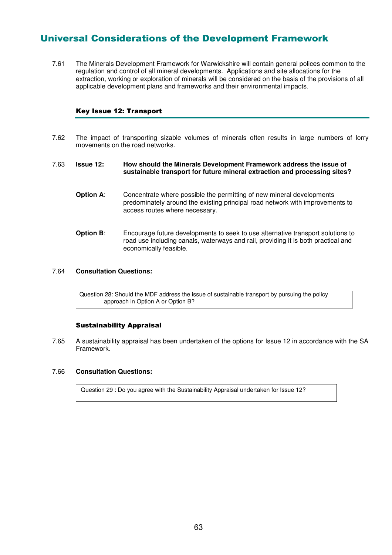# Universal Considerations of the Development Framework

7.61 The Minerals Development Framework for Warwickshire will contain general polices common to the regulation and control of all mineral developments. Applications and site allocations for the extraction, working or exploration of minerals will be considered on the basis of the provisions of all applicable development plans and frameworks and their environmental impacts.

# Key Issue 12: Transport

7.62 The impact of transporting sizable volumes of minerals often results in large numbers of lorry movements on the road networks.

7.63 **Issue 12: How should the Minerals Development Framework address the issue of sustainable transport for future mineral extraction and processing sites?** 

- **Option A:** Concentrate where possible the permitting of new mineral developments predominately around the existing principal road network with improvements to access routes where necessary.
- **Option B:** Encourage future developments to seek to use alternative transport solutions to road use including canals, waterways and rail, providing it is both practical and economically feasible.

#### 7.64 **Consultation Questions:**

Question 28: Should the MDF address the issue of sustainable transport by pursuing the policy approach in Option A or Option B?

#### Sustainability Appraisal

7.65 A sustainability appraisal has been undertaken of the options for Issue 12 in accordance with the SA Framework.

### 7.66 **Consultation Questions:**

Question 29 : Do you agree with the Sustainability Appraisal undertaken for Issue 12?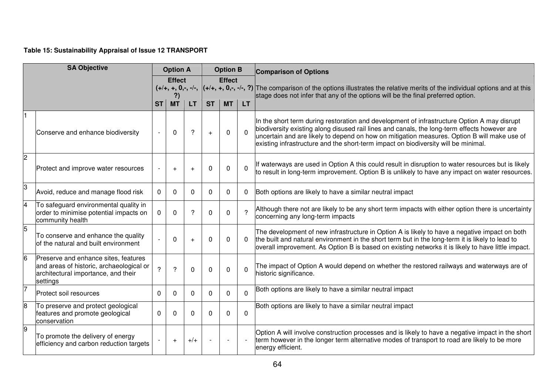# **Table 15: Sustainability Appraisal of Issue 12 TRANSPORT**

|                | <b>SA Objective</b>                                                                                                                 |                | <b>Option A</b><br><b>Effect</b> |           |           | <b>Option B</b><br><b>Effect</b> |          | <b>Comparison of Options</b>                                                                                                                                                                                                                                                                                                                                                     |
|----------------|-------------------------------------------------------------------------------------------------------------------------------------|----------------|----------------------------------|-----------|-----------|----------------------------------|----------|----------------------------------------------------------------------------------------------------------------------------------------------------------------------------------------------------------------------------------------------------------------------------------------------------------------------------------------------------------------------------------|
|                |                                                                                                                                     |                | ?)                               |           |           |                                  |          | $(++,-, 0,-,-,-]$ $(++,-, 0,-,-,-)$ The comparison of the options illustrates the relative merits of the individual options and at this<br>stage does not infer that any of the options will be the final preferred option.                                                                                                                                                      |
|                |                                                                                                                                     | <b>ST</b>      | <b>MT</b>                        | <b>LT</b> | <b>ST</b> | <b>MT</b>                        | LT.      |                                                                                                                                                                                                                                                                                                                                                                                  |
|                | Conserve and enhance biodiversity                                                                                                   |                | $\Omega$                         | ?         | $+$       | $\Omega$                         | $\Omega$ | In the short term during restoration and development of infrastructure Option A may disrupt<br>biodiversity existing along disused rail lines and canals, the long-term effects however are<br>uncertain and are likely to depend on how on mitigation measures. Option B will make use of<br>existing infrastructure and the short-term impact on biodiversity will be minimal. |
| $\overline{2}$ | Protect and improve water resources                                                                                                 |                | $\overline{+}$                   |           | $\Omega$  | $\Omega$                         | $\Omega$ | If waterways are used in Option A this could result in disruption to water resources but is likely<br>to result in long-term improvement. Option B is unlikely to have any impact on water resources.                                                                                                                                                                            |
| $\overline{3}$ | Avoid, reduce and manage flood risk                                                                                                 | $\Omega$       | $\mathbf{0}$                     | 0         | $\Omega$  | $\Omega$                         | $\Omega$ | Both options are likely to have a similar neutral impact                                                                                                                                                                                                                                                                                                                         |
| $\overline{4}$ | To safeguard environmental quality in<br>order to minimise potential impacts on<br>community health                                 | 0              | $\Omega$                         | 2         | $\Omega$  | $\Omega$                         | 2        | Although there not are likely to be any short term impacts with either option there is uncertainty<br>concerning any long-term impacts                                                                                                                                                                                                                                           |
| 5              | To conserve and enhance the quality<br>of the natural and built environment                                                         |                | $\Omega$                         |           | $\Omega$  | $\Omega$                         | $\Omega$ | The development of new infrastructure in Option A is likely to have a negative impact on both<br>the built and natural environment in the short term but in the long-term it is likely to lead to<br>overall improvement. As Option B is based on existing networks it is likely to have little impact.                                                                          |
| 6              | Preserve and enhance sites, features<br>and areas of historic, archaeological or<br>architectural importance, and their<br>settings | $\overline{?}$ | $\overline{?}$                   | $\Omega$  | $\Omega$  | $\Omega$                         | $\Omega$ | The impact of Option A would depend on whether the restored railways and waterways are of<br>historic significance.                                                                                                                                                                                                                                                              |
| 7              | Protect soil resources                                                                                                              | $\Omega$       | $\mathbf{0}$                     | $\Omega$  | $\Omega$  | 0                                | $\Omega$ | Both options are likely to have a similar neutral impact                                                                                                                                                                                                                                                                                                                         |
| l8             | To preserve and protect geological<br>features and promote geological<br>conservation                                               | $\Omega$       | $\Omega$                         | $\Omega$  | $\Omega$  | $\Omega$                         | $\Omega$ | Both options are likely to have a similar neutral impact                                                                                                                                                                                                                                                                                                                         |
| 9              | To promote the delivery of energy<br>efficiency and carbon reduction targets                                                        |                | $+$                              | $+/-$     |           |                                  |          | Option A will involve construction processes and is likely to have a negative impact in the short<br>term however in the longer term alternative modes of transport to road are likely to be more<br>energy efficient.                                                                                                                                                           |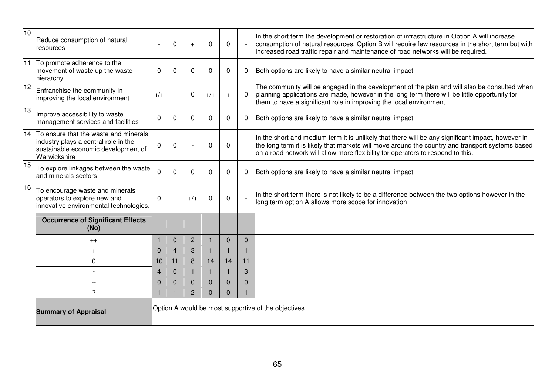| 10              | Reduce consumption of natural<br>resources                                                                                              |          | 0              | $\overline{+}$ | 0        | $\Omega$     |                         | In the short term the development or restoration of infrastructure in Option A will increase<br>consumption of natural resources. Option B will require few resources in the short term but with<br>increased road traffic repair and maintenance of road networks will be required.     |
|-----------------|-----------------------------------------------------------------------------------------------------------------------------------------|----------|----------------|----------------|----------|--------------|-------------------------|------------------------------------------------------------------------------------------------------------------------------------------------------------------------------------------------------------------------------------------------------------------------------------------|
| 11              | To promote adherence to the<br>movement of waste up the waste<br>hierarchy                                                              | 0        | $\Omega$       | $\Omega$       | $\Omega$ | $\Omega$     | $\Omega$                | Both options are likely to have a similar neutral impact                                                                                                                                                                                                                                 |
| $\overline{12}$ | Enfranchise the community in<br>improving the local environment                                                                         | $+/-$    | $+$            | $\Omega$       | $+/+$    | $+$          | $\Omega$                | The community will be engaged in the development of the plan and will also be consulted when<br>planning applications are made, however in the long term there will be little opportunity for<br>them to have a significant role in improving the local environment.                     |
| 13              | Improve accessibility to waste<br>management services and facilities                                                                    | 0        | 0              | $\Omega$       | 0        | $\mathbf{0}$ | 0                       | Both options are likely to have a similar neutral impact                                                                                                                                                                                                                                 |
|                 | 14 To ensure that the waste and minerals<br>industry plays a central role in the<br>sustainable economic development of<br>Warwickshire | 0        | 0              |                | 0        | $\mathbf 0$  | $+$                     | In the short and medium term it is unlikely that there will be any significant impact, however in<br>the long term it is likely that markets will move around the country and transport systems based<br>on a road network will allow more flexibility for operators to respond to this. |
| 15              | To explore linkages between the waste<br>and minerals sectors                                                                           | $\Omega$ | 0              | $\Omega$       | $\Omega$ | $\Omega$     | 0                       | Both options are likely to have a similar neutral impact                                                                                                                                                                                                                                 |
| 16              | To encourage waste and minerals<br>operators to explore new and<br>innovative environmental technologies.                               | 0        | $+$            | $+/-$          | $\Omega$ | $\Omega$     | $\sim$                  | In the short term there is not likely to be a difference between the two options however in the<br>long term option A allows more scope for innovation                                                                                                                                   |
|                 | <b>Occurrence of Significant Effects</b><br>(No)                                                                                        |          |                |                |          |              |                         |                                                                                                                                                                                                                                                                                          |
|                 | $^{++}$                                                                                                                                 |          | $\mathbf{0}$   | $\overline{2}$ |          | $\mathbf{0}$ | $\Omega$                |                                                                                                                                                                                                                                                                                          |
|                 | $+$                                                                                                                                     | 0        | $\overline{4}$ | 3              |          |              | $\overline{\mathbf{1}}$ |                                                                                                                                                                                                                                                                                          |
|                 | $\mathbf 0$                                                                                                                             | 10       | 11             | 8              | 14       | 14           | 11                      |                                                                                                                                                                                                                                                                                          |
|                 |                                                                                                                                         | 4        | $\overline{0}$ |                |          |              | 3                       |                                                                                                                                                                                                                                                                                          |
|                 | $- -$                                                                                                                                   | 0        | $\Omega$       | $\Omega$       | $\Omega$ | $\Omega$     | $\mathbf{0}$            |                                                                                                                                                                                                                                                                                          |
|                 | $\overline{\phantom{a}}$                                                                                                                |          |                | $\overline{2}$ | $\Omega$ | $\Omega$     |                         |                                                                                                                                                                                                                                                                                          |
|                 | <b>Summary of Appraisal</b>                                                                                                             |          |                |                |          |              |                         | Option A would be most supportive of the objectives                                                                                                                                                                                                                                      |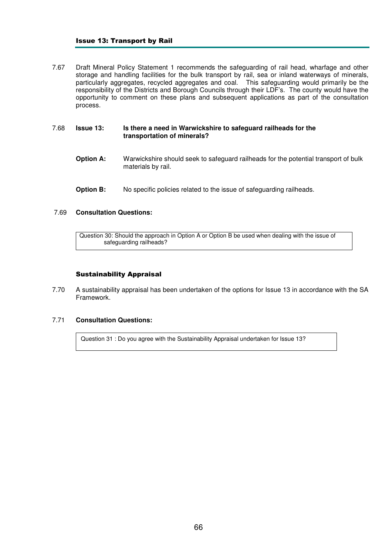## Issue 13: Transport by Rail

7.67 Draft Mineral Policy Statement 1 recommends the safeguarding of rail head, wharfage and other storage and handling facilities for the bulk transport by rail, sea or inland waterways of minerals, particularly aggregates, recycled aggregates and coal. This safeguarding would primarily be the responsibility of the Districts and Borough Councils through their LDF's. The county would have the opportunity to comment on these plans and subsequent applications as part of the consultation process.

#### 7.68 **Issue 13: Is there a need in Warwickshire to safeguard railheads for the transportation of minerals?**

- **Option A:** Warwickshire should seek to safeguard railheads for the potential transport of bulk materials by rail.
- **Option B:** No specific policies related to the issue of safeguarding railheads.

## 7.69 **Consultation Questions:**

Question 30: Should the approach in Option A or Option B be used when dealing with the issue of safeguarding railheads?

### Sustainability Appraisal

7.70 A sustainability appraisal has been undertaken of the options for Issue 13 in accordance with the SA Framework.

# 7.71 **Consultation Questions:**

Question 31 : Do you agree with the Sustainability Appraisal undertaken for Issue 13?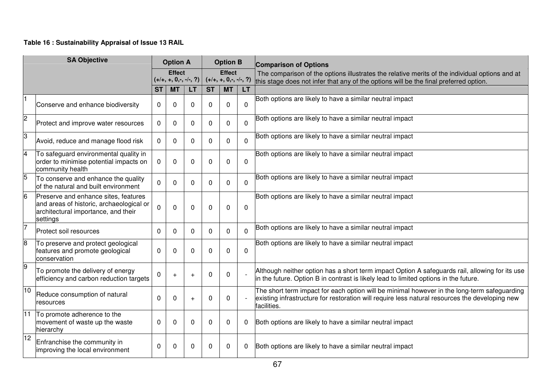# **Table 16 : Sustainability Appraisal of Issue 13 RAIL**

|                         | <b>SA Objective</b>                                                                                                                 |             | <b>Option A</b><br><b>Effect</b> |              |           | <b>Option B</b><br><b>Effect</b> |              | <b>Comparison of Options</b>                                                                                                                                                                                 |
|-------------------------|-------------------------------------------------------------------------------------------------------------------------------------|-------------|----------------------------------|--------------|-----------|----------------------------------|--------------|--------------------------------------------------------------------------------------------------------------------------------------------------------------------------------------------------------------|
|                         |                                                                                                                                     |             | $(+/+, +, 0, -, -/-, ?)$         |              |           | $(+/+, +, 0, -, -/-, ?)$         |              | The comparison of the options illustrates the relative merits of the individual options and at<br>this stage does not infer that any of the options will be the final preferred option.                      |
|                         |                                                                                                                                     | <b>ST</b>   | <b>MT</b>                        | LT.          | <b>ST</b> | <b>MT</b>                        | <b>LT</b>    |                                                                                                                                                                                                              |
|                         | Conserve and enhance biodiversity                                                                                                   | 0           | 0                                | 0            | 0         | 0                                | 0            | Both options are likely to have a similar neutral impact                                                                                                                                                     |
| $\overline{2}$          | Protect and improve water resources                                                                                                 | 0           | 0                                | $\Omega$     | $\Omega$  | 0                                | 0            | Both options are likely to have a similar neutral impact                                                                                                                                                     |
| 3                       | Avoid, reduce and manage flood risk                                                                                                 | 0           | 0                                | $\Omega$     | $\Omega$  | 0                                | 0            | Both options are likely to have a similar neutral impact                                                                                                                                                     |
| $\overline{\mathbf{4}}$ | To safeguard environmental quality in<br>order to minimise potential impacts on<br>community health                                 | 0           | 0                                | $\Omega$     | 0         | 0                                | 0            | Both options are likely to have a similar neutral impact                                                                                                                                                     |
| 5                       | To conserve and enhance the quality<br>of the natural and built environment                                                         | $\mathbf 0$ | 0                                | $\mathbf{0}$ | 0         | 0                                | 0            | Both options are likely to have a similar neutral impact                                                                                                                                                     |
| 6                       | Preserve and enhance sites, features<br>and areas of historic, archaeological or<br>architectural importance, and their<br>settings | 0           | $\Omega$                         | $\Omega$     | $\Omega$  | 0                                | $\Omega$     | Both options are likely to have a similar neutral impact                                                                                                                                                     |
| 7                       | Protect soil resources                                                                                                              | 0           | 0                                | $\Omega$     | $\Omega$  | 0                                | 0            | Both options are likely to have a similar neutral impact                                                                                                                                                     |
| 8                       | To preserve and protect geological<br>features and promote geological<br>conservation                                               | 0           | 0                                | $\Omega$     | $\Omega$  | 0                                | $\mathbf{0}$ | Both options are likely to have a similar neutral impact                                                                                                                                                     |
| 9                       | To promote the delivery of energy<br>efficiency and carbon reduction targets                                                        | 0           | $\ddot{}$                        | $+$          | $\Omega$  | $\Omega$                         |              | Although neither option has a short term impact Option A safeguards rail, allowing for its use<br>in the future. Option B in contrast is likely lead to limited options in the future.                       |
| 10                      | Reduce consumption of natural<br>Iresources                                                                                         | 0           | $\Omega$                         | $+$          | $\Omega$  | 0                                |              | The short term impact for each option will be minimal however in the long-term safeguarding<br>existing infrastructure for restoration will require less natural resources the developing new<br>facilities. |
|                         | 11 To promote adherence to the<br>movement of waste up the waste<br>hierarchy                                                       | 0           | 0                                | $\mathbf{0}$ | $\Omega$  | 0                                | 0            | Both options are likely to have a similar neutral impact                                                                                                                                                     |
| 12                      | Enfranchise the community in<br>improving the local environment                                                                     | 0           | 0                                | $\Omega$     | $\Omega$  | 0                                | $\Omega$     | Both options are likely to have a similar neutral impact                                                                                                                                                     |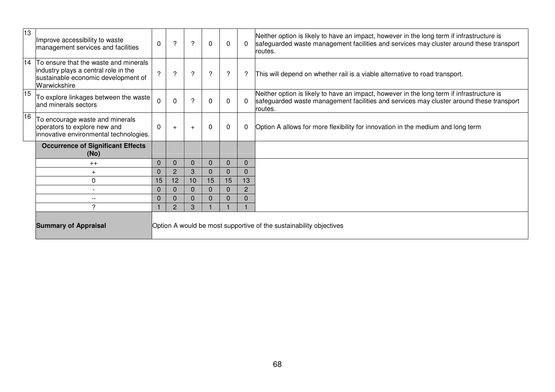| 13              | Improve accessibility to waste<br>management services and facilities                                                                    | $\Omega$      | ?              | ?        | $\mathbf{0}$  | $\mathbf 0$  | $\Omega$ | Neither option is likely to have an impact, however in the long term if infrastructure is<br>safeguarded waste management facilities and services may cluster around these transport<br>routes. |
|-----------------|-----------------------------------------------------------------------------------------------------------------------------------------|---------------|----------------|----------|---------------|--------------|----------|-------------------------------------------------------------------------------------------------------------------------------------------------------------------------------------------------|
|                 | 14 To ensure that the waste and minerals<br>industry plays a central role in the<br>sustainable economic development of<br>Warwickshire | $\mathcal{P}$ | $\mathcal{P}$  | ?        | $\mathcal{P}$ | ?            | $\cdot$  | This will depend on whether rail is a viable alternative to road transport.                                                                                                                     |
| $\overline{15}$ | To explore linkages between the waste<br>and minerals sectors                                                                           | $\Omega$      | $\Omega$       | 2        | $\Omega$      | $\mathbf{0}$ | 0        | Neither option is likely to have an impact, however in the long term if infrastructure is<br>safeguarded waste management facilities and services may cluster around these transport<br>routes. |
| 16              | To encourage waste and minerals<br>operators to explore new and<br>innovative environmental technologies.                               | $\Omega$      | $+$            | $\div$   | $\Omega$      | $\Omega$     | $\Omega$ | Option A allows for more flexibility for innovation in the medium and long term                                                                                                                 |
|                 | <b>Occurrence of Significant Effects</b><br>(No)                                                                                        |               |                |          |               |              |          |                                                                                                                                                                                                 |
|                 | $^{++}$                                                                                                                                 | 0             | $\overline{0}$ | $\Omega$ | 0             | $\Omega$     | 0        |                                                                                                                                                                                                 |
|                 | $+$                                                                                                                                     | 0             | $\overline{2}$ | 3        |               | $\Omega$     | 0        |                                                                                                                                                                                                 |
|                 | 0                                                                                                                                       | 15            | 12             | 10       | 15            | 15           | 13       |                                                                                                                                                                                                 |
|                 |                                                                                                                                         | 0             | $\Omega$       | 0        | O             | $\Omega$     | 2        |                                                                                                                                                                                                 |
|                 | $- -$                                                                                                                                   | 0             | $\Omega$       | $\Omega$ | O             | $\Omega$     | 0        |                                                                                                                                                                                                 |
|                 | 2                                                                                                                                       |               | 2              | 3        |               |              |          |                                                                                                                                                                                                 |
|                 | <b>Summary of Appraisal</b>                                                                                                             |               |                |          |               |              |          | Option A would be most supportive of the sustainability objectives                                                                                                                              |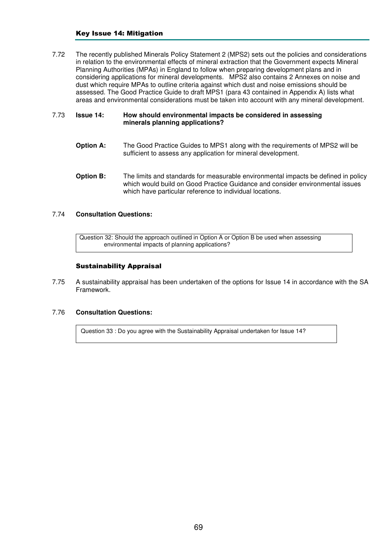## Key Issue 14: Mitigation

7.72 The recently published Minerals Policy Statement 2 (MPS2) sets out the policies and considerations in relation to the environmental effects of mineral extraction that the Government expects Mineral Planning Authorities (MPAs) in England to follow when preparing development plans and in considering applications for mineral developments. MPS2 also contains 2 Annexes on noise and dust which require MPAs to outline criteria against which dust and noise emissions should be assessed. The Good Practice Guide to draft MPS1 (para 43 contained in Appendix A) lists what areas and environmental considerations must be taken into account with any mineral development.

## 7.73 **Issue 14: How should environmental impacts be considered in assessing minerals planning applications?**

- **Option A:** The Good Practice Guides to MPS1 along with the requirements of MPS2 will be sufficient to assess any application for mineral development.
- **Option B:** The limits and standards for measurable environmental impacts be defined in policy which would build on Good Practice Guidance and consider environmental issues which have particular reference to individual locations.

## 7.74 **Consultation Questions:**

Question 32: Should the approach outlined in Option A or Option B be used when assessing environmental impacts of planning applications?

### Sustainability Appraisal

7.75 A sustainability appraisal has been undertaken of the options for Issue 14 in accordance with the SA Framework.

#### 7.76 **Consultation Questions:**

Question 33 : Do you agree with the Sustainability Appraisal undertaken for Issue 14?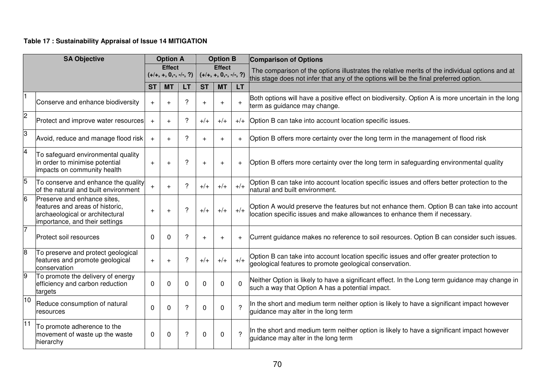# **Table 17 : Sustainability Appraisal of Issue 14 MITIGATION**

|                | <b>SA Objective</b>                                                                                                                 |           | <b>Option A</b>                           |              |           | <b>Option B</b>                           |               | <b>Comparison of Options</b>                                                                                                                                                            |
|----------------|-------------------------------------------------------------------------------------------------------------------------------------|-----------|-------------------------------------------|--------------|-----------|-------------------------------------------|---------------|-----------------------------------------------------------------------------------------------------------------------------------------------------------------------------------------|
|                |                                                                                                                                     |           | <b>Effect</b><br>$(+/+, +, 0, -, -/-, ?)$ |              |           | <b>Effect</b><br>$(+/+, +, 0, -, -/-, ?)$ |               | The comparison of the options illustrates the relative merits of the individual options and at<br>this stage does not infer that any of the options will be the final preferred option. |
|                |                                                                                                                                     | <b>ST</b> | <b>MT</b>                                 | <b>LT</b>    | <b>ST</b> | <b>MT</b>                                 | <b>LT</b>     |                                                                                                                                                                                         |
|                | Conserve and enhance biodiversity                                                                                                   | $+$       |                                           | 7            | $+$       |                                           | $+$           | Both options will have a positive effect on biodiversity. Option A is more uncertain in the long<br>term as guidance may change.                                                        |
| $\overline{2}$ | Protect and improve water resources                                                                                                 | $+$       | $+$                                       | ?            | $+/+$     | $+/+$                                     | $+/+$         | Option B can take into account location specific issues.                                                                                                                                |
| З              | Avoid, reduce and manage flood risk                                                                                                 | $+$       | $+$                                       | ?            | $+$       | $+$                                       | $+$           | Option B offers more certainty over the long term in the management of flood risk                                                                                                       |
| $\overline{4}$ | To safeguard environmental quality<br>in order to minimise potential<br>impacts on community health                                 | $+$       |                                           | ?            | $+$       | $+$                                       | $+$           | Option B offers more certainty over the long term in safeguarding environmental quality                                                                                                 |
| 5              | To conserve and enhance the quality<br>of the natural and built environment                                                         |           | $+$                                       | ?            | $+/+$     | $+/-$                                     | $+/+$         | Option B can take into account location specific issues and offers better protection to the<br>natural and built environment.                                                           |
| 6              | Preserve and enhance sites,<br>features and areas of historic,<br>archaeological or architectural<br>importance, and their settings | $+$       |                                           | ?            | $+/-$     | $+/+$                                     | $+/-$         | Option A would preserve the features but not enhance them. Option B can take into account<br>location specific issues and make allowances to enhance them if necessary.                 |
| 17             | Protect soil resources                                                                                                              | $\Omega$  | O                                         | ?            |           | $\ddot{}$                                 | $+$           | Current guidance makes no reference to soil resources. Option B can consider such issues.                                                                                               |
| $\overline{8}$ | To preserve and protect geological<br>features and promote geological<br>conservation                                               | $+$       | $\overline{+}$                            | ?            | $+/+$     | $+/+$                                     | $+/+$         | Option B can take into account location specific issues and offer greater protection to<br>geological features to promote geological conservation.                                      |
| 9              | To promote the delivery of energy<br>efficiency and carbon reduction<br>targets                                                     | $\Omega$  | 0                                         | <sup>0</sup> | $\Omega$  | <sup>0</sup>                              | $\Omega$      | Neither Option is likely to have a significant effect. In the Long term guidance may change in<br>such a way that Option A has a potential impact.                                      |
| 10             | Reduce consumption of natural<br>Iresources                                                                                         | $\Omega$  | 0                                         | 2            | $\Omega$  | <sup>0</sup>                              | $\mathcal{P}$ | In the short and medium term neither option is likely to have a significant impact however<br>guidance may alter in the long term                                                       |
| 111            | To promote adherence to the<br>movement of waste up the waste<br>hierarchy                                                          | $\Omega$  | 0                                         | ?            | $\Omega$  | $\Omega$                                  | $\mathcal{D}$ | In the short and medium term neither option is likely to have a significant impact however<br>quidance may alter in the long term                                                       |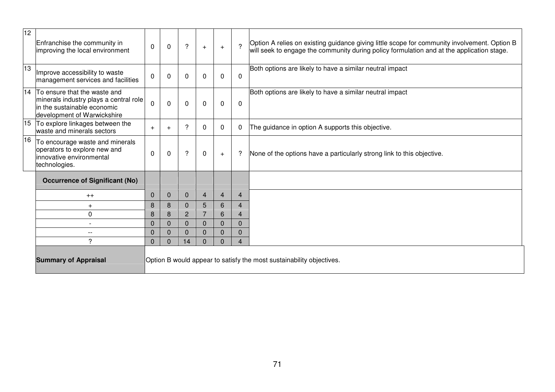| 12 | Enfranchise the community in<br>improving the local environment                                                                         | $\mathbf 0$              | $\Omega$ | $\overline{\phantom{0}}$ | $+$                      | $+$      | $\mathcal{P}$       | Option A relies on existing guidance giving little scope for community involvement. Option B<br>will seek to engage the community during policy formulation and at the application stage. |
|----|-----------------------------------------------------------------------------------------------------------------------------------------|--------------------------|----------|--------------------------|--------------------------|----------|---------------------|-------------------------------------------------------------------------------------------------------------------------------------------------------------------------------------------|
| 13 | Improve accessibility to waste<br>management services and facilities                                                                    | $\Omega$                 | 0        | $\Omega$                 | 0                        | $\Omega$ | $\Omega$            | Both options are likely to have a similar neutral impact                                                                                                                                  |
|    | 14 To ensure that the waste and<br>minerals industry plays a central role<br>in the sustainable economic<br>development of Warwickshire | $\Omega$                 | $\Omega$ | $\Omega$                 | $\mathbf{0}$             | $\Omega$ | $\Omega$            | Both options are likely to have a similar neutral impact                                                                                                                                  |
| 15 | To explore linkages between the<br>waste and minerals sectors                                                                           | $+$                      |          | $\overline{?}$           | 0                        | 0        | $\mathbf 0$         | The guidance in option A supports this objective.                                                                                                                                         |
| 16 | To encourage waste and minerals<br>operators to explore new and<br>linnovative environmental<br>technologies.                           | $\Omega$                 | $\Omega$ | ?                        | $\mathbf{0}$             | $+$      | ?                   | None of the options have a particularly strong link to this objective.                                                                                                                    |
|    | <b>Occurrence of Significant (No)</b>                                                                                                   |                          |          |                          |                          |          |                     |                                                                                                                                                                                           |
|    | $^{++}$                                                                                                                                 | $\overline{0}$           | $\Omega$ | $\Omega$                 | $\overline{4}$           | 4        | $\overline{4}$      |                                                                                                                                                                                           |
|    | $\ddot{}$                                                                                                                               | 8                        | 8        | $\Omega$                 | 5                        | 6        | $\overline{4}$      |                                                                                                                                                                                           |
|    | 0                                                                                                                                       | 8                        | 8        | $\overline{2}$           | $\overline{7}$           | 6        | 4                   |                                                                                                                                                                                           |
|    |                                                                                                                                         | $\Omega$                 | 0        | $\Omega$                 | $\Omega$                 | $\Omega$ | $\Omega$            |                                                                                                                                                                                           |
|    | $-$<br>?                                                                                                                                | $\mathbf{0}$<br>$\Omega$ | 0        | 0<br>14                  | $\mathbf{0}$<br>$\Omega$ | 0        | 0<br>$\overline{4}$ |                                                                                                                                                                                           |
|    | Option B would appear to satisfy the most sustainability objectives.<br><b>Summary of Appraisal</b>                                     |                          |          |                          |                          |          |                     |                                                                                                                                                                                           |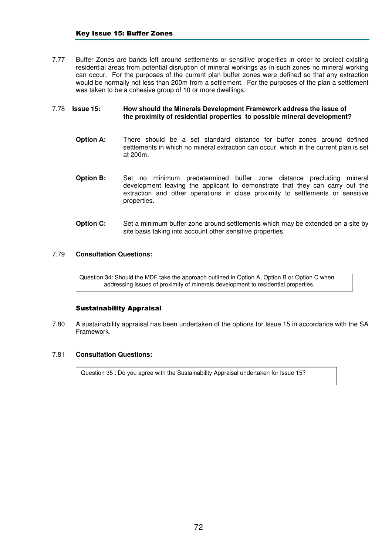7.77 Buffer Zones are bands left around settlements or sensitive properties in order to protect existing residential areas from potential disruption of mineral workings as in such zones no mineral working can occur. For the purposes of the current plan buffer zones were defined so that any extraction would be normally not less than 200m from a settlement. For the purposes of the plan a settlement was taken to be a cohesive group of 10 or more dwellings.

### 7.78 **Issue 15: How should the Minerals Development Framework address the issue of the proximity of residential properties to possible mineral development?**

- **Option A:** There should be a set standard distance for buffer zones around defined settlements in which no mineral extraction can occur, which in the current plan is set at 200m.
- **Option B:** Set no minimum predetermined buffer zone distance precluding mineral development leaving the applicant to demonstrate that they can carry out the extraction and other operations in close proximity to settlements or sensitive properties.
- **Option C:** Set a minimum buffer zone around settlements which may be extended on a site by site basis taking into account other sensitive properties.

### 7.79 **Consultation Questions:**

Question 34: Should the MDF take the approach outlined in Option A, Option B or Option C when addressing issues of proximity of minerals development to residential properties.

# Sustainability Appraisal

7.80 A sustainability appraisal has been undertaken of the options for Issue 15 in accordance with the SA Framework.

# 7.81 **Consultation Questions:**

Question 35 : Do you agree with the Sustainability Appraisal undertaken for Issue 15?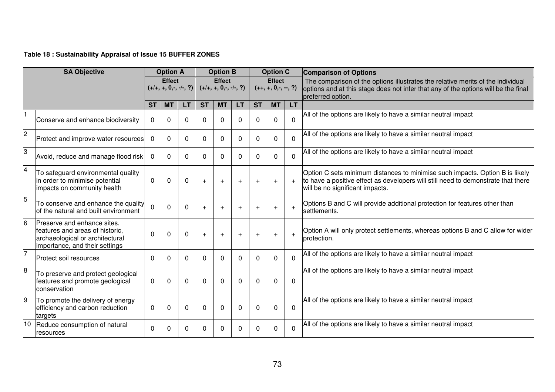| Table 18 : Sustainability Appraisal of Issue 15 BUFFER ZONES |  |  |  |
|--------------------------------------------------------------|--|--|--|
|--------------------------------------------------------------|--|--|--|

|                         | <b>SA Objective</b>                                                                                                                 |                                           | <b>Option A</b> |           |                                           | <b>Option B</b> |              |              | <b>Option C</b>                        |              | <b>Comparison of Options</b>                                                                                                                                                                         |
|-------------------------|-------------------------------------------------------------------------------------------------------------------------------------|-------------------------------------------|-----------------|-----------|-------------------------------------------|-----------------|--------------|--------------|----------------------------------------|--------------|------------------------------------------------------------------------------------------------------------------------------------------------------------------------------------------------------|
|                         |                                                                                                                                     | <b>Effect</b><br>$(+/+, +, 0, -, -/-, ?)$ |                 |           | <b>Effect</b><br>$(+/+, +, 0, -, -/-, ?)$ |                 |              |              | <b>Effect</b><br>$(++, +, 0, -, -, ?)$ |              | The comparison of the options illustrates the relative merits of the individual<br>options and at this stage does not infer that any of the options will be the final<br>preferred option.           |
|                         |                                                                                                                                     | <b>ST</b>                                 | <b>MT</b>       | <b>LT</b> | <b>ST</b>                                 | <b>MT</b>       | LT           | <b>ST</b>    | <b>MT</b>                              | <b>LT</b>    |                                                                                                                                                                                                      |
|                         | Conserve and enhance biodiversity                                                                                                   | 0                                         | 0               | 0         | $\Omega$                                  | 0               | 0            | $\mathbf{0}$ | 0                                      | $\Omega$     | All of the options are likely to have a similar neutral impact                                                                                                                                       |
| $\overline{c}$          | Protect and improve water resources                                                                                                 | 0                                         | 0               | 0         | $\Omega$                                  | $\Omega$        | $\Omega$     | $\mathbf{0}$ | 0                                      | $\Omega$     | All of the options are likely to have a similar neutral impact                                                                                                                                       |
| 3                       | Avoid, reduce and manage flood risk                                                                                                 | $\Omega$                                  | 0               | 0         | $\Omega$                                  | $\Omega$        | $\Omega$     | $\mathbf{0}$ | <sup>n</sup>                           | $\Omega$     | All of the options are likely to have a similar neutral impact                                                                                                                                       |
| $\overline{\mathbf{4}}$ | To safeguard environmental quality<br>in order to minimise potential<br>impacts on community health                                 | $\Omega$                                  | 0               | 0         | $+$                                       | $+$             | $\ddot{}$    | $+$          | $+$                                    | $+$          | Option C sets minimum distances to minimise such impacts. Option B is likely<br>to have a positive effect as developers will still need to demonstrate that there<br>will be no significant impacts. |
| 5                       | To conserve and enhance the quality<br>of the natural and built environment                                                         | $\Omega$                                  | 0               | 0         | $+$                                       | $\ddot{}$       | $+$          | $+$          |                                        | $+$          | Options B and C will provide additional protection for features other than<br>settlements.                                                                                                           |
| $\overline{6}$          | Preserve and enhance sites,<br>features and areas of historic.<br>archaeological or architectural<br>importance, and their settings | $\Omega$                                  | 0               | 0         | $+$                                       | $\ddot{}$       |              | $\ddot{}$    |                                        | $\ddot{}$    | Option A will only protect settlements, whereas options B and C allow for wider<br>protection.                                                                                                       |
| $\overline{7}$          | Protect soil resources                                                                                                              | $\Omega$                                  | 0               | 0         | $\Omega$                                  | 0               | $\Omega$     | $\Omega$     | 0                                      | $\Omega$     | All of the options are likely to have a similar neutral impact                                                                                                                                       |
| $\overline{8}$          | To preserve and protect geological<br>features and promote geological<br>conservation                                               | $\Omega$                                  | 0               | 0         | $\Omega$                                  | $\Omega$        | $\Omega$     | $\mathbf{0}$ | 0                                      | $\mathbf{0}$ | All of the options are likely to have a similar neutral impact                                                                                                                                       |
| 9                       | To promote the delivery of energy<br>efficiency and carbon reduction<br>targets                                                     | $\Omega$                                  | 0               | 0         | $\Omega$                                  | $\Omega$        | 0            | 0            |                                        | $\mathbf{0}$ | All of the options are likely to have a similar neutral impact                                                                                                                                       |
| 10                      | Reduce consumption of natural<br>resources                                                                                          | 0                                         | 0               | 0         | 0                                         | <sup>0</sup>    | <sup>0</sup> | $\mathbf{0}$ |                                        | $\Omega$     | All of the options are likely to have a similar neutral impact                                                                                                                                       |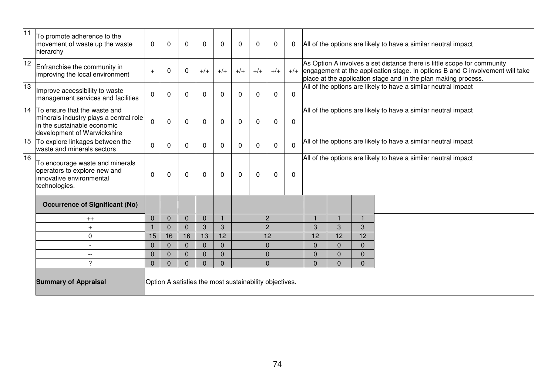| 11 | To promote adherence to the<br>movement of waste up the waste<br>hierarchy                                                           | $\mathbf{0}$                                           | $\Omega$     | 0              | $\Omega$    | $\Omega$       | $\Omega$     | $\Omega$ | $\Omega$       | $\Omega$ |          |                         |          | All of the options are likely to have a similar neutral impact                                                                                                                                                                   |
|----|--------------------------------------------------------------------------------------------------------------------------------------|--------------------------------------------------------|--------------|----------------|-------------|----------------|--------------|----------|----------------|----------|----------|-------------------------|----------|----------------------------------------------------------------------------------------------------------------------------------------------------------------------------------------------------------------------------------|
| 12 | Enfranchise the community in<br>improving the local environment                                                                      | $+$                                                    | $\Omega$     | $\Omega$       | $+/+$       | $+/+$          | $+/-$        | $+/+$    | $+/-$          |          |          |                         |          | As Option A involves a set distance there is little scope for community<br>$+/-$ engagement at the application stage. In options B and C involvement will take<br>place at the application stage and in the plan making process. |
| 13 | Improve accessibility to waste<br>management services and facilities                                                                 | 0                                                      | $\Omega$     | $\Omega$       | $\Omega$    | $\Omega$       | $\mathbf{0}$ | 0        | $\mathbf{0}$   | $\Omega$ |          |                         |          | All of the options are likely to have a similar neutral impact                                                                                                                                                                   |
| 14 | To ensure that the waste and<br>minerals industry plays a central role<br>in the sustainable economic<br>development of Warwickshire | $\mathbf{0}$                                           | $\Omega$     | $\Omega$       | $\Omega$    | $\Omega$       | $\Omega$     | $\Omega$ | 0              | $\Omega$ |          |                         |          | All of the options are likely to have a similar neutral impact                                                                                                                                                                   |
|    | 15 To explore linkages between the<br>waste and minerals sectors                                                                     | $\mathbf{0}$                                           | $\mathbf{0}$ | $\Omega$       | $\Omega$    | $\Omega$       | 0            | $\Omega$ | $\Omega$       | $\Omega$ |          |                         |          | All of the options are likely to have a similar neutral impact                                                                                                                                                                   |
| 16 | To encourage waste and minerals<br>operators to explore new and<br>linnovative environmental<br>technologies.                        | $\mathbf 0$                                            | $\Omega$     | $\Omega$       | $\Omega$    | $\Omega$       | $\mathbf{0}$ | 0        | 0              | $\Omega$ |          |                         |          | All of the options are likely to have a similar neutral impact                                                                                                                                                                   |
|    | <b>Occurrence of Significant (No)</b>                                                                                                |                                                        |              |                |             |                |              |          |                |          |          |                         |          |                                                                                                                                                                                                                                  |
|    | $^{++}$                                                                                                                              | $\overline{0}$                                         | $\mathbf{0}$ | $\mathbf{0}$   | $\Omega$    | $\mathbf{1}$   |              |          | $\overline{2}$ |          |          | $\overline{\mathbf{1}}$ |          |                                                                                                                                                                                                                                  |
|    | $+$                                                                                                                                  | $\overline{1}$                                         | $\Omega$     | $\Omega$       | 3           | 3              |              |          | $\overline{2}$ |          | 3        | 3                       | 3        |                                                                                                                                                                                                                                  |
|    | $\mathbf 0$                                                                                                                          | 15                                                     | 16           | 16             | 13          | 12             |              |          | 12             |          | 12       | 12                      | 12       |                                                                                                                                                                                                                                  |
|    |                                                                                                                                      | $\mathbf{0}$                                           | $\Omega$     | $\overline{0}$ | $\mathbf 0$ | $\Omega$       |              |          | $\Omega$       |          | $\Omega$ | $\overline{0}$          | $\Omega$ |                                                                                                                                                                                                                                  |
|    | $- -$                                                                                                                                | $\Omega$                                               | $\Omega$     | $\Omega$       | $\mathbf 0$ | $\mathbf 0$    | $\Omega$     |          |                |          | $\Omega$ | $\mathbf 0$             | $\Omega$ |                                                                                                                                                                                                                                  |
|    | ?                                                                                                                                    | $\overline{0}$                                         | $\Omega$     | $\Omega$       | $\Omega$    | $\overline{0}$ |              |          | $\Omega$       |          | $\Omega$ | $\mathbf 0$             | $\Omega$ |                                                                                                                                                                                                                                  |
|    | <b>Summary of Appraisal</b>                                                                                                          | Option A satisfies the most sustainability objectives. |              |                |             |                |              |          |                |          |          |                         |          |                                                                                                                                                                                                                                  |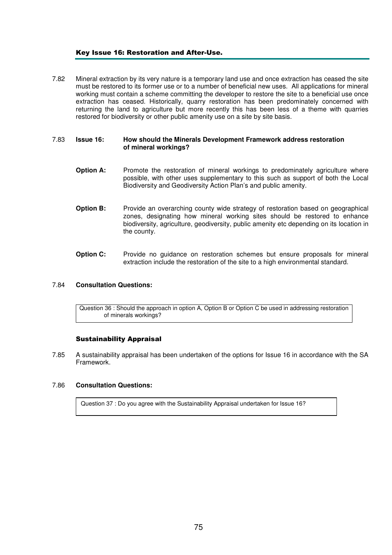## Key Issue 16: Restoration and After-Use.

7.82 Mineral extraction by its very nature is a temporary land use and once extraction has ceased the site must be restored to its former use or to a number of beneficial new uses. All applications for mineral working must contain a scheme committing the developer to restore the site to a beneficial use once extraction has ceased. Historically, quarry restoration has been predominately concerned with returning the land to agriculture but more recently this has been less of a theme with quarries restored for biodiversity or other public amenity use on a site by site basis.

#### 7.83 **Issue 16: How should the Minerals Development Framework address restoration of mineral workings?**

- **Option A:** Promote the restoration of mineral workings to predominately agriculture where possible, with other uses supplementary to this such as support of both the Local Biodiversity and Geodiversity Action Plan's and public amenity.
- **Option B:** Provide an overarching county wide strategy of restoration based on geographical zones, designating how mineral working sites should be restored to enhance biodiversity, agriculture, geodiversity, public amenity etc depending on its location in the county.
- **Option C:** Provide no guidance on restoration schemes but ensure proposals for mineral extraction include the restoration of the site to a high environmental standard.

## 7.84 **Consultation Questions:**

Question 36 : Should the approach in option A, Option B or Option C be used in addressing restoration of minerals workings?

#### Sustainability Appraisal

7.85 A sustainability appraisal has been undertaken of the options for Issue 16 in accordance with the SA Framework.

## 7.86 **Consultation Questions:**

Question 37 : Do you agree with the Sustainability Appraisal undertaken for Issue 16?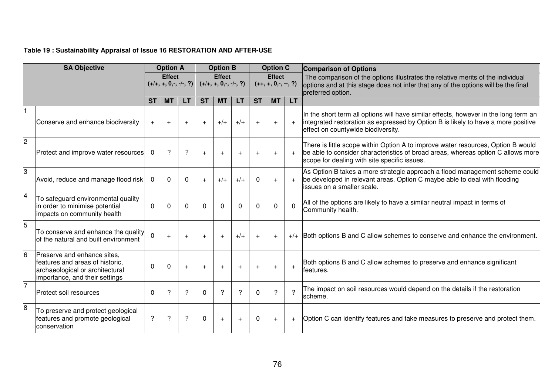| Table 19: Sustainability Appraisal of Issue 16 RESTORATION AND AFTER-USE |  |
|--------------------------------------------------------------------------|--|
|--------------------------------------------------------------------------|--|

|                         | <b>SA Objective</b>                                                                                                                 |                                           | <b>Option A</b> |                |             | <b>Option B</b>                           |           |              | <b>Option C</b>                        |               | <b>Comparison of Options</b>                                                                                                                                                                                         |
|-------------------------|-------------------------------------------------------------------------------------------------------------------------------------|-------------------------------------------|-----------------|----------------|-------------|-------------------------------------------|-----------|--------------|----------------------------------------|---------------|----------------------------------------------------------------------------------------------------------------------------------------------------------------------------------------------------------------------|
|                         |                                                                                                                                     | <b>Effect</b><br>$(+/+, +, 0, -, -/-, ?)$ |                 |                |             | <b>Effect</b><br>$(+/+, +, 0, -, -/-, ?)$ |           |              | <b>Effect</b><br>$(++, +, 0, -, -, ?)$ |               | The comparison of the options illustrates the relative merits of the individual<br>options and at this stage does not infer that any of the options will be the final<br>preferred option.                           |
|                         |                                                                                                                                     | <b>ST</b>                                 | <b>MT</b>       | <b>LT</b>      | <b>ST</b>   | <b>MT</b>                                 | <b>LT</b> | <b>ST</b>    | <b>MT</b>                              | <b>LT</b>     |                                                                                                                                                                                                                      |
|                         | Conserve and enhance biodiversity                                                                                                   | $+$                                       | $+$             |                | $+$         | $+/-$                                     | $+/+$     | $+$          | $+$                                    | $+$           | In the short term all options will have similar effects, however in the long term an<br>integrated restoration as expressed by Option B is likely to have a more positive<br>effect on countywide biodiversity.      |
| $\overline{2}$          | Protect and improve water resources                                                                                                 | $\Omega$                                  | ?               | ?              | $+$         |                                           | $+$       |              | $+$                                    | $+$           | There is little scope within Option A to improve water resources, Option B would<br>be able to consider characteristics of broad areas, whereas option C allows more<br>scope for dealing with site specific issues. |
| 3                       | Avoid, reduce and manage flood risk                                                                                                 | $\mathbf{0}$                              | $\Omega$        | $\Omega$       | $+$         | $+/-$                                     | $+/-$     | $\Omega$     | $+$                                    | $+$           | As Option B takes a more strategic approach a flood management scheme could<br>be developed in relevant areas. Option C maybe able to deal with flooding<br>lissues on a smaller scale.                              |
| $\overline{\mathbf{4}}$ | To safeguard environmental quality<br>in order to minimise potential<br>impacts on community health                                 | $\mathbf{0}$                              | $\Omega$        | $\Omega$       | $\Omega$    | $\Omega$                                  | $\Omega$  | $\Omega$     | $\Omega$                               | $\Omega$      | All of the options are likely to have a similar neutral impact in terms of<br>Community health.                                                                                                                      |
| 5                       | To conserve and enhance the quality<br>of the natural and built environment                                                         | 0                                         | $+$             | $\overline{+}$ | $+$         |                                           | $+/+$     | $+$          | $+$                                    |               | $+/+$ Both options B and C allow schemes to conserve and enhance the environment.                                                                                                                                    |
| 6                       | Preserve and enhance sites,<br>features and areas of historic,<br>archaeological or architectural<br>importance, and their settings | $\mathbf 0$                               | 0               | $+$            | $+$         | $+$                                       | $+$       | $+$          | $+$                                    | $\ddot{+}$    | Both options B and C allow schemes to preserve and enhance significant<br>features.                                                                                                                                  |
| $\overline{7}$          | Protect soil resources                                                                                                              | $\Omega$                                  | ?               | ?              | $\Omega$    | ?                                         | ?         | <sup>0</sup> | ?                                      | $\mathcal{P}$ | The impact on soil resources would depend on the details if the restoration<br>scheme.                                                                                                                               |
| $\overline{8}$          | To preserve and protect geological<br>features and promote geological<br>conservation                                               | $\overline{?}$                            | $\gamma$        | ?              | $\mathbf 0$ |                                           |           | <sup>0</sup> | $+$                                    | $+$           | Option C can identify features and take measures to preserve and protect them.                                                                                                                                       |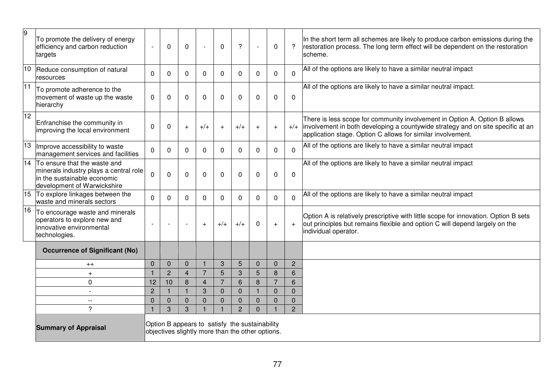| 9               | To promote the delivery of energy<br>efficiency and carbon reduction<br>targets                                                         | $\overline{\phantom{a}}$      | 0                                                                                                  | $\Omega$       |                                        | $\Omega$ | ?                 |                          | $\mathbf{0}$   | ?                   | In the short term all schemes are likely to produce carbon emissions during the<br>restoration process. The long term effect will be dependent on the restoration<br>scheme.                                                 |
|-----------------|-----------------------------------------------------------------------------------------------------------------------------------------|-------------------------------|----------------------------------------------------------------------------------------------------|----------------|----------------------------------------|----------|-------------------|--------------------------|----------------|---------------------|------------------------------------------------------------------------------------------------------------------------------------------------------------------------------------------------------------------------------|
| 10              | Reduce consumption of natural<br>resources                                                                                              | $\Omega$                      | $\Omega$                                                                                           | $\Omega$       | $\Omega$                               | $\Omega$ | $\Omega$          | $\Omega$                 | $\mathbf{0}$   | $\Omega$            | All of the options are likely to have a similar neutral impact                                                                                                                                                               |
| $\overline{11}$ | To promote adherence to the<br>movement of waste up the waste<br>hierarchy                                                              | 0                             | $\Omega$                                                                                           | $\Omega$       | $\mathbf{0}$                           | 0        | $\Omega$          | $\Omega$                 | $\mathbf{0}$   | $\mathbf 0$         | All of the options are likely to have a similar neutral impact.                                                                                                                                                              |
| $\overline{12}$ | Enfranchise the community in<br>improving the local environment                                                                         | $\boldsymbol{0}$              | $\Omega$                                                                                           | $+$            | $+/+$                                  | $+$      | $+/+$             | $+$                      | $\ddot{}$      | $+/+$               | There is less scope for community involvement in Option A. Option B allows<br>involvement in both developing a countywide strategy and on site specific at an<br>application stage. Option C allows for similar involvement. |
| 13              | Improve accessibility to waste<br>management services and facilities                                                                    | $\Omega$                      | $\mathbf 0$                                                                                        | $\Omega$       | $\Omega$                               | $\Omega$ | $\Omega$          | $\Omega$                 | $\Omega$       | $\Omega$            | All of the options are likely to have a similar neutral impact                                                                                                                                                               |
|                 | 14 To ensure that the waste and<br>minerals industry plays a central role<br>in the sustainable economic<br>development of Warwickshire | $\mathbf 0$                   | $\Omega$                                                                                           | $\Omega$       | $\mathbf 0$                            | 0        | $\Omega$          | $\Omega$                 | $\Omega$       | $\overline{0}$      | All of the options are likely to have a similar neutral impact                                                                                                                                                               |
|                 | 15 To explore linkages between the<br>waste and minerals sectors                                                                        | $\mathbf 0$                   | 0                                                                                                  | $\Omega$       | $\Omega$                               | 0        | 0                 | $\mathbf{0}$             | $\Omega$       | $\overline{0}$      | All of the options are likely to have a similar neutral impact                                                                                                                                                               |
| 16              | To encourage waste and minerals<br>operators to explore new and<br>linnovative environmental<br>technologies.                           | $\overline{a}$                |                                                                                                    |                | $+$                                    | $+/+$    | $+/-$             | $\mathbf{0}$             | $+$            | $+$                 | Option A is relatively prescriptive with little scope for innovation. Option B sets<br>out principles but remains flexible and option C will depend largely on the<br>individual operator.                                   |
|                 | <b>Occurrence of Significant (No)</b>                                                                                                   |                               |                                                                                                    |                |                                        |          |                   |                          |                |                     |                                                                                                                                                                                                                              |
|                 | $^{++}$                                                                                                                                 | $\mathbf 0$                   | $\mathbf 0$                                                                                        | $\mathbf 0$    | $\mathbf{1}$                           | 3        | 5                 | $\mathbf{0}$             | $\Omega$       | $\overline{c}$      |                                                                                                                                                                                                                              |
|                 | $+$                                                                                                                                     |                               | $\overline{2}$                                                                                     | $\overline{4}$ | $\overline{7}$                         | 5        | 3                 | 5                        | 8              | 6                   |                                                                                                                                                                                                                              |
|                 | $\mathbf 0$                                                                                                                             | 12                            | 10                                                                                                 | 8              | $\overline{4}$                         | 7        | 6                 | 8                        | $\overline{7}$ | 6                   |                                                                                                                                                                                                                              |
|                 | $\blacksquare$                                                                                                                          | $\overline{2}$                |                                                                                                    |                | 3                                      | 0        | $\Omega$          |                          | $\mathbf 0$    | 0                   |                                                                                                                                                                                                                              |
|                 | $\overline{\phantom{m}}$<br>?                                                                                                           | $\mathbf 0$<br>$\overline{1}$ | $\mathbf{0}$<br>3                                                                                  | $\Omega$<br>3  | $\overline{0}$<br>$\blacktriangleleft$ | $\Omega$ | $\mathbf{0}$<br>2 | $\mathbf{0}$<br>$\Omega$ | $\Omega$       | $\overline{0}$<br>2 |                                                                                                                                                                                                                              |
|                 | <b>Summary of Appraisal</b>                                                                                                             |                               | Option B appears to satisfy the sustainability<br>objectives slightly more than the other options. |                |                                        |          |                   |                          |                |                     |                                                                                                                                                                                                                              |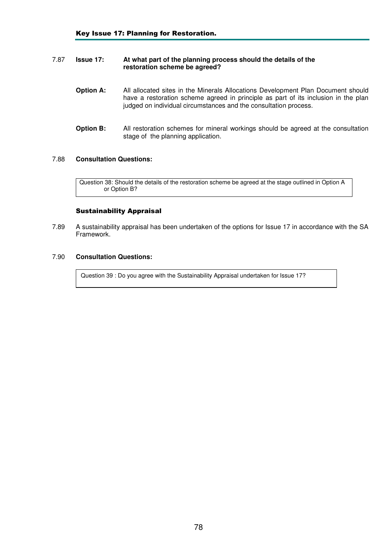## 7.87 **Issue 17: At what part of the planning process should the details of the restoration scheme be agreed?**

**Option A:** All allocated sites in the Minerals Allocations Development Plan Document should have a restoration scheme agreed in principle as part of its inclusion in the plan judged on individual circumstances and the consultation process.

**Option B:** All restoration schemes for mineral workings should be agreed at the consultation stage of the planning application.

## 7.88 **Consultation Questions:**

Question 38: Should the details of the restoration scheme be agreed at the stage outlined in Option A or Option B?

## Sustainability Appraisal

7.89 A sustainability appraisal has been undertaken of the options for Issue 17 in accordance with the SA Framework.

## 7.90 **Consultation Questions:**

Question 39 : Do you agree with the Sustainability Appraisal undertaken for Issue 17?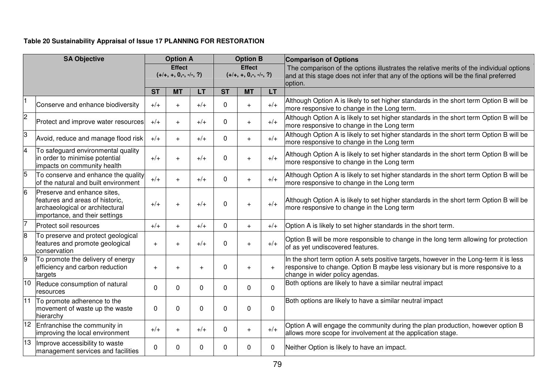## **Table 20 Sustainability Appraisal of Issue 17 PLANNING FOR RESTORATION**

|                | <b>SA Objective</b>                                                                                                                 |             | <b>Option A</b>                           |          | <b>Option B</b> |                                           |             | <b>Comparison of Options</b>                                                                                                                                                                                |
|----------------|-------------------------------------------------------------------------------------------------------------------------------------|-------------|-------------------------------------------|----------|-----------------|-------------------------------------------|-------------|-------------------------------------------------------------------------------------------------------------------------------------------------------------------------------------------------------------|
|                |                                                                                                                                     |             | <b>Effect</b><br>$(+/+, +, 0, -, -/-, ?)$ |          |                 | <b>Effect</b><br>$(+/+, +, 0, -, -/-, ?)$ |             | The comparison of the options illustrates the relative merits of the individual options<br>and at this stage does not infer that any of the options will be the final preferred<br>option.                  |
|                |                                                                                                                                     | <b>ST</b>   | <b>MT</b>                                 | LT       | <b>ST</b>       | <b>MT</b>                                 | <b>LT</b>   |                                                                                                                                                                                                             |
|                | Conserve and enhance biodiversity                                                                                                   | $+/-$       | $+$                                       | $+/+$    | $\Omega$        | $+$                                       | $+/+$       | Although Option A is likely to set higher standards in the short term Option B will be<br>more responsive to change in the Long term.                                                                       |
| $\overline{c}$ | Protect and improve water resources                                                                                                 | $+/-$       | $+$                                       | $+/+$    | $\Omega$        | $+$                                       | $+/+$       | Although Option A is likely to set higher standards in the short term Option B will be<br>more responsive to change in the Long term                                                                        |
| 3              | Avoid, reduce and manage flood risk                                                                                                 | $+/-$       | $+$                                       | $+/+$    | $\Omega$        | $+$                                       | $+/+$       | Although Option A is likely to set higher standards in the short term Option B will be<br>more responsive to change in the Long term                                                                        |
| 4              | To safeguard environmental quality<br>in order to minimise potential<br>impacts on community health                                 | $+/-$       | $+$                                       | $+/+$    | $\Omega$        | $+$                                       | $+/+$       | Although Option A is likely to set higher standards in the short term Option B will be<br>more responsive to change in the Long term                                                                        |
| 5              | To conserve and enhance the quality<br>of the natural and built environment                                                         | $+/+$       | $+$                                       | $+/-$    | $\Omega$        | $+$                                       | $+/+$       | Although Option A is likely to set higher standards in the short term Option B will be<br>more responsive to change in the Long term                                                                        |
| 6              | Preserve and enhance sites,<br>features and areas of historic.<br>archaeological or architectural<br>importance, and their settings | $+/-$       | $+$                                       | $+/-$    | $\Omega$        | $+$                                       | $+/-$       | Although Option A is likely to set higher standards in the short term Option B will be<br>more responsive to change in the Long term                                                                        |
| 7              | Protect soil resources                                                                                                              | $+/-$       | $+$                                       | $+/+$    | $\Omega$        | $+$                                       | $+/+$       | Option A is likely to set higher standards in the short term.                                                                                                                                               |
| 8              | To preserve and protect geological<br>features and promote geological<br>conservation                                               | $+$         | $+$                                       | $+/+$    | $\Omega$        | $+$                                       | $+/+$       | Option B will be more responsible to change in the long term allowing for protection<br>of as yet undiscovered features.                                                                                    |
| 9              | To promote the delivery of energy<br>efficiency and carbon reduction<br>targets                                                     | $+$         | $+$                                       | $+$      | $\Omega$        | $+$                                       | $+$         | In the short term option A sets positive targets, however in the Long-term it is less<br>responsive to change. Option B maybe less visionary but is more responsive to a<br>change in wider policy agendas. |
| 10             | Reduce consumption of natural<br>resources                                                                                          | 0           | 0                                         | 0        | $\Omega$        | 0                                         | $\mathbf 0$ | Both options are likely to have a similar neutral impact                                                                                                                                                    |
| 11             | To promote adherence to the<br>movement of waste up the waste<br>hierarchy                                                          | 0           | $\Omega$                                  | $\Omega$ | $\Omega$        | $\Omega$                                  | $\mathbf 0$ | Both options are likely to have a similar neutral impact                                                                                                                                                    |
|                | 12 Enfranchise the community in<br>improving the local environment                                                                  | $+/+$       | $+$                                       | $+/+$    | $\Omega$        | $+$                                       | $+/+$       | Option A will engage the community during the plan production, however option B<br>allows more scope for involvement at the application stage.                                                              |
|                | 13   Improve accessibility to waste<br>management services and facilities                                                           | $\mathbf 0$ | 0                                         | 0        | 0               | 0                                         | 0           | Neither Option is likely to have an impact.                                                                                                                                                                 |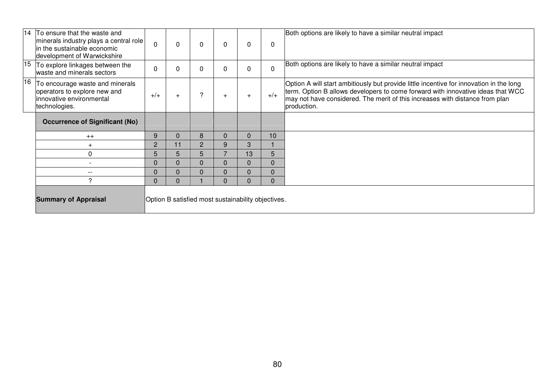|    | 14 To ensure that the waste and<br>minerals industry plays a central role<br>in the sustainable economic<br>development of Warwickshire | $\mathbf{0}$   | $\Omega$ | $\Omega$       | $\Omega$                                           | 0        | $\Omega$       | Both options are likely to have a similar neutral impact                                                                                                                                                                                                                  |
|----|-----------------------------------------------------------------------------------------------------------------------------------------|----------------|----------|----------------|----------------------------------------------------|----------|----------------|---------------------------------------------------------------------------------------------------------------------------------------------------------------------------------------------------------------------------------------------------------------------------|
|    | $15$ To explore linkages between the<br>waste and minerals sectors                                                                      | $\Omega$       | $\Omega$ | 0              | $\Omega$                                           |          | $\overline{0}$ | Both options are likely to have a similar neutral impact                                                                                                                                                                                                                  |
| 16 | To encourage waste and minerals<br>operators to explore new and<br>innovative environmental<br>technologies.                            | $+/+$          |          | ?              | $\div$                                             | $+$      | $+/+$          | Option A will start ambitiously but provide little incentive for innovation in the long<br>term. Option B allows developers to come forward with innovative ideas that WCC<br>may not have considered. The merit of this increases with distance from plan<br>production. |
|    | <b>Occurrence of Significant (No)</b>                                                                                                   |                |          |                |                                                    |          |                |                                                                                                                                                                                                                                                                           |
|    | $++$                                                                                                                                    | 9              | $\Omega$ | 8              | $\Omega$                                           | $\Omega$ | 10             |                                                                                                                                                                                                                                                                           |
|    |                                                                                                                                         | $\overline{2}$ | 11       | $\overline{2}$ | 9                                                  | 3        |                |                                                                                                                                                                                                                                                                           |
|    | $\Omega$                                                                                                                                | 5              | 5        | 5              |                                                    | 13       | 5              |                                                                                                                                                                                                                                                                           |
|    |                                                                                                                                         | 0              | $\Omega$ | $\Omega$       | $\Omega$                                           | 0        | 0              |                                                                                                                                                                                                                                                                           |
|    | $- -$                                                                                                                                   | $\mathbf 0$    | $\Omega$ | 0              | $\Omega$                                           |          | $\Omega$       |                                                                                                                                                                                                                                                                           |
|    | 2                                                                                                                                       | 0              | $\Omega$ |                | $\Omega$                                           | 0        | $\Omega$       |                                                                                                                                                                                                                                                                           |
|    | <b>Summary of Appraisal</b>                                                                                                             |                |          |                | Option B satisfied most sustainability objectives. |          |                |                                                                                                                                                                                                                                                                           |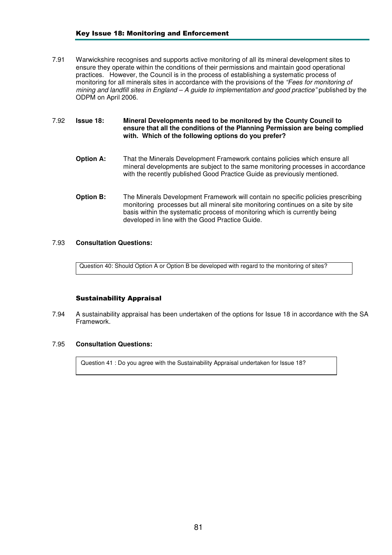## Key Issue 18: Monitoring and Enforcement

7.91 Warwickshire recognises and supports active monitoring of all its mineral development sites to ensure they operate within the conditions of their permissions and maintain good operational practices. However, the Council is in the process of establishing a systematic process of monitoring for all minerals sites in accordance with the provisions of the "Fees for monitoring of mining and landfill sites in England – A guide to implementation and good practice" published by the ODPM on April 2006.

## 7.92 **Issue 18: Mineral Developments need to be monitored by the County Council to ensure that all the conditions of the Planning Permission are being complied with. Which of the following options do you prefer?**

- **Option A:** That the Minerals Development Framework contains policies which ensure all mineral developments are subject to the same monitoring processes in accordance with the recently published Good Practice Guide as previously mentioned.
- **Option B:** The Minerals Development Framework will contain no specific policies prescribing monitoring processes but all mineral site monitoring continues on a site by site basis within the systematic process of monitoring which is currently being developed in line with the Good Practice Guide.

## 7.93 **Consultation Questions:**

Question 40: Should Option A or Option B be developed with regard to the monitoring of sites?

## Sustainability Appraisal

7.94 A sustainability appraisal has been undertaken of the options for Issue 18 in accordance with the SA Framework.

## 7.95 **Consultation Questions:**

Question 41 : Do you agree with the Sustainability Appraisal undertaken for Issue 18?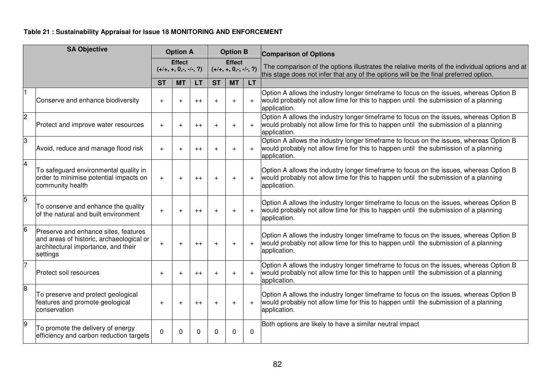# **Table 21 : Sustainability Appraisal for Issue 18 MONITORING AND ENFORCEMENT**

|                 | <b>SA Objective</b>                                                                                                                 |           | <b>Option A</b>                           |           |           | <b>Option B</b>                           |           | <b>Comparison of Options</b>                                                                                                                                                                  |
|-----------------|-------------------------------------------------------------------------------------------------------------------------------------|-----------|-------------------------------------------|-----------|-----------|-------------------------------------------|-----------|-----------------------------------------------------------------------------------------------------------------------------------------------------------------------------------------------|
|                 |                                                                                                                                     |           | <b>Effect</b><br>$(+/+, +, 0, -, -/-, ?)$ |           |           | <b>Effect</b><br>$(+/+, +, 0, -, -/-, ?)$ |           | The comparison of the options illustrates the relative merits of the individual options and at<br>this stage does not infer that any of the options will be the final preferred option.       |
|                 |                                                                                                                                     | <b>ST</b> | <b>MT</b>                                 | <b>LT</b> | <b>ST</b> | <b>MT</b>                                 | <b>LT</b> |                                                                                                                                                                                               |
|                 | Conserve and enhance biodiversity                                                                                                   | $+$       | $+$                                       | $++$      | $+$       | $+$                                       |           | Option A allows the industry longer timeframe to focus on the issues, whereas Option B<br>would probably not allow time for this to happen until the submission of a planning<br>application. |
| $\overline{2}$  | Protect and improve water resources                                                                                                 | $\ddot{}$ | $\ddot{}$                                 | $^{++}$   | $\ddot{}$ | $+$                                       |           | Option A allows the industry longer timeframe to focus on the issues, whereas Option B<br>would probably not allow time for this to happen until the submission of a planning<br>application. |
| З               | Avoid, reduce and manage flood risk                                                                                                 | $+$       | $+$                                       | $++$      | $+$       | $+$                                       |           | Option A allows the industry longer timeframe to focus on the issues, whereas Option B<br>would probably not allow time for this to happen until the submission of a planning<br>application. |
| $\overline{4}$  | To safeguard environmental quality in<br>order to minimise potential impacts on<br>community health                                 | $+$       | $\ddot{}$                                 | $++$      | $+$       | $+$                                       | $+$       | Option A allows the industry longer timeframe to focus on the issues, whereas Option B<br>would probably not allow time for this to happen until the submission of a planning<br>application. |
| $\overline{5}$  | To conserve and enhance the quality<br>of the natural and built environment                                                         | $+$       | $+$                                       | $++$      | $+$       | $+$                                       |           | Option A allows the industry longer timeframe to focus on the issues, whereas Option B<br>would probably not allow time for this to happen until the submission of a planning<br>application. |
| $6\phantom{.}6$ | Preserve and enhance sites, features<br>and areas of historic, archaeological or<br>architectural importance, and their<br>settings | $+$       | $^{+}$                                    | $++$      | $+$       | $+$                                       |           | Option A allows the industry longer timeframe to focus on the issues, whereas Option B<br>would probably not allow time for this to happen until the submission of a planning<br>application. |
| $\overline{7}$  | Protect soil resources                                                                                                              | $+$       | $+$                                       | $++$      | $+$       | $+$                                       | $+$       | Option A allows the industry longer timeframe to focus on the issues, whereas Option B<br>would probably not allow time for this to happen until the submission of a planning<br>application. |
| 8               | To preserve and protect geological<br>features and promote geological<br>conservation                                               | $+$       | $^{+}$                                    | $++$      | $+$       | $+$                                       | $+$       | Option A allows the industry longer timeframe to focus on the issues, whereas Option B<br>would probably not allow time for this to happen until the submission of a planning<br>application. |
| 9               | To promote the delivery of energy<br>efficiency and carbon reduction targets                                                        | 0         | $\Omega$                                  | 0         | $\Omega$  | $\Omega$                                  | $\Omega$  | Both options are likely to have a similar neutral impact                                                                                                                                      |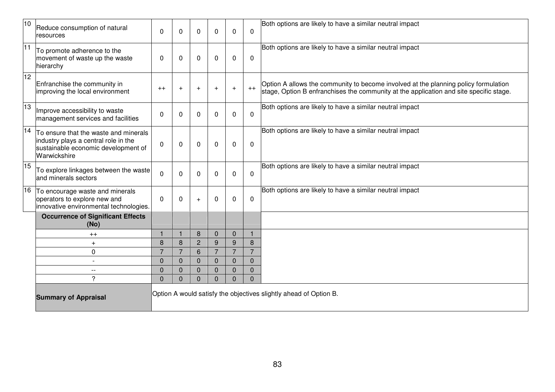| 10              | Reduce consumption of natural<br><b>resources</b>                                                                                    | $\Omega$       | 0              | 0              | 0              | 0              | 0              | Both options are likely to have a similar neutral impact                                                                                                                      |
|-----------------|--------------------------------------------------------------------------------------------------------------------------------------|----------------|----------------|----------------|----------------|----------------|----------------|-------------------------------------------------------------------------------------------------------------------------------------------------------------------------------|
| $\overline{11}$ | To promote adherence to the<br>movement of waste up the waste<br>hierarchy                                                           | $\Omega$       | $\Omega$       | $\mathbf{0}$   | $\Omega$       | $\Omega$       | $\mathbf{0}$   | Both options are likely to have a similar neutral impact                                                                                                                      |
| 12              | Enfranchise the community in<br>improving the local environment                                                                      | $++$           | $+$            | $+$            | $+$            | $+$            | $++$           | Option A allows the community to become involved at the planning policy formulation<br>stage, Option B enfranchises the community at the application and site specific stage. |
| 13              | Improve accessibility to waste<br>management services and facilities                                                                 | $\Omega$       | 0              | $\mathbf{0}$   | $\Omega$       | $\mathbf{0}$   | 0              | Both options are likely to have a similar neutral impact                                                                                                                      |
| 14              | To ensure that the waste and minerals<br>industry plays a central role in the<br>sustainable economic development of<br>Warwickshire | $\Omega$       | 0              | $\mathbf{0}$   | $\Omega$       | $\mathbf{0}$   | $\mathbf{0}$   | Both options are likely to have a similar neutral impact                                                                                                                      |
| 15              | To explore linkages between the waste<br>and minerals sectors                                                                        | $\overline{0}$ | $\mathbf{0}$   | $\mathbf{0}$   | 0              | 0              | 0              | Both options are likely to have a similar neutral impact                                                                                                                      |
| 16              | To encourage waste and minerals<br>operators to explore new and<br>innovative environmental technologies.                            | $\Omega$       | 0              | $+$            | $\Omega$       | $\mathbf{0}$   | 0              | Both options are likely to have a similar neutral impact                                                                                                                      |
|                 | <b>Occurrence of Significant Effects</b><br>(No)                                                                                     |                |                |                |                |                |                |                                                                                                                                                                               |
|                 | $^{++}$                                                                                                                              | 1              |                | 8              | $\Omega$       | $\mathbf{0}$   | $\mathbf{1}$   |                                                                                                                                                                               |
|                 | $\ddot{}$                                                                                                                            | 8              | 8              | $\overline{c}$ | 9              | 9              | 8              |                                                                                                                                                                               |
|                 | $\mathbf 0$                                                                                                                          | $\overline{7}$ | $\overline{7}$ | 6              | $\overline{7}$ | $\overline{7}$ | $\overline{7}$ |                                                                                                                                                                               |
|                 | $\overline{\phantom{a}}$                                                                                                             | $\mathbf 0$    | $\Omega$       | $\mathbf{0}$   | $\mathbf{0}$   | $\mathbf{0}$   | $\mathbf{0}$   |                                                                                                                                                                               |
|                 | $\overline{\phantom{m}}$                                                                                                             | $\mathbf 0$    | $\Omega$       | $\Omega$       | $\mathbf 0$    | $\Omega$       | $\Omega$       |                                                                                                                                                                               |
|                 | 2                                                                                                                                    | $\mathbf 0$    | $\Omega$       | $\Omega$       | $\Omega$       | $\Omega$       | $\Omega$       |                                                                                                                                                                               |
|                 | <b>Summary of Appraisal</b>                                                                                                          |                |                |                |                |                |                | Option A would satisfy the objectives slightly ahead of Option B.                                                                                                             |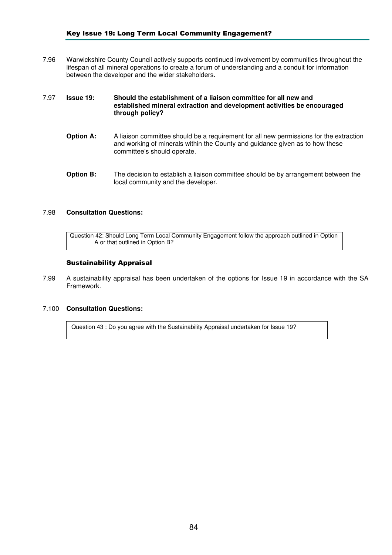7.96 Warwickshire County Council actively supports continued involvement by communities throughout the lifespan of all mineral operations to create a forum of understanding and a conduit for information between the developer and the wider stakeholders.

## 7.97 **Issue 19: Should the establishment of a liaison committee for all new and established mineral extraction and development activities be encouraged through policy?**

- **Option A:** A liaison committee should be a requirement for all new permissions for the extraction and working of minerals within the County and guidance given as to how these committee's should operate.
- **Option B:** The decision to establish a liaison committee should be by arrangement between the local community and the developer.

## 7.98 **Consultation Questions:**

Question 42: Should Long Term Local Community Engagement follow the approach outlined in Option A or that outlined in Option B?

## Sustainability Appraisal

7.99 A sustainability appraisal has been undertaken of the options for Issue 19 in accordance with the SA Framework.

#### 7.100 **Consultation Questions:**

Question 43 : Do you agree with the Sustainability Appraisal undertaken for Issue 19?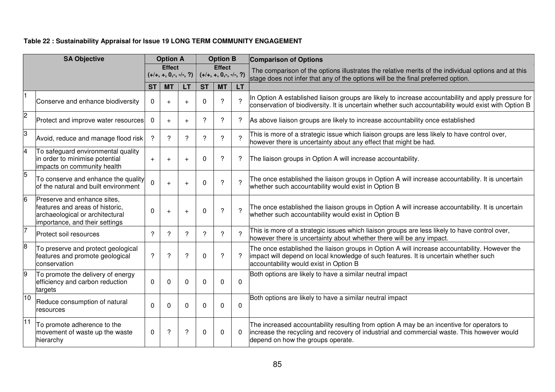# **Table 22 : Sustainability Appraisal for Issue 19 LONG TERM COMMUNITY ENGAGEMENT**

|                | <b>SA Objective</b>                                                                                                                 |                          | <b>Option A</b>                           |           |              | <b>Option B</b>                           |               | <b>Comparison of Options</b>                                                                                                                                                                                                    |  |  |
|----------------|-------------------------------------------------------------------------------------------------------------------------------------|--------------------------|-------------------------------------------|-----------|--------------|-------------------------------------------|---------------|---------------------------------------------------------------------------------------------------------------------------------------------------------------------------------------------------------------------------------|--|--|
|                |                                                                                                                                     |                          | <b>Effect</b><br>$(+/+, +, 0, -, -/-, ?)$ |           |              | <b>Effect</b><br>$(+/+, +, 0, -, -/-, ?)$ |               | The comparison of the options illustrates the relative merits of the individual options and at this<br>stage does not infer that any of the options will be the final preferred option.                                         |  |  |
|                |                                                                                                                                     | <b>ST</b>                | <b>MT</b>                                 | <b>LT</b> | <b>ST</b>    | <b>MT</b>                                 | <b>LT</b>     |                                                                                                                                                                                                                                 |  |  |
|                | Conserve and enhance biodiversity                                                                                                   | $\Omega$                 | $+$                                       |           | $\Omega$     | ?                                         |               | In Option A established liaison groups are likely to increase accountability and apply pressure for<br>conservation of biodiversity. It is uncertain whether such accountability would exist with Option B                      |  |  |
| $\overline{c}$ | Protect and improve water resources                                                                                                 | $\mathbf 0$              | $+$                                       | $+$       | ?            | ?                                         | ?             | As above liaison groups are likely to increase accountability once established                                                                                                                                                  |  |  |
| 3              | Avoid, reduce and manage flood risk                                                                                                 | $\gamma$                 | ?                                         | ?         | ?            | $\mathcal{P}$                             |               | This is more of a strategic issue which liaison groups are less likely to have control over,<br>however there is uncertainty about any effect that might be had.                                                                |  |  |
| $\overline{4}$ | To safeguard environmental quality<br>in order to minimise potential<br>impacts on community health                                 | $+$                      | $+$                                       |           | 0            | $\overline{?}$                            | 2             | The liaison groups in Option A will increase accountability.                                                                                                                                                                    |  |  |
| 5              | To conserve and enhance the quality<br>of the natural and built environment                                                         | $\overline{0}$           | $+$                                       | $+$       | $\Omega$     | $\overline{?}$                            | $\mathcal{P}$ | The once established the liaison groups in Option A will increase accountability. It is uncertain<br>whether such accountability would exist in Option B                                                                        |  |  |
| 6              | Preserve and enhance sites,<br>features and areas of historic,<br>archaeological or architectural<br>importance, and their settings | 0                        |                                           |           | $\Omega$     | $\gamma$                                  | $\mathcal{P}$ | The once established the liaison groups in Option A will increase accountability. It is uncertain<br>whether such accountability would exist in Option B                                                                        |  |  |
| $\overline{7}$ | Protect soil resources                                                                                                              | $\overline{?}$           | ?                                         | ?         | ?            | $\overline{?}$                            | $\mathcal{P}$ | This is more of a strategic issues which liaison groups are less likely to have control over,<br>however there is uncertainty about whether there will be any impact.                                                           |  |  |
| 8              | To preserve and protect geological<br>features and promote geological<br>conservation                                               | $\overline{\mathcal{C}}$ | ?                                         | ?         | $\Omega$     | $\overline{?}$                            |               | The once established the liaison groups in Option A will increase accountability. However the<br>impact will depend on local knowledge of such features. It is uncertain whether such<br>accountability would exist in Option B |  |  |
| 9              | To promote the delivery of energy<br>efficiency and carbon reduction<br>targets                                                     | $\Omega$                 | $\Omega$                                  | $\Omega$  | $\Omega$     | $\Omega$                                  | $\Omega$      | Both options are likely to have a similar neutral impact                                                                                                                                                                        |  |  |
| 10             | Reduce consumption of natural<br>resources                                                                                          | $\Omega$                 | <sup>0</sup>                              | $\Omega$  | <sup>0</sup> | $\Omega$                                  | $\Omega$      | Both options are likely to have a similar neutral impact                                                                                                                                                                        |  |  |
| 11             | To promote adherence to the<br>movement of waste up the waste<br>hierarchy                                                          | 0                        | ?                                         | ?         | 0            | $\mathbf{0}$                              | 0             | The increased accountability resulting from option A may be an incentive for operators to<br>increase the recycling and recovery of industrial and commercial waste. This however would<br>depend on how the groups operate.    |  |  |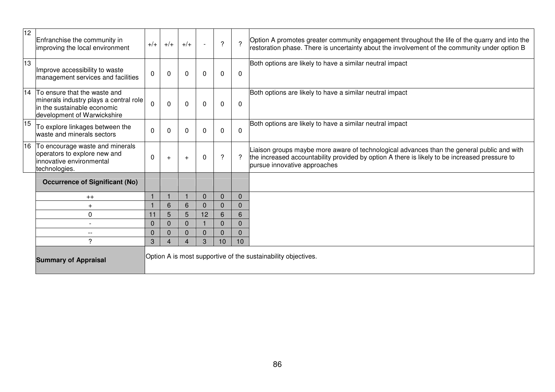| 12 | Enfranchise the community in<br>improving the local environment                                                                          | $+/-$        | $+/-$    | $+/-$        |              | $\boldsymbol{\gamma}$ | C.              | Option A promotes greater community engagement throughout the life of the quarry and into the<br>restoration phase. There is uncertainty about the involvement of the community under option B                              |
|----|------------------------------------------------------------------------------------------------------------------------------------------|--------------|----------|--------------|--------------|-----------------------|-----------------|-----------------------------------------------------------------------------------------------------------------------------------------------------------------------------------------------------------------------------|
| 13 | Improve accessibility to waste<br>management services and facilities                                                                     | $\mathbf{0}$ | $\Omega$ | $\mathbf{0}$ | $\Omega$     | 0                     | 0               | Both options are likely to have a similar neutral impact                                                                                                                                                                    |
|    | 14 To ensure that the waste and<br>minerals industry plays a central role<br>lin the sustainable economic<br>development of Warwickshire | $\Omega$     | $\Omega$ | $\mathbf{0}$ | $\Omega$     | 0                     | $\mathbf{0}$    | Both options are likely to have a similar neutral impact                                                                                                                                                                    |
| 15 | To explore linkages between the<br>waste and minerals sectors                                                                            | $\mathbf 0$  | $\Omega$ | $\Omega$     | $\Omega$     | $\Omega$              | $\Omega$        | Both options are likely to have a similar neutral impact                                                                                                                                                                    |
|    | 16 To encourage waste and minerals<br>operators to explore new and<br>innovative environmental<br>technologies.                          | 0            | $+$      | $+$          | $\mathbf{0}$ | $\overline{?}$        | ?               | Liaison groups maybe more aware of technological advances than the general public and with<br>the increased accountability provided by option A there is likely to be increased pressure to<br>pursue innovative approaches |
|    | <b>Occurrence of Significant (No)</b>                                                                                                    |              |          |              |              |                       |                 |                                                                                                                                                                                                                             |
|    | $++$                                                                                                                                     |              |          |              | $\Omega$     | $\mathbf{0}$          | $\mathbf{0}$    |                                                                                                                                                                                                                             |
|    | $+$                                                                                                                                      |              | 6        | 6            | $\Omega$     | $\Omega$              | 0               |                                                                                                                                                                                                                             |
|    | 0                                                                                                                                        | 11           | 5        | 5            | 12           | 6                     | 6               |                                                                                                                                                                                                                             |
|    | $\overline{\phantom{0}}$                                                                                                                 | $\Omega$     | $\Omega$ | $\Omega$     |              | $\Omega$              | 0               |                                                                                                                                                                                                                             |
|    | $\qquad \qquad -$                                                                                                                        | 0            | $\Omega$ | 0            | $\Omega$     | $\mathbf{0}$          | 0               |                                                                                                                                                                                                                             |
|    | ?                                                                                                                                        | 3            |          | 4            | 3            | 10                    | 10 <sup>1</sup> |                                                                                                                                                                                                                             |
|    | <b>Summary of Appraisal</b>                                                                                                              |              |          |              |              |                       |                 | Option A is most supportive of the sustainability objectives.                                                                                                                                                               |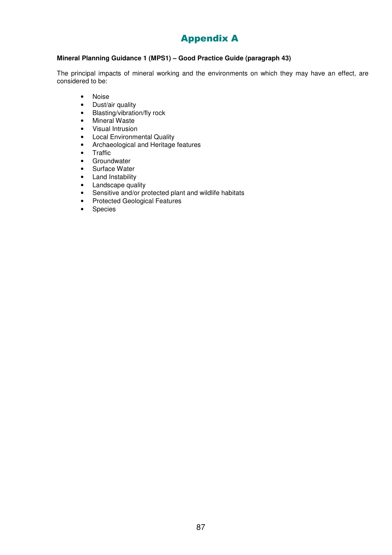# Appendix A

## **Mineral Planning Guidance 1 (MPS1) – Good Practice Guide (paragraph 43)**

The principal impacts of mineral working and the environments on which they may have an effect, are considered to be:

- Noise
- Dust/air quality
- Blasting/vibration/fly rock
- Mineral Waste
- Visual Intrusion
- Local Environmental Quality
- Archaeological and Heritage features
- Traffic
- Groundwater
- Surface Water
- Land Instability
- Landscape quality
- Sensitive and/or protected plant and wildlife habitats
- Protected Geological Features
- Species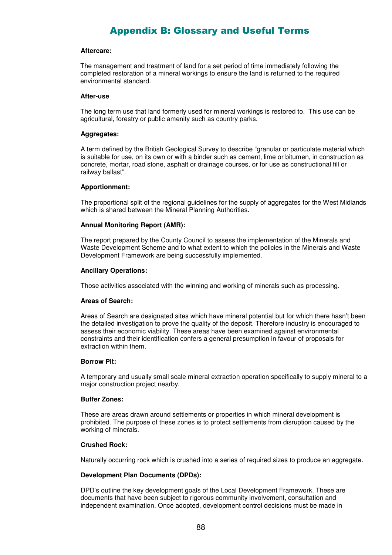# Appendix B: Glossary and Useful Terms

#### **Aftercare:**

The management and treatment of land for a set period of time immediately following the completed restoration of a mineral workings to ensure the land is returned to the required environmental standard.

#### **After-use**

The long term use that land formerly used for mineral workings is restored to. This use can be agricultural, forestry or public amenity such as country parks.

## **Aggregates:**

A term defined by the British Geological Survey to describe "granular or particulate material which is suitable for use, on its own or with a binder such as cement, lime or bitumen, in construction as concrete, mortar, road stone, asphalt or drainage courses, or for use as constructional fill or railway ballast".

## **Apportionment:**

The proportional split of the regional guidelines for the supply of aggregates for the West Midlands which is shared between the Mineral Planning Authorities.

## **Annual Monitoring Report (AMR):**

The report prepared by the County Council to assess the implementation of the Minerals and Waste Development Scheme and to what extent to which the policies in the Minerals and Waste Development Framework are being successfully implemented.

## **Ancillary Operations:**

Those activities associated with the winning and working of minerals such as processing.

## **Areas of Search:**

Areas of Search are designated sites which have mineral potential but for which there hasn't been the detailed investigation to prove the quality of the deposit. Therefore industry is encouraged to assess their economic viability. These areas have been examined against environmental constraints and their identification confers a general presumption in favour of proposals for extraction within them.

#### **Borrow Pit:**

A temporary and usually small scale mineral extraction operation specifically to supply mineral to a major construction project nearby.

#### **Buffer Zones:**

These are areas drawn around settlements or properties in which mineral development is prohibited. The purpose of these zones is to protect settlements from disruption caused by the working of minerals.

#### **Crushed Rock:**

Naturally occurring rock which is crushed into a series of required sizes to produce an aggregate.

#### **Development Plan Documents (DPDs):**

DPD's outline the key development goals of the Local Development Framework. These are documents that have been subject to rigorous community involvement, consultation and independent examination. Once adopted, development control decisions must be made in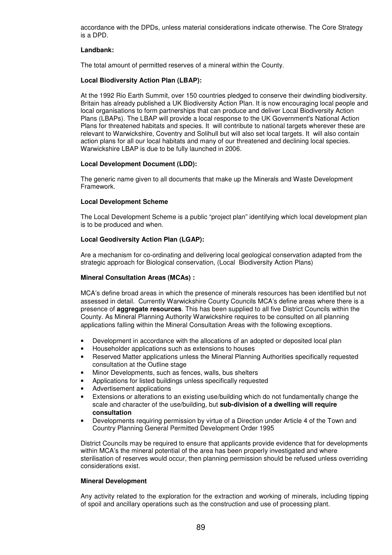accordance with the DPDs, unless material considerations indicate otherwise. The Core Strategy is a DPD.

## **Landbank:**

The total amount of permitted reserves of a mineral within the County.

## **Local Biodiversity Action Plan (LBAP):**

At the 1992 Rio Earth Summit, over 150 countries pledged to conserve their dwindling biodiversity. Britain has already published a UK Biodiversity Action Plan. It is now encouraging local people and local organisations to form partnerships that can produce and deliver Local Biodiversity Action Plans (LBAPs). The LBAP will provide a local response to the UK Government's National Action Plans for threatened habitats and species. It will contribute to national targets wherever these are relevant to Warwickshire, Coventry and Solihull but will also set local targets. It will also contain action plans for all our local habitats and many of our threatened and declining local species. Warwickshire LBAP is due to be fully launched in 2006.

## **Local Development Document (LDD):**

The generic name given to all documents that make up the Minerals and Waste Development Framework.

## **Local Development Scheme**

The Local Development Scheme is a public "project plan" identifying which local development plan is to be produced and when.

## **Local Geodiversity Action Plan (LGAP):**

Are a mechanism for co-ordinating and delivering local geological conservation adapted from the strategic approach for Biological conservation, (Local Biodiversity Action Plans)

## **Mineral Consultation Areas (MCAs) :**

MCA's define broad areas in which the presence of minerals resources has been identified but not assessed in detail. Currently Warwickshire County Councils MCA's define areas where there is a presence of **aggregate resources**. This has been supplied to all five District Councils within the County. As Mineral Planning Authority Warwickshire requires to be consulted on all planning applications falling within the Mineral Consultation Areas with the following exceptions.

- Development in accordance with the allocations of an adopted or deposited local plan
- Householder applications such as extensions to houses
- Reserved Matter applications unless the Mineral Planning Authorities specifically requested consultation at the Outline stage
- Minor Developments, such as fences, walls, bus shelters
- Applications for listed buildings unless specifically requested
- Advertisement applications
- Extensions or alterations to an existing use/building which do not fundamentally change the scale and character of the use/building, but **sub-division of a dwelling will require consultation**
- Developments requiring permission by virtue of a Direction under Article 4 of the Town and Country Planning General Permitted Development Order 1995

District Councils may be required to ensure that applicants provide evidence that for developments within MCA's the mineral potential of the area has been properly investigated and where sterilisation of reserves would occur, then planning permission should be refused unless overriding considerations exist.

#### **Mineral Development**

Any activity related to the exploration for the extraction and working of minerals, including tipping of spoil and ancillary operations such as the construction and use of processing plant.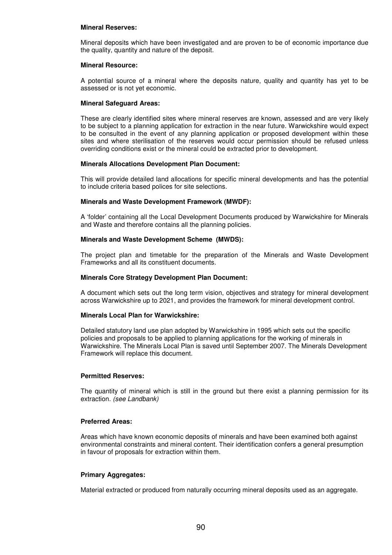#### **Mineral Reserves:**

Mineral deposits which have been investigated and are proven to be of economic importance due the quality, quantity and nature of the deposit.

#### **Mineral Resource:**

A potential source of a mineral where the deposits nature, quality and quantity has yet to be assessed or is not yet economic.

#### **Mineral Safeguard Areas:**

These are clearly identified sites where mineral reserves are known, assessed and are very likely to be subject to a planning application for extraction in the near future. Warwickshire would expect to be consulted in the event of any planning application or proposed development within these sites and where sterilisation of the reserves would occur permission should be refused unless overriding conditions exist or the mineral could be extracted prior to development.

#### **Minerals Allocations Development Plan Document:**

This will provide detailed land allocations for specific mineral developments and has the potential to include criteria based polices for site selections.

#### **Minerals and Waste Development Framework (MWDF):**

A 'folder' containing all the Local Development Documents produced by Warwickshire for Minerals and Waste and therefore contains all the planning policies.

#### **Minerals and Waste Development Scheme (MWDS):**

The project plan and timetable for the preparation of the Minerals and Waste Development Frameworks and all its constituent documents.

#### **Minerals Core Strategy Development Plan Document:**

A document which sets out the long term vision, objectives and strategy for mineral development across Warwickshire up to 2021, and provides the framework for mineral development control.

#### **Minerals Local Plan for Warwickshire:**

Detailed statutory land use plan adopted by Warwickshire in 1995 which sets out the specific policies and proposals to be applied to planning applications for the working of minerals in Warwickshire. The Minerals Local Plan is saved until September 2007. The Minerals Development Framework will replace this document.

#### **Permitted Reserves:**

The quantity of mineral which is still in the ground but there exist a planning permission for its extraction. (see Landbank)

#### **Preferred Areas:**

Areas which have known economic deposits of minerals and have been examined both against environmental constraints and mineral content. Their identification confers a general presumption in favour of proposals for extraction within them.

#### **Primary Aggregates:**

Material extracted or produced from naturally occurring mineral deposits used as an aggregate.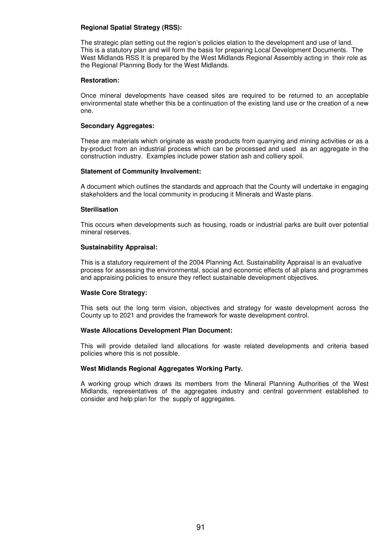## **Regional Spatial Strategy (RSS):**

The strategic plan setting out the region's policies elation to the development and use of land. This is a statutory plan and will form the basis for preparing Local Development Documents. The West Midlands RSS It is prepared by the West Midlands Regional Assembly acting in their role as the Regional Planning Body for the West Midlands.

#### **Restoration:**

Once mineral developments have ceased sites are required to be returned to an acceptable environmental state whether this be a continuation of the existing land use or the creation of a new one.

## **Secondary Aggregates:**

These are materials which originate as waste products from quarrying and mining activities or as a by-product from an industrial process which can be processed and used as an aggregate in the construction industry. Examples include power station ash and colliery spoil.

## **Statement of Community Involvement:**

A document which outlines the standards and approach that the County will undertake in engaging stakeholders and the local community in producing it Minerals and Waste plans.

## **Sterilisation**

This occurs when developments such as housing, roads or industrial parks are built over potential mineral reserves.

## **Sustainability Appraisal:**

This is a statutory requirement of the 2004 Planning Act. Sustainability Appraisal is an evaluative process for assessing the environmental, social and economic effects of all plans and programmes and appraising policies to ensure they reflect sustainable development objectives.

## **Waste Core Strategy:**

This sets out the long term vision, objectives and strategy for waste development across the County up to 2021 and provides the framework for waste development control.

#### **Waste Allocations Development Plan Document:**

This will provide detailed land allocations for waste related developments and criteria based policies where this is not possible.

#### **West Midlands Regional Aggregates Working Party.**

A working group which draws its members from the Mineral Planning Authorities of the West Midlands, representatives of the aggregates industry and central government established to consider and help plan for the supply of aggregates.